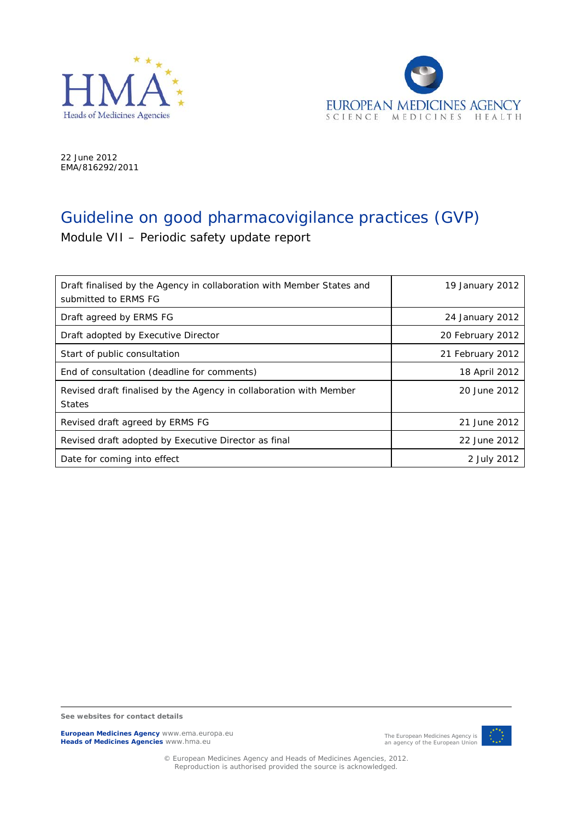



22 June 2012 EMA/816292/2011

# Guideline on good pharmacovigilance practices (GVP)

Module VII – Periodic safety update report

| Draft finalised by the Agency in collaboration with Member States and<br>submitted to ERMS FG | 19 January 2012  |
|-----------------------------------------------------------------------------------------------|------------------|
| Draft agreed by ERMS FG                                                                       | 24 January 2012  |
| Draft adopted by Executive Director                                                           | 20 February 2012 |
| Start of public consultation                                                                  | 21 February 2012 |
| End of consultation (deadline for comments)                                                   | 18 April 2012    |
| Revised draft finalised by the Agency in collaboration with Member<br><b>States</b>           | 20 June 2012     |
| Revised draft agreed by ERMS FG                                                               | 21 June 2012     |
| Revised draft adopted by Executive Director as final                                          | 22 June 2012     |
| Date for coming into effect                                                                   | 2 July 2012      |

**See websites for contact details**

**European Medicines Agency** www.ema.europa.eu **Heads of Medicines Agencies** www.hma.eu



© European Medicines Agency and Heads of Medicines Agencies, 2012. Reproduction is authorised provided the source is acknowledged.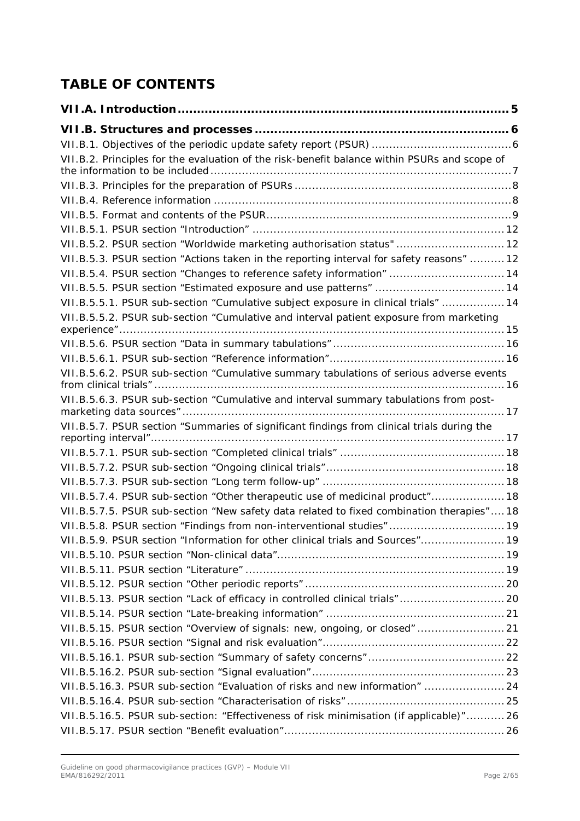# **TABLE OF CONTENTS**

| VII.B.2. Principles for the evaluation of the risk-benefit balance within PSURs and scope of |  |
|----------------------------------------------------------------------------------------------|--|
|                                                                                              |  |
|                                                                                              |  |
|                                                                                              |  |
|                                                                                              |  |
| VII.B.5.2. PSUR section "Worldwide marketing authorisation status"  12                       |  |
| VII.B.5.3. PSUR section "Actions taken in the reporting interval for safety reasons"  12     |  |
| VII.B.5.4. PSUR section "Changes to reference safety information"  14                        |  |
|                                                                                              |  |
| VII.B.5.5.1. PSUR sub-section "Cumulative subject exposure in clinical trials"  14           |  |
| VII.B.5.5.2. PSUR sub-section "Cumulative and interval patient exposure from marketing       |  |
|                                                                                              |  |
|                                                                                              |  |
| VII.B.5.6.2. PSUR sub-section "Cumulative summary tabulations of serious adverse events      |  |
| VII.B.5.6.3. PSUR sub-section "Cumulative and interval summary tabulations from post-        |  |
| VII.B.5.7. PSUR section "Summaries of significant findings from clinical trials during the   |  |
|                                                                                              |  |
|                                                                                              |  |
|                                                                                              |  |
|                                                                                              |  |
| VII.B.5.7.4. PSUR sub-section "Other therapeutic use of medicinal product" 18                |  |
| VII.B.5.7.5. PSUR sub-section "New safety data related to fixed combination therapies" 18    |  |
| VII.B.5.8. PSUR section "Findings from non-interventional studies" 19                        |  |
| VII.B.5.9. PSUR section "Information for other clinical trials and Sources" 19               |  |
|                                                                                              |  |
|                                                                                              |  |
|                                                                                              |  |
| VII.B.5.13. PSUR section "Lack of efficacy in controlled clinical trials" 20                 |  |
|                                                                                              |  |
| VII.B.5.15. PSUR section "Overview of signals: new, ongoing, or closed"  21                  |  |
|                                                                                              |  |
|                                                                                              |  |
|                                                                                              |  |
| VII.B.5.16.3. PSUR sub-section "Evaluation of risks and new information"  24                 |  |
|                                                                                              |  |
| VII.B.5.16.5. PSUR sub-section: "Effectiveness of risk minimisation (if applicable)" 26      |  |
|                                                                                              |  |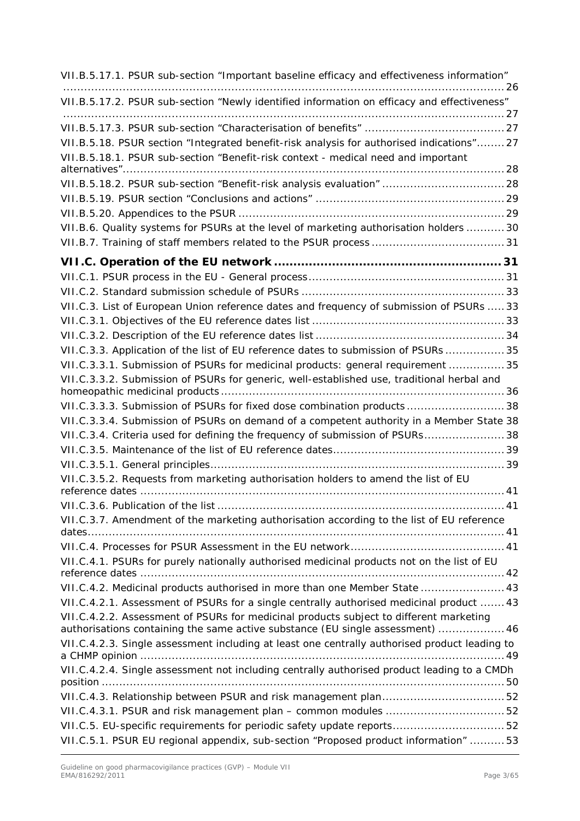| VII.B.5.17.1. PSUR sub-section "Important baseline efficacy and effectiveness information"    |  |
|-----------------------------------------------------------------------------------------------|--|
| VII.B.5.17.2. PSUR sub-section "Newly identified information on efficacy and effectiveness"   |  |
|                                                                                               |  |
| VII.B.5.18. PSUR section "Integrated benefit-risk analysis for authorised indications"27      |  |
| VII.B.5.18.1. PSUR sub-section "Benefit-risk context - medical need and important             |  |
| VII.B.5.18.2. PSUR sub-section "Benefit-risk analysis evaluation"  28                         |  |
|                                                                                               |  |
|                                                                                               |  |
| VII.B.6. Quality systems for PSURs at the level of marketing authorisation holders  30        |  |
|                                                                                               |  |
|                                                                                               |  |
|                                                                                               |  |
|                                                                                               |  |
| VII.C.3. List of European Union reference dates and frequency of submission of PSURs  33      |  |
|                                                                                               |  |
|                                                                                               |  |
| VII.C.3.3. Application of the list of EU reference dates to submission of PSURs  35           |  |
| VII.C.3.3.1. Submission of PSURs for medicinal products: general requirement  35              |  |
| VII.C.3.3.2. Submission of PSURs for generic, well-established use, traditional herbal and    |  |
| VII.C.3.3.3. Submission of PSURs for fixed dose combination products38                        |  |
| VII.C.3.3.4. Submission of PSURs on demand of a competent authority in a Member State 38      |  |
| VII.C.3.4. Criteria used for defining the frequency of submission of PSURs 38                 |  |
|                                                                                               |  |
|                                                                                               |  |
| VII.C.3.5.2. Requests from marketing authorisation holders to amend the list of EU            |  |
|                                                                                               |  |
|                                                                                               |  |
| VII.C.3.7. Amendment of the marketing authorisation according to the list of EU reference     |  |
|                                                                                               |  |
| VII.C.4.1. PSURs for purely nationally authorised medicinal products not on the list of EU    |  |
|                                                                                               |  |
| VII.C.4.2. Medicinal products authorised in more than one Member State  43                    |  |
| VII.C.4.2.1. Assessment of PSURs for a single centrally authorised medicinal product  43      |  |
| VII.C.4.2.2. Assessment of PSURs for medicinal products subject to different marketing        |  |
| authorisations containing the same active substance (EU single assessment)  46                |  |
| VII.C.4.2.3. Single assessment including at least one centrally authorised product leading to |  |
| VII.C.4.2.4. Single assessment not including centrally authorised product leading to a CMDh   |  |
|                                                                                               |  |
|                                                                                               |  |
|                                                                                               |  |
| VII.C.5. EU-specific requirements for periodic safety update reports52                        |  |
| VII.C.5.1. PSUR EU regional appendix, sub-section "Proposed product information" 53           |  |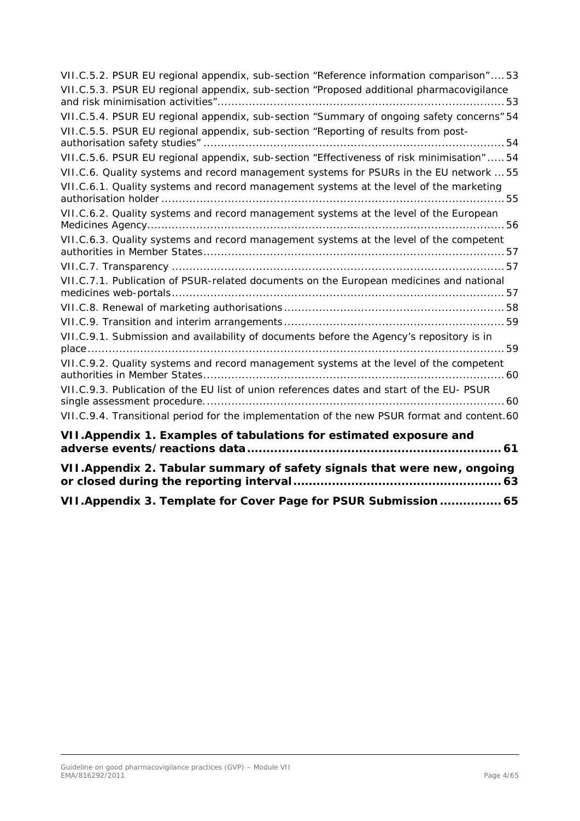| VII.C.5.2. PSUR EU regional appendix, sub-section "Reference information comparison"53      |
|---------------------------------------------------------------------------------------------|
| VII.C.5.3. PSUR EU regional appendix, sub-section "Proposed additional pharmacovigilance    |
| VII.C.5.4. PSUR EU regional appendix, sub-section "Summary of ongoing safety concerns" 54   |
| VII.C.5.5. PSUR EU regional appendix, sub-section "Reporting of results from post-          |
|                                                                                             |
| VII.C.5.6. PSUR EU regional appendix, sub-section "Effectiveness of risk minimisation"  54  |
| VII.C.6. Quality systems and record management systems for PSURs in the EU network  55      |
| VII.C.6.1. Quality systems and record management systems at the level of the marketing      |
| VII.C.6.2. Quality systems and record management systems at the level of the European       |
|                                                                                             |
| VII.C.6.3. Quality systems and record management systems at the level of the competent      |
|                                                                                             |
| VII.C.7.1. Publication of PSUR-related documents on the European medicines and national     |
|                                                                                             |
|                                                                                             |
|                                                                                             |
| VII.C.9.1. Submission and availability of documents before the Agency's repository is in    |
|                                                                                             |
| VII.C.9.2. Quality systems and record management systems at the level of the competent      |
| VII.C.9.3. Publication of the EU list of union references dates and start of the EU- PSUR   |
| VII.C.9.4. Transitional period for the implementation of the new PSUR format and content.60 |
| VII. Appendix 1. Examples of tabulations for estimated exposure and                         |
| VII. Appendix 2. Tabular summary of safety signals that were new, ongoing                   |
|                                                                                             |

**[VII.Appendix 3. Template for Cover Page for PSUR Submission](#page-64-0) ................ 65**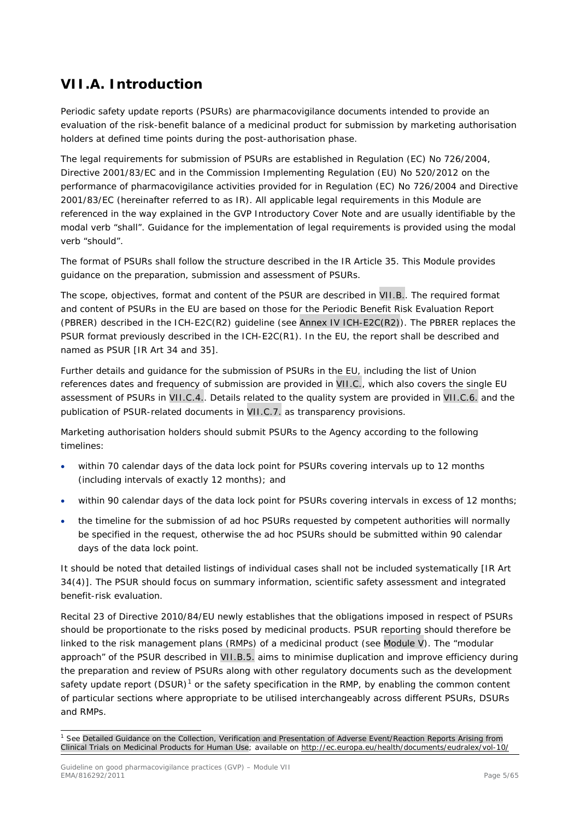# <span id="page-4-0"></span>**VII.A. Introduction**

Periodic safety update reports (PSURs) are pharmacovigilance documents intended to provide an evaluation of the risk-benefit balance of a medicinal product for submission by marketing authorisation holders at defined time points during the post-authorisation phase.

The legal requirements for submission of PSURs are established in Regulation (EC) No 726/2004, Directive 2001/83/EC and in the Commission Implementing Regulation (EU) No 520/2012 on the performance of pharmacovigilance activities provided for in Regulation (EC) No 726/2004 and Directive 2001/83/EC (hereinafter referred to as IR). All applicable legal requirements in this Module are referenced in the way explained in the GVP Introductory Cover Note and are usually identifiable by the modal verb "shall". Guidance for the implementation of legal requirements is provided using the modal verb "should".

The format of PSURs shall follow the structure described in the IR Article 35. This Module provides guidance on the preparation, submission and assessment of PSURs.

The scope, objectives, format and content of the PSUR are described in VII.B.. The required format and content of PSURs in the EU are based on those for the Periodic Benefit Risk Evaluation Report (PBRER) described in the ICH-E2C(R2) guideline (see Annex IV ICH-E2C(R2)). The PBRER replaces the PSUR format previously described in the ICH-E2C(R1). In the EU, the report shall be described and named as PSUR [IR Art 34 and 35].

Further details and guidance for the submission of PSURs in the EU, including the list of Union references dates and frequency of submission are provided in VII.C., which also covers the single EU assessment of PSURs in VII.C.4.. Details related to the quality system are provided in VII.C.6. and the publication of PSUR-related documents in VII.C.7. as transparency provisions.

Marketing authorisation holders should submit PSURs to the Agency according to the following timelines:

- within 70 calendar days of the data lock point for PSURs covering intervals up to 12 months (including intervals of exactly 12 months); and
- within 90 calendar days of the data lock point for PSURs covering intervals in excess of 12 months;
- the timeline for the submission of ad hoc PSURs requested by competent authorities will normally be specified in the request, otherwise the ad hoc PSURs should be submitted within 90 calendar days of the data lock point.

It should be noted that detailed listings of individual cases shall not be included systematically [IR Art 34(4)]. The PSUR should focus on summary information, scientific safety assessment and integrated benefit-risk evaluation.

Recital 23 of Directive 2010/84/EU newly establishes that the obligations imposed in respect of PSURs should be proportionate to the risks posed by medicinal products. PSUR reporting should therefore be linked to the risk management plans (RMPs) of a medicinal product (see Module V). The "modular approach" of the PSUR described in VII.B.5. aims to minimise duplication and improve efficiency during the preparation and review of PSURs along with other regulatory documents such as the development safety update report  $(DSUR)^1$  $(DSUR)^1$  or the safety specification in the RMP, by enabling the common content of particular sections where appropriate to be utilised interchangeably across different PSURs, DSURs and RMPs.

<span id="page-4-1"></span><sup>&</sup>lt;sup>1</sup> See Detailed Guidance on the Collection, Verification and Presentation of Adverse Event/Reaction Reports Arising from Clinical Trials on Medicinal Products for Human Use; available on<http://ec.europa.eu/health/documents/eudralex/vol-10/>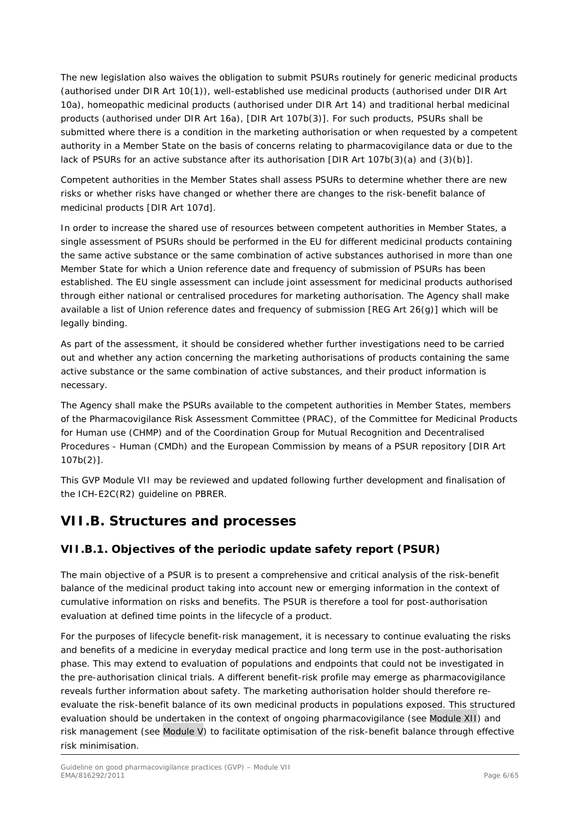The new legislation also waives the obligation to submit PSURs routinely for generic medicinal products (authorised under DIR Art 10(1)), well-established use medicinal products (authorised under DIR Art 10a), homeopathic medicinal products (authorised under DIR Art 14) and traditional herbal medicinal products (authorised under DIR Art 16a), [DIR Art 107b(3)]. For such products, PSURs shall be submitted where there is a condition in the marketing authorisation or when requested by a competent authority in a Member State on the basis of concerns relating to pharmacovigilance data or due to the lack of PSURs for an active substance after its authorisation [DIR Art 107b(3)(a) and (3)(b)].

Competent authorities in the Member States shall assess PSURs to determine whether there are new risks or whether risks have changed or whether there are changes to the risk-benefit balance of medicinal products [DIR Art 107d].

In order to increase the shared use of resources between competent authorities in Member States, a single assessment of PSURs should be performed in the EU for different medicinal products containing the same active substance or the same combination of active substances authorised in more than one Member State for which a Union reference date and frequency of submission of PSURs has been established. The EU single assessment can include joint assessment for medicinal products authorised through either national or centralised procedures for marketing authorisation. The Agency shall make available a list of Union reference dates and frequency of submission [REG Art 26(g)] which will be legally binding.

As part of the assessment, it should be considered whether further investigations need to be carried out and whether any action concerning the marketing authorisations of products containing the same active substance or the same combination of active substances, and their product information is necessary.

The Agency shall make the PSURs available to the competent authorities in Member States, members of the Pharmacovigilance Risk Assessment Committee (PRAC), of the Committee for Medicinal Products for Human use (CHMP) and of the Coordination Group for Mutual Recognition and Decentralised Procedures - Human (CMDh) and the European Commission by means of a PSUR repository [DIR Art 107b(2)].

This GVP Module VII may be reviewed and updated following further development and finalisation of the ICH-E2C(R2) guideline on PBRER.

# <span id="page-5-0"></span>**VII.B. Structures and processes**

# <span id="page-5-1"></span>*VII.B.1. Objectives of the periodic update safety report (PSUR)*

The main objective of a PSUR is to present a comprehensive and critical analysis of the risk-benefit balance of the medicinal product taking into account new or emerging information in the context of cumulative information on risks and benefits. The PSUR is therefore a tool for post-authorisation evaluation at defined time points in the lifecycle of a product.

For the purposes of lifecycle benefit-risk management, it is necessary to continue evaluating the risks and benefits of a medicine in everyday medical practice and long term use in the post-authorisation phase. This may extend to evaluation of populations and endpoints that could not be investigated in the pre-authorisation clinical trials. A different benefit-risk profile may emerge as pharmacovigilance reveals further information about safety. The marketing authorisation holder should therefore reevaluate the risk-benefit balance of its own medicinal products in populations exposed. This structured evaluation should be undertaken in the context of ongoing pharmacovigilance (see Module XII) and risk management (see Module V) to facilitate optimisation of the risk-benefit balance through effective risk minimisation.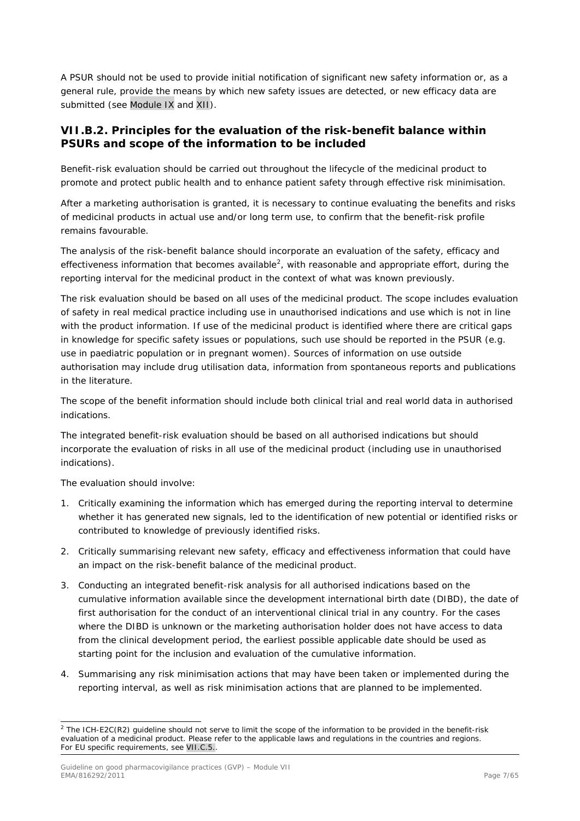A PSUR should not be used to provide initial notification of significant new safety information or, as a general rule, provide the means by which new safety issues are detected, or new efficacy data are submitted (see Module IX and XII).

## <span id="page-6-0"></span>*VII.B.2. Principles for the evaluation of the risk-benefit balance within PSURs and scope of the information to be included*

Benefit-risk evaluation should be carried out throughout the lifecycle of the medicinal product to promote and protect public health and to enhance patient safety through effective risk minimisation.

After a marketing authorisation is granted, it is necessary to continue evaluating the benefits and risks of medicinal products in actual use and/or long term use, to confirm that the benefit-risk profile remains favourable.

The analysis of the risk-benefit balance should incorporate an evaluation of the safety, efficacy and effectiveness information that becomes available<sup>[2](#page-6-1)</sup>, with reasonable and appropriate effort, during the reporting interval for the medicinal product in the context of what was known previously.

The risk evaluation should be based on all uses of the medicinal product. The scope includes evaluation of safety in real medical practice including use in unauthorised indications and use which is not in line with the product information. If use of the medicinal product is identified where there are critical gaps in knowledge for specific safety issues or populations, such use should be reported in the PSUR (e.g. use in paediatric population or in pregnant women). Sources of information on use outside authorisation may include drug utilisation data, information from spontaneous reports and publications in the literature.

The scope of the benefit information should include both clinical trial and real world data in authorised indications.

The integrated benefit-risk evaluation should be based on all authorised indications but should incorporate the evaluation of risks in all use of the medicinal product (including use in unauthorised indications).

The evaluation should involve:

- 1. Critically examining the information which has emerged during the reporting interval to determine whether it has generated new signals, led to the identification of new potential or identified risks or contributed to knowledge of previously identified risks.
- 2. Critically summarising relevant new safety, efficacy and effectiveness information that could have an impact on the risk-benefit balance of the medicinal product.
- 3. Conducting an integrated benefit-risk analysis for all authorised indications based on the cumulative information available since the development international birth date (DIBD), the date of first authorisation for the conduct of an interventional clinical trial in any country. For the cases where the DIBD is unknown or the marketing authorisation holder does not have access to data from the clinical development period, the earliest possible applicable date should be used as starting point for the inclusion and evaluation of the cumulative information.
- 4. Summarising any risk minimisation actions that may have been taken or implemented during the reporting interval, as well as risk minimisation actions that are planned to be implemented.

<span id="page-6-1"></span> $2$  The ICH-E2C(R2) guideline should not serve to limit the scope of the information to be provided in the benefit-risk evaluation of a medicinal product. Please refer to the applicable laws and regulations in the countries and regions. For EU specific requirements, see VII.C.5..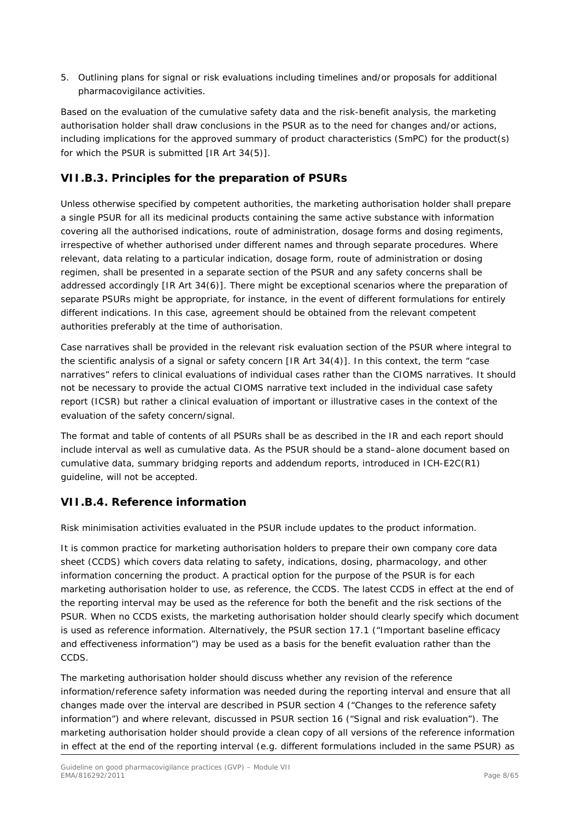5. Outlining plans for signal or risk evaluations including timelines and/or proposals for additional pharmacovigilance activities.

Based on the evaluation of the cumulative safety data and the risk-benefit analysis, the marketing authorisation holder shall draw conclusions in the PSUR as to the need for changes and/or actions, including implications for the approved summary of product characteristics (SmPC) for the product(s) for which the PSUR is submitted [IR Art 34(5)].

# <span id="page-7-0"></span>*VII.B.3. Principles for the preparation of PSURs*

Unless otherwise specified by competent authorities, the marketing authorisation holder shall prepare a single PSUR for all its medicinal products containing the same active substance with information covering all the authorised indications, route of administration, dosage forms and dosing regiments, irrespective of whether authorised under different names and through separate procedures. Where relevant, data relating to a particular indication, dosage form, route of administration or dosing regimen, shall be presented in a separate section of the PSUR and any safety concerns shall be addressed accordingly [IR Art 34(6)]. There might be exceptional scenarios where the preparation of separate PSURs might be appropriate, for instance, in the event of different formulations for entirely different indications. In this case, agreement should be obtained from the relevant competent authorities preferably at the time of authorisation.

Case narratives shall be provided in the relevant risk evaluation section of the PSUR where integral to the scientific analysis of a signal or safety concern [IR Art 34(4)]. In this context, the term "case narratives" refers to clinical evaluations of individual cases rather than the CIOMS narratives. It should not be necessary to provide the actual CIOMS narrative text included in the individual case safety report (ICSR) but rather a clinical evaluation of important or illustrative cases in the context of the evaluation of the safety concern/signal.

The format and table of contents of all PSURs shall be as described in the IR and each report should include interval as well as cumulative data. As the PSUR should be a stand–alone document based on cumulative data, summary bridging reports and addendum reports, introduced in ICH-E2C(R1) guideline, will not be accepted.

# <span id="page-7-1"></span>*VII.B.4. Reference information*

Risk minimisation activities evaluated in the PSUR include updates to the product information.

It is common practice for marketing authorisation holders to prepare their own company core data sheet (CCDS) which covers data relating to safety, indications, dosing, pharmacology, and other information concerning the product. A practical option for the purpose of the PSUR is for each marketing authorisation holder to use, as reference, the CCDS. The latest CCDS in effect at the end of the reporting interval may be used as the reference for both the benefit and the risk sections of the PSUR. When no CCDS exists, the marketing authorisation holder should clearly specify which document is used as reference information. Alternatively, the PSUR section 17.1 ("Important baseline efficacy and effectiveness information") may be used as a basis for the benefit evaluation rather than the CCDS.

The marketing authorisation holder should discuss whether any revision of the reference information/reference safety information was needed during the reporting interval and ensure that all changes made over the interval are described in PSUR section 4 ("Changes to the reference safety information") and where relevant, discussed in PSUR section 16 ("Signal and risk evaluation"). The marketing authorisation holder should provide a clean copy of all versions of the reference information in effect at the end of the reporting interval (e.g. different formulations included in the same PSUR) as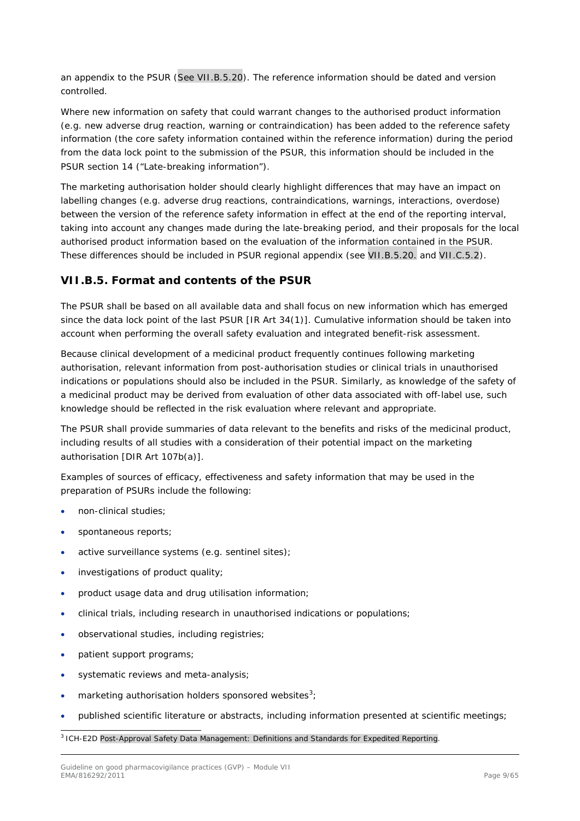an appendix to the PSUR (See VII.B.5.20). The reference information should be dated and version controlled.

Where new information on safety that could warrant changes to the authorised product information (e.g. new adverse drug reaction, warning or contraindication) has been added to the reference safety information (the core safety information contained within the reference information) during the period from the data lock point to the submission of the PSUR, this information should be included in the PSUR section 14 ("Late-breaking information").

The marketing authorisation holder should clearly highlight differences that may have an impact on labelling changes (e.g. adverse drug reactions, contraindications, warnings, interactions, overdose) between the version of the reference safety information in effect at the end of the reporting interval, taking into account any changes made during the late-breaking period, and their proposals for the local authorised product information based on the evaluation of the information contained in the PSUR. These differences should be included in PSUR regional appendix (see VII.B.5.20. and VII.C.5.2).

# <span id="page-8-0"></span>*VII.B.5. Format and contents of the PSUR*

The PSUR shall be based on all available data and shall focus on new information which has emerged since the data lock point of the last PSUR [IR Art 34(1)]. Cumulative information should be taken into account when performing the overall safety evaluation and integrated benefit-risk assessment.

Because clinical development of a medicinal product frequently continues following marketing authorisation, relevant information from post-authorisation studies or clinical trials in unauthorised indications or populations should also be included in the PSUR. Similarly, as knowledge of the safety of a medicinal product may be derived from evaluation of other data associated with off-label use, such knowledge should be reflected in the risk evaluation where relevant and appropriate.

The PSUR shall provide summaries of data relevant to the benefits and risks of the medicinal product, including results of all studies with a consideration of their potential impact on the marketing authorisation [DIR Art 107b(a)].

Examples of sources of efficacy, effectiveness and safety information that may be used in the preparation of PSURs include the following:

- non-clinical studies;
- spontaneous reports:
- active surveillance systems (e.g. sentinel sites);
- investigations of product quality;
- product usage data and drug utilisation information;
- clinical trials, including research in unauthorised indications or populations;
- observational studies, including registries;
- patient support programs;
- systematic reviews and meta-analysis;
- marketing authorisation holders sponsored websites<sup>[3](#page-8-1)</sup>;
- published scientific literature or abstracts, including information presented at scientific meetings;

<span id="page-8-1"></span>3 ICH-E2D Post-Approval Safety Data Management: Definitions and Standards for Expedited Reporting.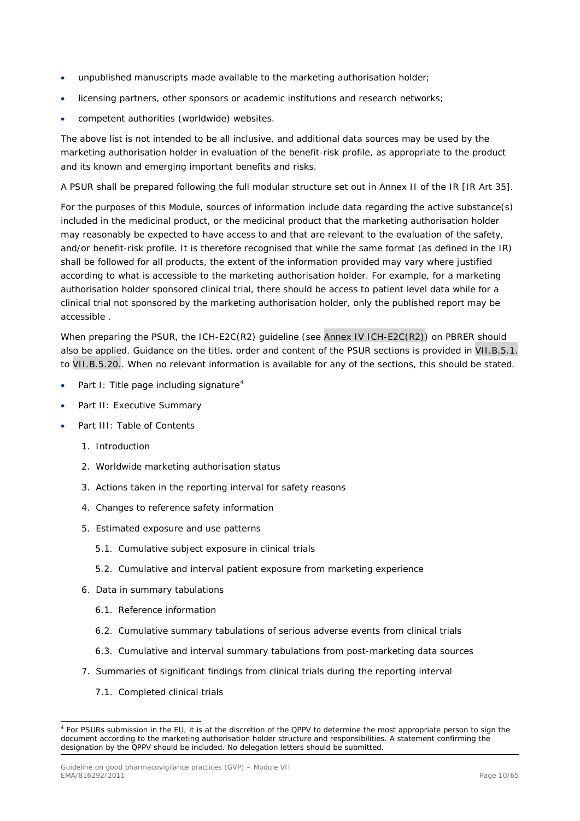- unpublished manuscripts made available to the marketing authorisation holder;
- licensing partners, other sponsors or academic institutions and research networks;
- competent authorities (worldwide) websites.

The above list is not intended to be all inclusive, and additional data sources may be used by the marketing authorisation holder in evaluation of the benefit-risk profile, as appropriate to the product and its known and emerging important benefits and risks.

A PSUR shall be prepared following the full modular structure set out in Annex II of the IR [IR Art 35].

For the purposes of this Module, sources of information include data regarding the active substance(s) included in the medicinal product, or the medicinal product that the marketing authorisation holder may reasonably be expected to have access to and that are relevant to the evaluation of the safety, and/or benefit-risk profile. It is therefore recognised that while the same format (as defined in the IR) shall be followed for all products, the extent of the information provided may vary where justified according to what is accessible to the marketing authorisation holder. For example, for a marketing authorisation holder sponsored clinical trial, there should be access to patient level data while for a clinical trial not sponsored by the marketing authorisation holder, only the published report may be accessible .

When preparing the PSUR, the ICH-E2C(R2) guideline (see Annex IV ICH-E2C(R2)) on PBRER should also be applied. Guidance on the titles, order and content of the PSUR sections is provided in VII.B.5.1. to VII.B.5.20.. When no relevant information is available for any of the sections, this should be stated.

- Part I: Title page including signature<sup>[4](#page-9-0)</sup>
- Part II: Executive Summary
- Part III: Table of Contents
	- 1. Introduction
	- 2. Worldwide marketing authorisation status
	- 3. Actions taken in the reporting interval for safety reasons
	- 4. Changes to reference safety information
	- 5. Estimated exposure and use patterns
		- 5.1. Cumulative subject exposure in clinical trials
		- 5.2. Cumulative and interval patient exposure from marketing experience
	- 6. Data in summary tabulations
		- 6.1. Reference information
		- 6.2. Cumulative summary tabulations of serious adverse events from clinical trials
		- 6.3. Cumulative and interval summary tabulations from post-marketing data sources
	- 7. Summaries of significant findings from clinical trials during the reporting interval
		- 7.1. Completed clinical trials

<span id="page-9-0"></span><sup>&</sup>lt;sup>4</sup> For PSURs submission in the EU, it is at the discretion of the QPPV to determine the most appropriate person to sign the document according to the marketing authorisation holder structure and responsibilities. A statement confirming the designation by the QPPV should be included. No delegation letters should be submitted.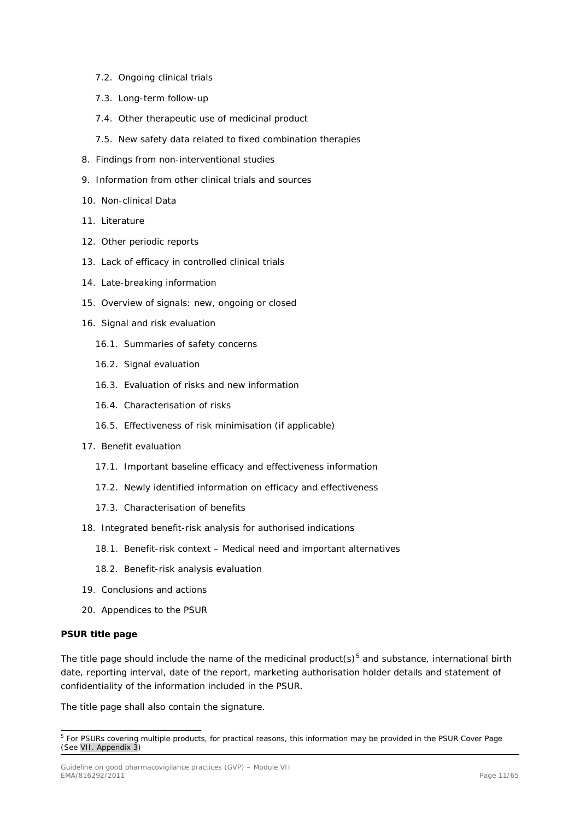- 7.2. Ongoing clinical trials
- 7.3. Long-term follow-up
- 7.4. Other therapeutic use of medicinal product
- 7.5. New safety data related to fixed combination therapies
- 8. Findings from non-interventional studies
- 9. Information from other clinical trials and sources
- 10. Non-clinical Data
- 11. Literature
- 12. Other periodic reports
- 13. Lack of efficacy in controlled clinical trials
- 14. Late-breaking information
- 15. Overview of signals: new, ongoing or closed
- 16. Signal and risk evaluation
	- 16.1. Summaries of safety concerns
	- 16.2. Signal evaluation
	- 16.3. Evaluation of risks and new information
	- 16.4. Characterisation of risks
	- 16.5. Effectiveness of risk minimisation (if applicable)
- 17. Benefit evaluation
	- 17.1. Important baseline efficacy and effectiveness information
	- 17.2. Newly identified information on efficacy and effectiveness
	- 17.3. Characterisation of benefits
- 18. Integrated benefit-risk analysis for authorised indications
	- 18.1. Benefit-risk context Medical need and important alternatives
	- 18.2. Benefit-risk analysis evaluation
- 19. Conclusions and actions
- 20. Appendices to the PSUR

#### **PSUR title page**

The title page should include the name of the medicinal product(s)<sup>[5](#page-10-0)</sup> and substance, international birth date, reporting interval, date of the report, marketing authorisation holder details and statement of confidentiality of the information included in the PSUR.

The title page shall also contain the signature.

<span id="page-10-0"></span><sup>&</sup>lt;sup>5</sup> For PSURs covering multiple products, for practical reasons, this information may be provided in the PSUR Cover Page (See VII. Appendix 3)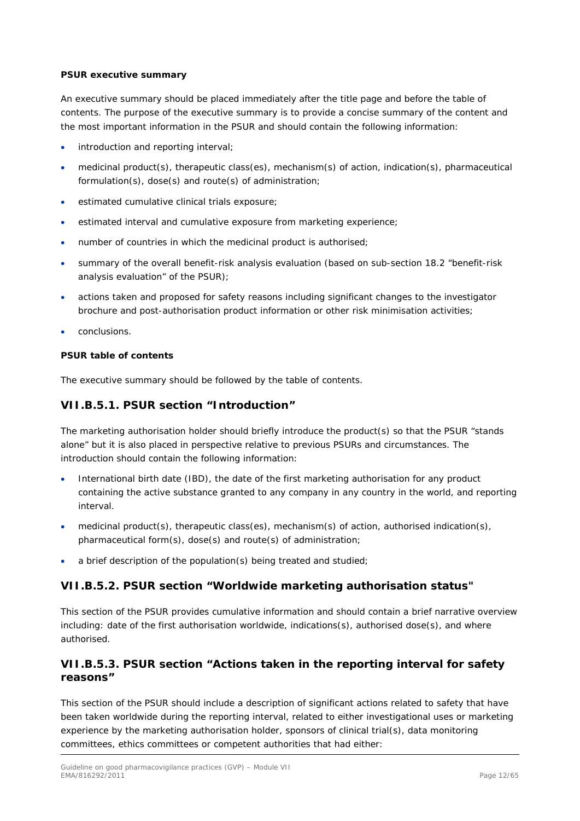#### **PSUR executive summary**

An executive summary should be placed immediately after the title page and before the table of contents. The purpose of the executive summary is to provide a concise summary of the content and the most important information in the PSUR and should contain the following information:

- introduction and reporting interval;
- medicinal product(s), therapeutic class(es), mechanism(s) of action, indication(s), pharmaceutical formulation(s), dose(s) and route(s) of administration;
- estimated cumulative clinical trials exposure;
- estimated interval and cumulative exposure from marketing experience;
- number of countries in which the medicinal product is authorised;
- summary of the overall benefit-risk analysis evaluation (based on sub-section 18.2 "benefit-risk analysis evaluation" of the PSUR);
- actions taken and proposed for safety reasons including significant changes to the investigator brochure and post-authorisation product information or other risk minimisation activities;
- conclusions.

#### **PSUR table of contents**

The executive summary should be followed by the table of contents.

## <span id="page-11-0"></span>**VII.B.5.1. PSUR section "Introduction"**

The marketing authorisation holder should briefly introduce the product(s) so that the PSUR "stands alone" but it is also placed in perspective relative to previous PSURs and circumstances. The introduction should contain the following information:

- International birth date (IBD), the date of the first marketing authorisation for any product containing the active substance granted to any company in any country in the world, and reporting interval.
- medicinal product(s), therapeutic class(es), mechanism(s) of action, authorised indication(s), pharmaceutical form(s), dose(s) and route(s) of administration;
- a brief description of the population(s) being treated and studied;

## <span id="page-11-1"></span>**VII.B.5.2. PSUR section "Worldwide marketing authorisation status"**

This section of the PSUR provides cumulative information and should contain a brief narrative overview including: date of the first authorisation worldwide, indications(s), authorised dose(s), and where authorised.

## <span id="page-11-2"></span>**VII.B.5.3. PSUR section "Actions taken in the reporting interval for safety reasons"**

This section of the PSUR should include a description of significant actions related to safety that have been taken worldwide during the reporting interval, related to either investigational uses or marketing experience by the marketing authorisation holder, sponsors of clinical trial(s), data monitoring committees, ethics committees or competent authorities that had either: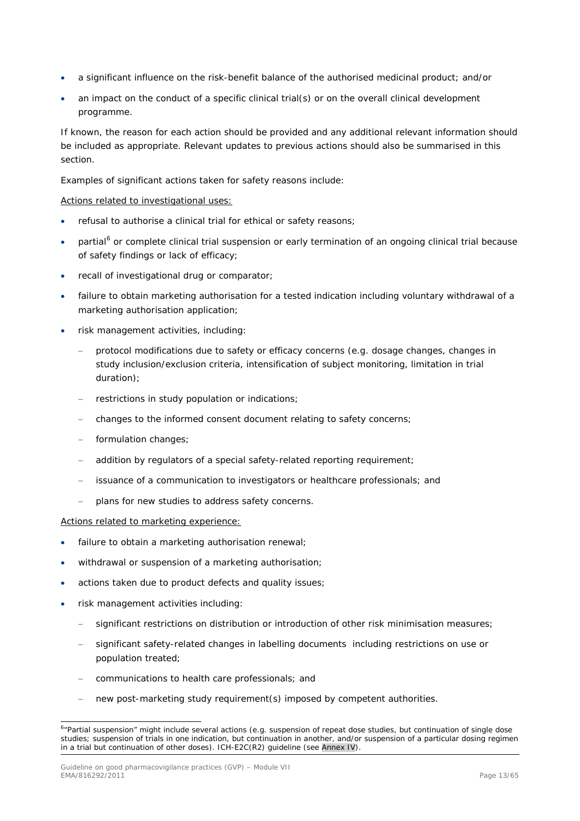- a significant influence on the risk-benefit balance of the authorised medicinal product; and/or
- an impact on the conduct of a specific clinical trial(s) or on the overall clinical development programme.

If known, the reason for each action should be provided and any additional relevant information should be included as appropriate. Relevant updates to previous actions should also be summarised in this section.

Examples of significant actions taken for safety reasons include:

#### Actions related to investigational uses:

- refusal to authorise a clinical trial for ethical or safety reasons;
- partial<sup>[6](#page-12-0)</sup> or complete clinical trial suspension or early termination of an ongoing clinical trial because of safety findings or lack of efficacy;
- recall of investigational drug or comparator;
- failure to obtain marketing authorisation for a tested indication including voluntary withdrawal of a marketing authorisation application;
- risk management activities, including:
	- − protocol modifications due to safety or efficacy concerns (e.g. dosage changes, changes in study inclusion/exclusion criteria, intensification of subject monitoring, limitation in trial duration);
	- − restrictions in study population or indications;
	- changes to the informed consent document relating to safety concerns;
	- formulation changes;
	- addition by regulators of a special safety-related reporting requirement;
	- issuance of a communication to investigators or healthcare professionals; and
	- plans for new studies to address safety concerns.

#### Actions related to marketing experience:

- failure to obtain a marketing authorisation renewal;
- withdrawal or suspension of a marketing authorisation;
- actions taken due to product defects and quality issues;
- risk management activities including:
	- significant restrictions on distribution or introduction of other risk minimisation measures;
	- significant safety-related changes in labelling documents including restrictions on use or population treated;
	- − communications to health care professionals; and
	- new post-marketing study requirement(s) imposed by competent authorities.

<span id="page-12-0"></span> <sup>6</sup> "Partial suspension" might include several actions (e.g. suspension of repeat dose studies, but continuation of single dose studies; suspension of trials in one indication, but continuation in another, and/or suspension of a particular dosing regimen in a trial but continuation of other doses). ICH-E2C(R2) guideline (see Annex IV).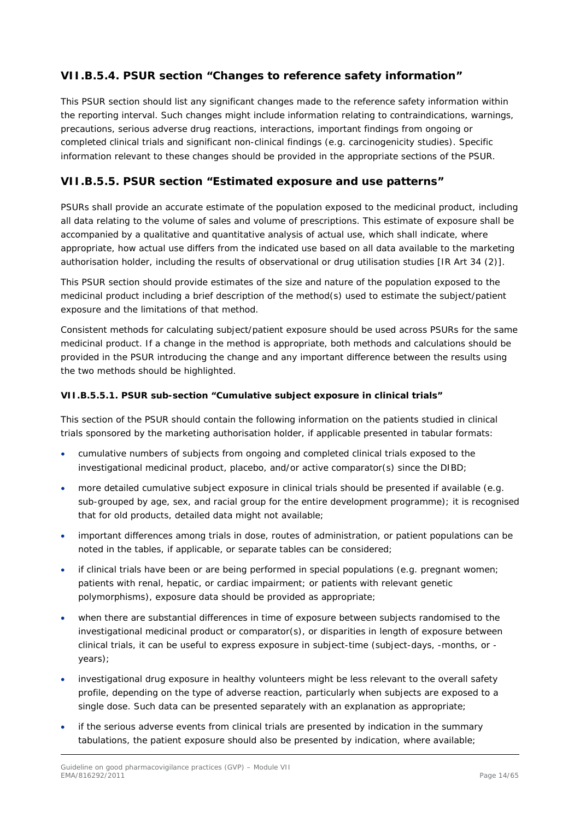# <span id="page-13-0"></span>**VII.B.5.4. PSUR section "Changes to reference safety information"**

This PSUR section should list any significant changes made to the reference safety information within the reporting interval. Such changes might include information relating to contraindications, warnings, precautions, serious adverse drug reactions, interactions, important findings from ongoing or completed clinical trials and significant non-clinical findings (e.g. carcinogenicity studies). Specific information relevant to these changes should be provided in the appropriate sections of the PSUR.

# <span id="page-13-1"></span>**VII.B.5.5. PSUR section "Estimated exposure and use patterns"**

PSURs shall provide an accurate estimate of the population exposed to the medicinal product, including all data relating to the volume of sales and volume of prescriptions. This estimate of exposure shall be accompanied by a qualitative and quantitative analysis of actual use, which shall indicate, where appropriate, how actual use differs from the indicated use based on all data available to the marketing authorisation holder, including the results of observational or drug utilisation studies [IR Art 34 (2)].

This PSUR section should provide estimates of the size and nature of the population exposed to the medicinal product including a brief description of the method(s) used to estimate the subject/patient exposure and the limitations of that method.

Consistent methods for calculating subject/patient exposure should be used across PSURs for the same medicinal product. If a change in the method is appropriate, both methods and calculations should be provided in the PSUR introducing the change and any important difference between the results using the two methods should be highlighted.

### <span id="page-13-2"></span>*VII.B.5.5.1. PSUR sub-section "Cumulative subject exposure in clinical trials"*

This section of the PSUR should contain the following information on the patients studied in clinical trials sponsored by the marketing authorisation holder, if applicable presented in tabular formats:

- cumulative numbers of subjects from ongoing and completed clinical trials exposed to the investigational medicinal product, placebo, and/or active comparator(s) since the DIBD;
- more detailed cumulative subject exposure in clinical trials should be presented if available (e.g. sub-grouped by age, sex, and racial group for the entire development programme); it is recognised that for old products, detailed data might not available;
- important differences among trials in dose, routes of administration, or patient populations can be noted in the tables, if applicable, or separate tables can be considered;
- if clinical trials have been or are being performed in special populations (e.g. pregnant women; patients with renal, hepatic, or cardiac impairment; or patients with relevant genetic polymorphisms), exposure data should be provided as appropriate;
- when there are substantial differences in time of exposure between subjects randomised to the investigational medicinal product or comparator(s), or disparities in length of exposure between clinical trials, it can be useful to express exposure in subject-time (subject-days, -months, or years);
- investigational drug exposure in healthy volunteers might be less relevant to the overall safety profile, depending on the type of adverse reaction, particularly when subjects are exposed to a single dose. Such data can be presented separately with an explanation as appropriate;
- if the serious adverse events from clinical trials are presented by indication in the summary tabulations, the patient exposure should also be presented by indication, where available;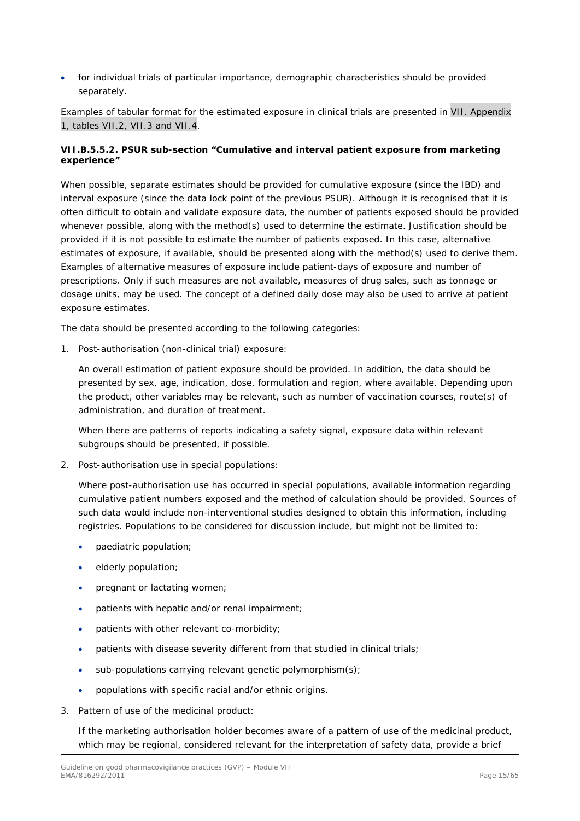• for individual trials of particular importance, demographic characteristics should be provided separately.

Examples of tabular format for the estimated exposure in clinical trials are presented in VII. Appendix 1, tables VII.2, VII.3 and VII.4.

## <span id="page-14-0"></span>*VII.B.5.5.2. PSUR sub-section "Cumulative and interval patient exposure from marketing experience"*

When possible, separate estimates should be provided for cumulative exposure (since the IBD) and interval exposure (since the data lock point of the previous PSUR). Although it is recognised that it is often difficult to obtain and validate exposure data, the number of patients exposed should be provided whenever possible, along with the method(s) used to determine the estimate. Justification should be provided if it is not possible to estimate the number of patients exposed. In this case, alternative estimates of exposure, if available, should be presented along with the method(s) used to derive them. Examples of alternative measures of exposure include patient-days of exposure and number of prescriptions. Only if such measures are not available, measures of drug sales, such as tonnage or dosage units, may be used. The concept of a defined daily dose may also be used to arrive at patient exposure estimates.

The data should be presented according to the following categories:

1. Post-authorisation (non-clinical trial) exposure:

An overall estimation of patient exposure should be provided. In addition, the data should be presented by sex, age, indication, dose, formulation and region, where available. Depending upon the product, other variables may be relevant, such as number of vaccination courses, route(s) of administration, and duration of treatment.

When there are patterns of reports indicating a safety signal, exposure data within relevant subgroups should be presented, if possible.

2. Post-authorisation use in special populations:

Where post-authorisation use has occurred in special populations, available information regarding cumulative patient numbers exposed and the method of calculation should be provided. Sources of such data would include non-interventional studies designed to obtain this information, including registries. Populations to be considered for discussion include, but might not be limited to:

- paediatric population;
- elderly population;
- pregnant or lactating women;
- patients with hepatic and/or renal impairment:
- patients with other relevant co-morbidity;
- patients with disease severity different from that studied in clinical trials:
- sub-populations carrying relevant genetic polymorphism(s);
- populations with specific racial and/or ethnic origins.
- 3. Pattern of use of the medicinal product:

If the marketing authorisation holder becomes aware of a pattern of use of the medicinal product, which may be regional, considered relevant for the interpretation of safety data, provide a brief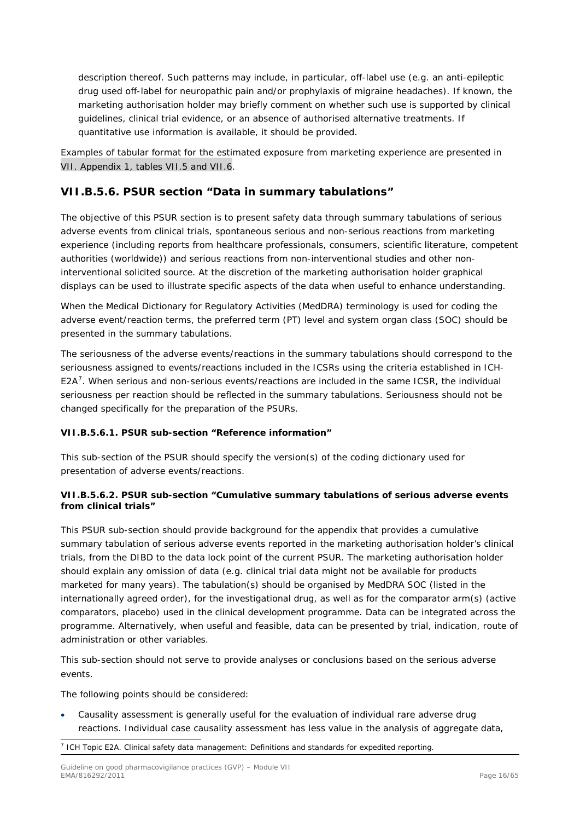description thereof. Such patterns may include, in particular, off-label use (e.g. an anti-epileptic drug used off-label for neuropathic pain and/or prophylaxis of migraine headaches). If known, the marketing authorisation holder may briefly comment on whether such use is supported by clinical guidelines, clinical trial evidence, or an absence of authorised alternative treatments. If quantitative use information is available, it should be provided.

Examples of tabular format for the estimated exposure from marketing experience are presented in VII. Appendix 1, tables VII.5 and VII.6.

## <span id="page-15-0"></span>**VII.B.5.6. PSUR section "Data in summary tabulations"**

The objective of this PSUR section is to present safety data through summary tabulations of serious adverse events from clinical trials, spontaneous serious and non-serious reactions from marketing experience (including reports from healthcare professionals, consumers, scientific literature, competent authorities (worldwide)) and serious reactions from non-interventional studies and other noninterventional solicited source. At the discretion of the marketing authorisation holder graphical displays can be used to illustrate specific aspects of the data when useful to enhance understanding.

When the Medical Dictionary for Regulatory Activities (MedDRA) terminology is used for coding the adverse event/reaction terms, the preferred term (PT) level and system organ class (SOC) should be presented in the summary tabulations.

The seriousness of the adverse events/reactions in the summary tabulations should correspond to the seriousness assigned to events/reactions included in the ICSRs using the criteria established in ICH-E2A<sup>[7](#page-15-3)</sup>. When serious and non-serious events/reactions are included in the same ICSR, the individual seriousness per reaction should be reflected in the summary tabulations. Seriousness should not be changed specifically for the preparation of the PSURs.

### <span id="page-15-1"></span>*VII.B.5.6.1. PSUR sub-section "Reference information"*

This sub-section of the PSUR should specify the version(s) of the coding dictionary used for presentation of adverse events/reactions.

#### <span id="page-15-2"></span>*VII.B.5.6.2. PSUR sub-section "Cumulative summary tabulations of serious adverse events from clinical trials"*

This PSUR sub-section should provide background for the appendix that provides a cumulative summary tabulation of serious adverse events reported in the marketing authorisation holder's clinical trials, from the DIBD to the data lock point of the current PSUR. The marketing authorisation holder should explain any omission of data (e.g. clinical trial data might not be available for products marketed for many years). The tabulation(s) should be organised by MedDRA SOC (listed in the internationally agreed order), for the investigational drug, as well as for the comparator arm(s) (active comparators, placebo) used in the clinical development programme. Data can be integrated across the programme. Alternatively, when useful and feasible, data can be presented by trial, indication, route of administration or other variables.

This sub-section should not serve to provide analyses or conclusions based on the serious adverse events.

The following points should be considered:

• Causality assessment is generally useful for the evaluation of individual rare adverse drug reactions. Individual case causality assessment has less value in the analysis of aggregate data,

<span id="page-15-3"></span> $<sup>7</sup>$  ICH Topic E2A. Clinical safety data management: Definitions and standards for expedited reporting.</sup>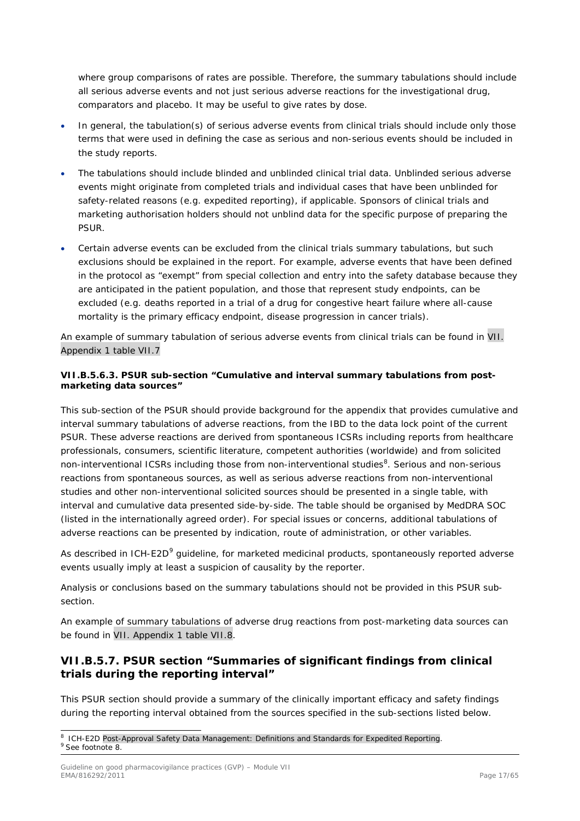where group comparisons of rates are possible. Therefore, the summary tabulations should include all serious adverse events and not just serious adverse reactions for the investigational drug, comparators and placebo. It may be useful to give rates by dose.

- In general, the tabulation(s) of serious adverse events from clinical trials should include only those terms that were used in defining the case as serious and non-serious events should be included in the study reports.
- The tabulations should include blinded and unblinded clinical trial data. Unblinded serious adverse events might originate from completed trials and individual cases that have been unblinded for safety-related reasons (e.g. expedited reporting), if applicable. Sponsors of clinical trials and marketing authorisation holders should not unblind data for the specific purpose of preparing the PSUR.
- Certain adverse events can be excluded from the clinical trials summary tabulations, but such exclusions should be explained in the report. For example, adverse events that have been defined in the protocol as "exempt" from special collection and entry into the safety database because they are anticipated in the patient population, and those that represent study endpoints, can be excluded (e.g. deaths reported in a trial of a drug for congestive heart failure where all-cause mortality is the primary efficacy endpoint, disease progression in cancer trials).

An example of summary tabulation of serious adverse events from clinical trials can be found in VII. Appendix 1 table VII.7

## <span id="page-16-0"></span>*VII.B.5.6.3. PSUR sub-section "Cumulative and interval summary tabulations from postmarketing data sources"*

This sub-section of the PSUR should provide background for the appendix that provides cumulative and interval summary tabulations of adverse reactions, from the IBD to the data lock point of the current PSUR. These adverse reactions are derived from spontaneous ICSRs including reports from healthcare professionals, consumers, scientific literature, competent authorities (worldwide) and from solicited non-interventional ICSRs including those from non-interventional studies<sup>[8](#page-16-2)</sup>. Serious and non-serious reactions from spontaneous sources, as well as serious adverse reactions from non-interventional studies and other non-interventional solicited sources should be presented in a single table, with interval and cumulative data presented side-by-side. The table should be organised by MedDRA SOC (listed in the internationally agreed order). For special issues or concerns, additional tabulations of adverse reactions can be presented by indication, route of administration, or other variables.

As described in ICH-E2D<sup>[9](#page-16-3)</sup> guideline, for marketed medicinal products, spontaneously reported adverse events usually imply at least a suspicion of causality by the reporter.

Analysis or conclusions based on the summary tabulations should not be provided in this PSUR subsection.

An example of summary tabulations of adverse drug reactions from post-marketing data sources can be found in VII. Appendix 1 table VII.8.

# <span id="page-16-1"></span>**VII.B.5.7. PSUR section "Summaries of significant findings from clinical trials during the reporting interval"**

This PSUR section should provide a summary of the clinically important efficacy and safety findings during the reporting interval obtained from the sources specified in the sub-sections listed below.

<span id="page-16-3"></span><span id="page-16-2"></span><sup>&</sup>lt;sup>8</sup> ICH-E2D Post-Approval Safety Data Management: Definitions and Standards for Expedited Reporting. <sup>9</sup> See footnote 8.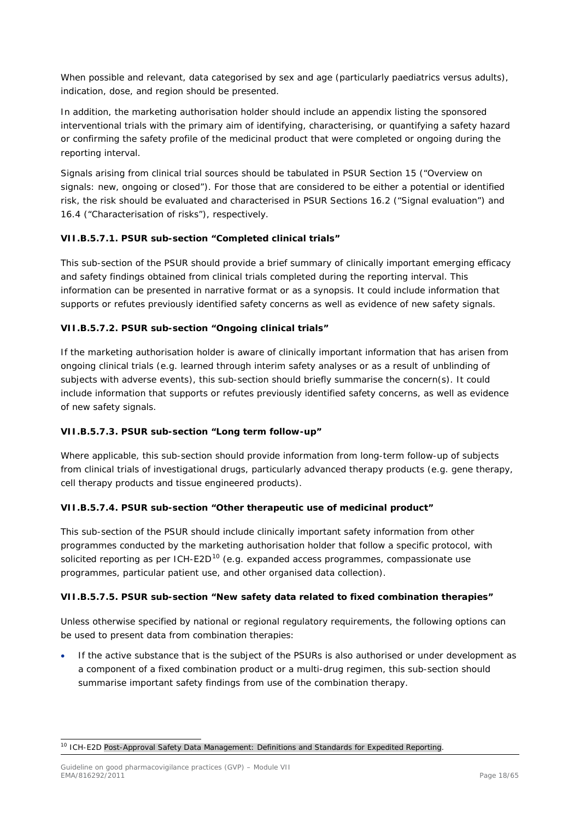When possible and relevant, data categorised by sex and age (particularly paediatrics versus adults), indication, dose, and region should be presented.

In addition, the marketing authorisation holder should include an appendix listing the sponsored interventional trials with the primary aim of identifying, characterising, or quantifying a safety hazard or confirming the safety profile of the medicinal product that were completed or ongoing during the reporting interval.

Signals arising from clinical trial sources should be tabulated in PSUR Section 15 ("Overview on signals: new, ongoing or closed"). For those that are considered to be either a potential or identified risk, the risk should be evaluated and characterised in PSUR Sections 16.2 ("Signal evaluation") and 16.4 ("Characterisation of risks"), respectively.

### <span id="page-17-0"></span>*VII.B.5.7.1. PSUR sub-section "Completed clinical trials"*

This sub-section of the PSUR should provide a brief summary of clinically important emerging efficacy and safety findings obtained from clinical trials completed during the reporting interval. This information can be presented in narrative format or as a synopsis. It could include information that supports or refutes previously identified safety concerns as well as evidence of new safety signals.

### <span id="page-17-1"></span>*VII.B.5.7.2. PSUR sub-section "Ongoing clinical trials"*

If the marketing authorisation holder is aware of clinically important information that has arisen from ongoing clinical trials (e.g. learned through interim safety analyses or as a result of unblinding of subjects with adverse events), this sub-section should briefly summarise the concern(s). It could include information that supports or refutes previously identified safety concerns, as well as evidence of new safety signals.

#### <span id="page-17-2"></span>*VII.B.5.7.3. PSUR sub-section "Long term follow-up"*

Where applicable, this sub-section should provide information from long-term follow-up of subjects from clinical trials of investigational drugs, particularly advanced therapy products (e.g. gene therapy, cell therapy products and tissue engineered products).

### <span id="page-17-3"></span>*VII.B.5.7.4. PSUR sub-section "Other therapeutic use of medicinal product"*

This sub-section of the PSUR should include clinically important safety information from other programmes conducted by the marketing authorisation holder that follow a specific protocol, with solicited reporting as per ICH-E2D<sup>[10](#page-17-5)</sup> (e.g. expanded access programmes, compassionate use programmes, particular patient use, and other organised data collection).

### <span id="page-17-4"></span>*VII.B.5.7.5. PSUR sub-section "New safety data related to fixed combination therapies"*

Unless otherwise specified by national or regional regulatory requirements, the following options can be used to present data from combination therapies:

If the active substance that is the subject of the PSURs is also authorised or under development as a component of a fixed combination product or a multi-drug regimen, this sub-section should summarise important safety findings from use of the combination therapy.

<span id="page-17-5"></span><sup>&</sup>lt;sup>10</sup> ICH-E2D Post-Approval Safety Data Management: Definitions and Standards for Expedited Reporting.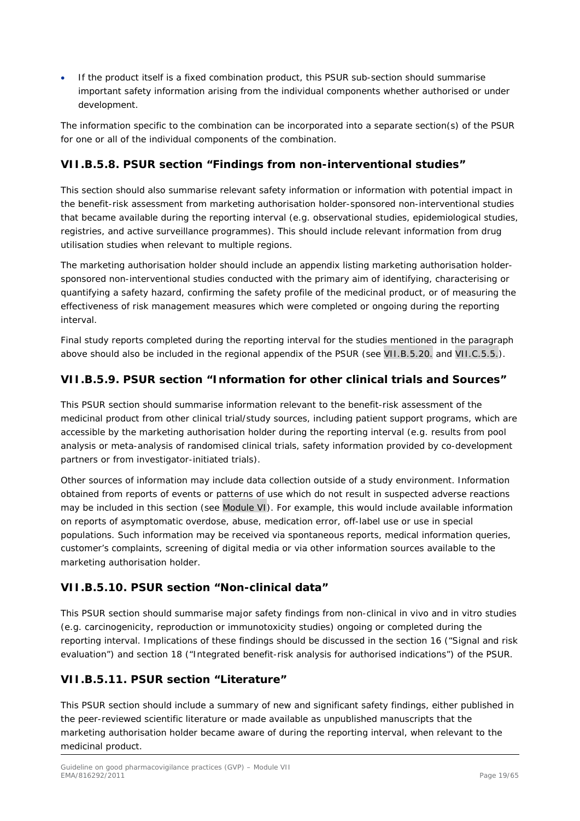• If the product itself is a fixed combination product, this PSUR sub-section should summarise important safety information arising from the individual components whether authorised or under development.

The information specific to the combination can be incorporated into a separate section(s) of the PSUR for one or all of the individual components of the combination.

# <span id="page-18-0"></span>**VII.B.5.8. PSUR section "Findings from non-interventional studies"**

This section should also summarise relevant safety information or information with potential impact in the benefit-risk assessment from marketing authorisation holder-sponsored non-interventional studies that became available during the reporting interval (e.g. observational studies, epidemiological studies, registries, and active surveillance programmes). This should include relevant information from drug utilisation studies when relevant to multiple regions.

The marketing authorisation holder should include an appendix listing marketing authorisation holdersponsored non-interventional studies conducted with the primary aim of identifying, characterising or quantifying a safety hazard, confirming the safety profile of the medicinal product, or of measuring the effectiveness of risk management measures which were completed or ongoing during the reporting interval.

Final study reports completed during the reporting interval for the studies mentioned in the paragraph above should also be included in the regional appendix of the PSUR (see VII.B.5.20. and VII.C.5.5.).

## <span id="page-18-1"></span>**VII.B.5.9. PSUR section "Information for other clinical trials and Sources"**

This PSUR section should summarise information relevant to the benefit-risk assessment of the medicinal product from other clinical trial/study sources, including patient support programs, which are accessible by the marketing authorisation holder during the reporting interval (e.g. results from pool analysis or meta-analysis of randomised clinical trials, safety information provided by co-development partners or from investigator-initiated trials).

Other sources of information may include data collection outside of a study environment. Information obtained from reports of events or patterns of use which do not result in suspected adverse reactions may be included in this section (see Module VI). For example, this would include available information on reports of asymptomatic overdose, abuse, medication error, off-label use or use in special populations. Such information may be received via spontaneous reports, medical information queries, customer's complaints, screening of digital media or via other information sources available to the marketing authorisation holder.

# <span id="page-18-2"></span>**VII.B.5.10. PSUR section "Non-clinical data"**

This PSUR section should summarise major safety findings from non-clinical in vivo and in vitro studies (e.g. carcinogenicity, reproduction or immunotoxicity studies) ongoing or completed during the reporting interval. Implications of these findings should be discussed in the section 16 ("Signal and risk evaluation") and section 18 ("Integrated benefit-risk analysis for authorised indications") of the PSUR.

# <span id="page-18-3"></span>**VII.B.5.11. PSUR section "Literature"**

This PSUR section should include a summary of new and significant safety findings, either published in the peer-reviewed scientific literature or made available as unpublished manuscripts that the marketing authorisation holder became aware of during the reporting interval, when relevant to the medicinal product.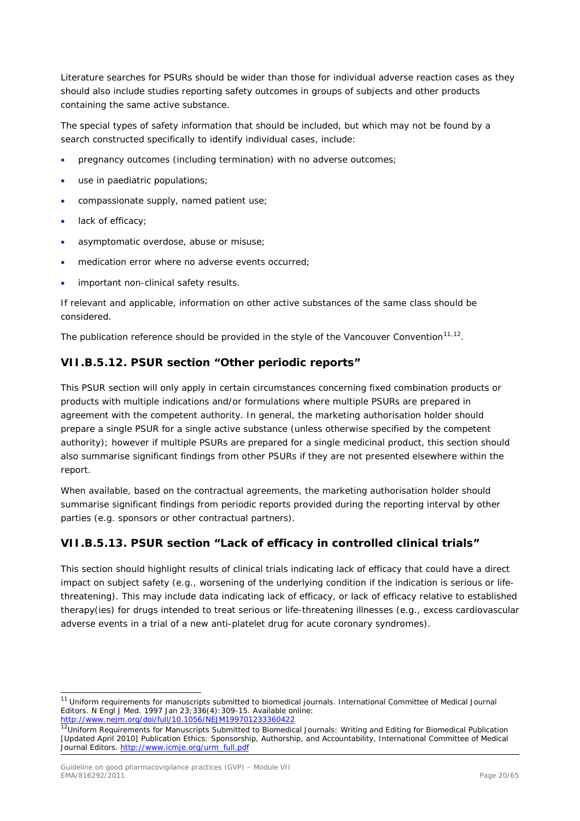Literature searches for PSURs should be wider than those for individual adverse reaction cases as they should also include studies reporting safety outcomes in groups of subjects and other products containing the same active substance.

The special types of safety information that should be included, but which may not be found by a search constructed specifically to identify individual cases, include:

- pregnancy outcomes (including termination) with no adverse outcomes;
- use in paediatric populations;
- compassionate supply, named patient use;
- lack of efficacy;
- asymptomatic overdose, abuse or misuse;
- medication error where no adverse events occurred;
- important non-clinical safety results.

If relevant and applicable, information on other active substances of the same class should be considered.

The publication reference should be provided in the style of the Vancouver Convention $11,12$  $11,12$ .

## <span id="page-19-0"></span>**VII.B.5.12. PSUR section "Other periodic reports"**

This PSUR section will only apply in certain circumstances concerning fixed combination products or products with multiple indications and/or formulations where multiple PSURs are prepared in agreement with the competent authority. In general, the marketing authorisation holder should prepare a single PSUR for a single active substance (unless otherwise specified by the competent authority); however if multiple PSURs are prepared for a single medicinal product, this section should also summarise significant findings from other PSURs if they are not presented elsewhere within the report.

When available, based on the contractual agreements, the marketing authorisation holder should summarise significant findings from periodic reports provided during the reporting interval by other parties (e.g. sponsors or other contractual partners).

# <span id="page-19-1"></span>**VII.B.5.13. PSUR section "Lack of efficacy in controlled clinical trials"**

This section should highlight results of clinical trials indicating lack of efficacy that could have a direct impact on subject safety (e.g., worsening of the underlying condition if the indication is serious or lifethreatening). This may include data indicating lack of efficacy, or lack of efficacy relative to established therapy(ies) for drugs intended to treat serious or life-threatening illnesses (e.g., excess cardiovascular adverse events in a trial of a new anti-platelet drug for acute coronary syndromes).

<span id="page-19-2"></span><sup>&</sup>lt;sup>11</sup> Uniform requirements for manuscripts submitted to biomedical journals. International Committee of Medical Journal Editors. N Engl J Med. 1997 Jan 23;336(4):309-15. Available online: <http://www.nejm.org/doi/full/10.1056/NEJM199701233360422>

<span id="page-19-3"></span><sup>&</sup>lt;sup>12</sup>Uniform Requirements for Manuscripts Submitted to Biomedical Journals: Writing and Editing for Biomedical Publication [Updated April 2010] Publication Ethics: Sponsorship, Authorship, and Accountability, International Committee of Medical Journal Editors[. http://www.icmje.org/urm\\_full.pdf](http://www.icmje.org/urm_full.pdf)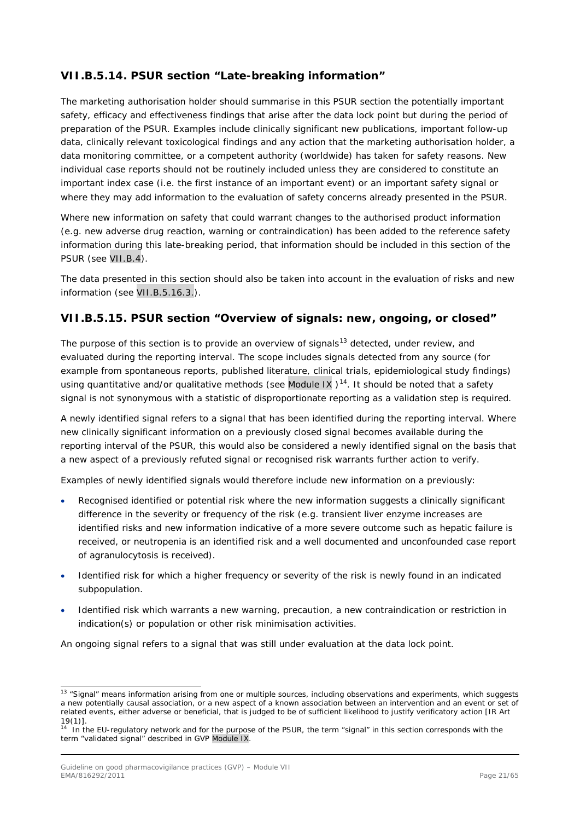# <span id="page-20-0"></span>**VII.B.5.14. PSUR section "Late-breaking information"**

The marketing authorisation holder should summarise in this PSUR section the potentially important safety, efficacy and effectiveness findings that arise after the data lock point but during the period of preparation of the PSUR. Examples include clinically significant new publications, important follow-up data, clinically relevant toxicological findings and any action that the marketing authorisation holder, a data monitoring committee, or a competent authority (worldwide) has taken for safety reasons. New individual case reports should not be routinely included unless they are considered to constitute an important index case (i.e. the first instance of an important event) or an important safety signal or where they may add information to the evaluation of safety concerns already presented in the PSUR.

Where new information on safety that could warrant changes to the authorised product information (e.g. new adverse drug reaction, warning or contraindication) has been added to the reference safety information during this late-breaking period, that information should be included in this section of the PSUR (see VII.B.4).

The data presented in this section should also be taken into account in the evaluation of risks and new information (see VII.B.5.16.3.).

## <span id="page-20-1"></span>**VII.B.5.15. PSUR section "Overview of signals: new, ongoing, or closed"**

The purpose of this section is to provide an overview of signals<sup>[13](#page-20-2)</sup> detected, under review, and evaluated during the reporting interval. The scope includes signals detected from any source (for example from spontaneous reports, published literature, clinical trials, epidemiological study findings) using quantitative and/or qualitative methods (see Module IX  $14$ . It should be noted that a safety signal is not synonymous with a statistic of disproportionate reporting as a validation step is required.

A newly identified signal refers to a signal that has been identified during the reporting interval. Where new clinically significant information on a previously closed signal becomes available during the reporting interval of the PSUR, this would also be considered a newly identified signal on the basis that a new aspect of a previously refuted signal or recognised risk warrants further action to verify.

Examples of newly identified signals would therefore include new information on a previously:

- Recognised identified or potential risk where the new information suggests a clinically significant difference in the severity or frequency of the risk (e.g. transient liver enzyme increases are identified risks and new information indicative of a more severe outcome such as hepatic failure is received, or neutropenia is an identified risk and a well documented and unconfounded case report of agranulocytosis is received).
- Identified risk for which a higher frequency or severity of the risk is newly found in an indicated subpopulation.
- Identified risk which warrants a new warning, precaution, a new contraindication or restriction in indication(s) or population or other risk minimisation activities.

An ongoing signal refers to a signal that was still under evaluation at the data lock point.

<span id="page-20-2"></span><sup>&</sup>lt;sup>13</sup> "Signal" means information arising from one or multiple sources, including observations and experiments, which suggests a new potentially causal association, or a new aspect of a known association between an intervention and an event or set of related events, either adverse or beneficial, that is judged to be of sufficient likelihood to justify verificatory action [IR Art  $19(1)$ ].

<span id="page-20-3"></span>In the EU-regulatory network and for the purpose of the PSUR, the term "signal" in this section corresponds with the term "validated signal" described in GVP Module IX.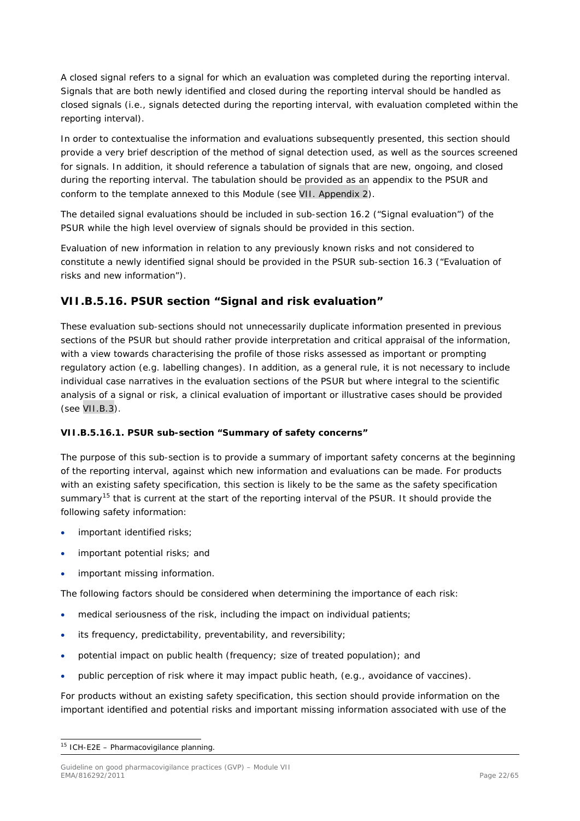A closed signal refers to a signal for which an evaluation was completed during the reporting interval. Signals that are both newly identified and closed during the reporting interval should be handled as closed signals (i.e., signals detected during the reporting interval, with evaluation completed within the reporting interval).

In order to contextualise the information and evaluations subsequently presented, this section should provide a very brief description of the method of signal detection used, as well as the sources screened for signals. In addition, it should reference a tabulation of signals that are new, ongoing, and closed during the reporting interval. The tabulation should be provided as an appendix to the PSUR and conform to the template annexed to this Module (see VII. Appendix 2).

The detailed signal evaluations should be included in sub-section 16.2 ("Signal evaluation") of the PSUR while the high level overview of signals should be provided in this section.

Evaluation of new information in relation to any previously known risks and not considered to constitute a newly identified signal should be provided in the PSUR sub-section 16.3 ("Evaluation of risks and new information").

## <span id="page-21-0"></span>**VII.B.5.16. PSUR section "Signal and risk evaluation"**

These evaluation sub-sections should not unnecessarily duplicate information presented in previous sections of the PSUR but should rather provide interpretation and critical appraisal of the information, with a view towards characterising the profile of those risks assessed as important or prompting regulatory action (e.g. labelling changes). In addition, as a general rule, it is not necessary to include individual case narratives in the evaluation sections of the PSUR but where integral to the scientific analysis of a signal or risk, a clinical evaluation of important or illustrative cases should be provided (see VII.B.3).

### <span id="page-21-1"></span>*VII.B.5.16.1. PSUR sub-section "Summary of safety concerns"*

The purpose of this sub-section is to provide a summary of important safety concerns at the beginning of the reporting interval, against which new information and evaluations can be made. For products with an existing safety specification, this section is likely to be the same as the safety specification summary<sup>[15](#page-21-2)</sup> that is current at the start of the reporting interval of the PSUR. It should provide the following safety information:

- important identified risks;
- important potential risks; and
- important missing information.

The following factors should be considered when determining the importance of each risk:

- medical seriousness of the risk, including the impact on individual patients;
- its frequency, predictability, preventability, and reversibility;
- potential impact on public health (frequency; size of treated population); and
- public perception of risk where it may impact public heath, (e.g., avoidance of vaccines).

For products without an existing safety specification, this section should provide information on the important identified and potential risks and important missing information associated with use of the

<span id="page-21-2"></span> $15$  ICH-E2E – Pharmacovigilance planning.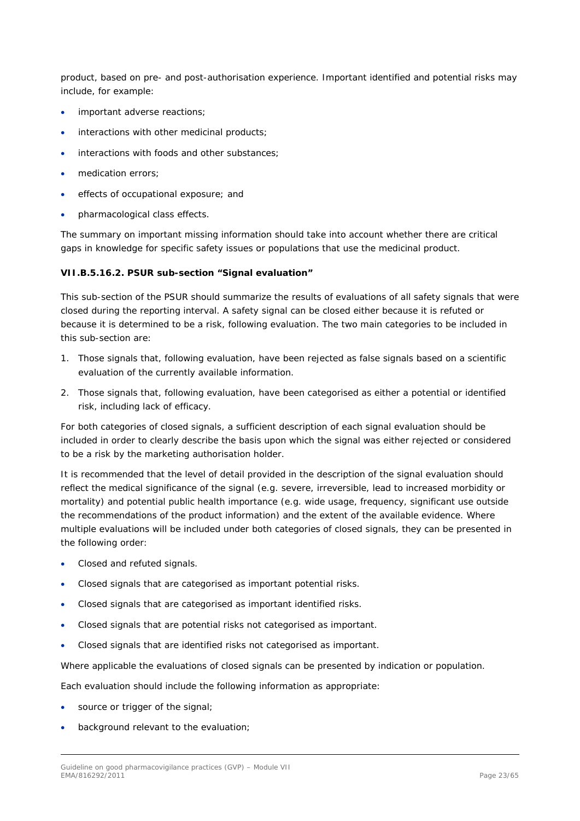product, based on pre- and post-authorisation experience. Important identified and potential risks may include, for example:

- important adverse reactions;
- interactions with other medicinal products;
- interactions with foods and other substances;
- medication errors;
- effects of occupational exposure; and
- pharmacological class effects.

The summary on important missing information should take into account whether there are critical gaps in knowledge for specific safety issues or populations that use the medicinal product.

#### <span id="page-22-0"></span>*VII.B.5.16.2. PSUR sub-section "Signal evaluation"*

This sub-section of the PSUR should summarize the results of evaluations of all safety signals that were closed during the reporting interval. A safety signal can be closed either because it is refuted or because it is determined to be a risk, following evaluation. The two main categories to be included in this sub-section are:

- 1. Those signals that, following evaluation, have been rejected as false signals based on a scientific evaluation of the currently available information.
- 2. Those signals that, following evaluation, have been categorised as either a potential or identified risk, including lack of efficacy.

For both categories of closed signals, a sufficient description of each signal evaluation should be included in order to clearly describe the basis upon which the signal was either rejected or considered to be a risk by the marketing authorisation holder.

It is recommended that the level of detail provided in the description of the signal evaluation should reflect the medical significance of the signal (e.g. severe, irreversible, lead to increased morbidity or mortality) and potential public health importance (e.g. wide usage, frequency, significant use outside the recommendations of the product information) and the extent of the available evidence. Where multiple evaluations will be included under both categories of closed signals, they can be presented in the following order:

- Closed and refuted signals.
- Closed signals that are categorised as important potential risks.
- Closed signals that are categorised as important identified risks.
- Closed signals that are potential risks not categorised as important.
- Closed signals that are identified risks not categorised as important.

Where applicable the evaluations of closed signals can be presented by indication or population.

Each evaluation should include the following information as appropriate:

- source or trigger of the signal;
- background relevant to the evaluation;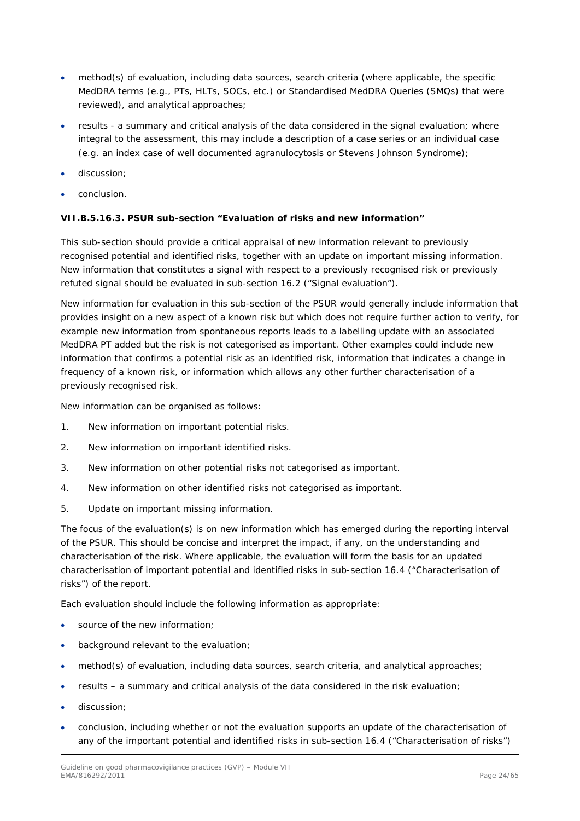- method(s) of evaluation, including data sources, search criteria (where applicable, the specific MedDRA terms (e.g., PTs, HLTs, SOCs, etc.) or Standardised MedDRA Queries (SMQs) that were reviewed), and analytical approaches;
- results a summary and critical analysis of the data considered in the signal evaluation; where integral to the assessment, this may include a description of a case series or an individual case (e.g. an index case of well documented agranulocytosis or Stevens Johnson Syndrome);
- discussion;
- conclusion.

### <span id="page-23-0"></span>*VII.B.5.16.3. PSUR sub-section "Evaluation of risks and new information"*

This sub-section should provide a critical appraisal of new information relevant to previously recognised potential and identified risks, together with an update on important missing information. New information that constitutes a signal with respect to a previously recognised risk or previously refuted signal should be evaluated in sub-section 16.2 ("Signal evaluation").

New information for evaluation in this sub-section of the PSUR would generally include information that provides insight on a new aspect of a known risk but which does not require further action to verify, for example new information from spontaneous reports leads to a labelling update with an associated MedDRA PT added but the risk is not categorised as important. Other examples could include new information that confirms a potential risk as an identified risk, information that indicates a change in frequency of a known risk, or information which allows any other further characterisation of a previously recognised risk.

New information can be organised as follows:

- 1. New information on important potential risks.
- 2. New information on important identified risks.
- 3. New information on other potential risks not categorised as important.
- 4. New information on other identified risks not categorised as important.
- 5. Update on important missing information.

The focus of the evaluation(s) is on new information which has emerged during the reporting interval of the PSUR. This should be concise and interpret the impact, if any, on the understanding and characterisation of the risk. Where applicable, the evaluation will form the basis for an updated characterisation of important potential and identified risks in sub-section 16.4 ("Characterisation of risks") of the report.

Each evaluation should include the following information as appropriate:

- source of the new information;
- background relevant to the evaluation;
- method(s) of evaluation, including data sources, search criteria, and analytical approaches;
- results a summary and critical analysis of the data considered in the risk evaluation;
- discussion;
- conclusion, including whether or not the evaluation supports an update of the characterisation of any of the important potential and identified risks in sub-section 16.4 ("Characterisation of risks")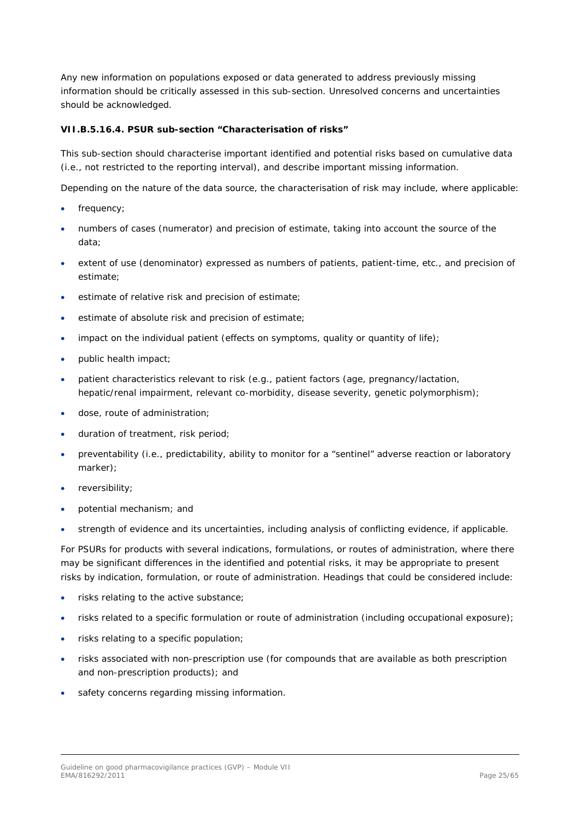Any new information on populations exposed or data generated to address previously missing information should be critically assessed in this sub-section. Unresolved concerns and uncertainties should be acknowledged.

#### <span id="page-24-0"></span>*VII.B.5.16.4. PSUR sub-section "Characterisation of risks"*

This sub-section should characterise important identified and potential risks based on cumulative data (i.e., not restricted to the reporting interval), and describe important missing information.

Depending on the nature of the data source, the characterisation of risk may include, where applicable:

- frequency;
- numbers of cases (numerator) and precision of estimate, taking into account the source of the data;
- extent of use (denominator) expressed as numbers of patients, patient-time, etc., and precision of estimate;
- estimate of relative risk and precision of estimate;
- estimate of absolute risk and precision of estimate;
- impact on the individual patient (effects on symptoms, quality or quantity of life);
- public health impact;
- patient characteristics relevant to risk (e.g., patient factors (age, pregnancy/lactation, hepatic/renal impairment, relevant co-morbidity, disease severity, genetic polymorphism);
- dose, route of administration;
- duration of treatment, risk period;
- preventability (i.e., predictability, ability to monitor for a "sentinel" adverse reaction or laboratory marker);
- reversibility;
- potential mechanism; and
- strength of evidence and its uncertainties, including analysis of conflicting evidence, if applicable.

For PSURs for products with several indications, formulations, or routes of administration, where there may be significant differences in the identified and potential risks, it may be appropriate to present risks by indication, formulation, or route of administration. Headings that could be considered include:

- risks relating to the active substance;
- risks related to a specific formulation or route of administration (including occupational exposure);
- risks relating to a specific population;
- risks associated with non-prescription use (for compounds that are available as both prescription and non-prescription products); and
- safety concerns regarding missing information.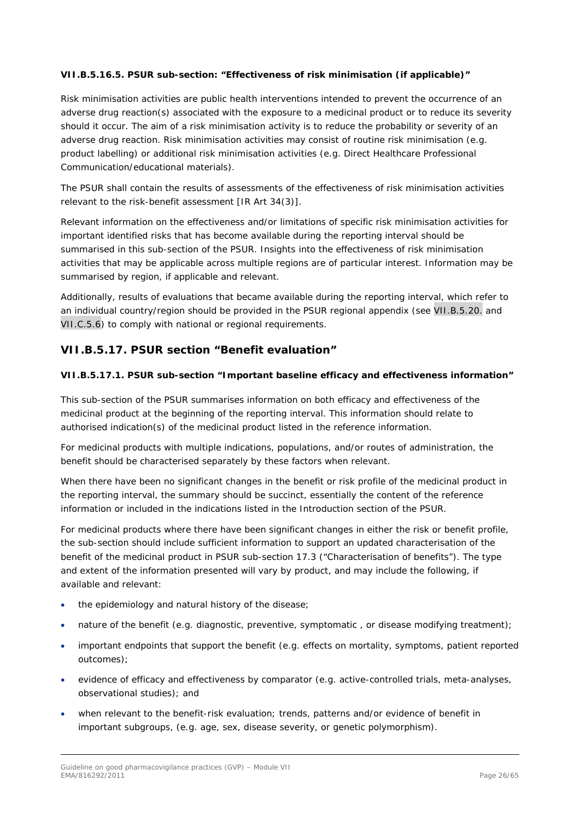### <span id="page-25-0"></span>*VII.B.5.16.5. PSUR sub-section: "Effectiveness of risk minimisation (if applicable)"*

Risk minimisation activities are public health interventions intended to prevent the occurrence of an adverse drug reaction(s) associated with the exposure to a medicinal product or to reduce its severity should it occur. The aim of a risk minimisation activity is to reduce the probability or severity of an adverse drug reaction. Risk minimisation activities may consist of routine risk minimisation (e.g. product labelling) or additional risk minimisation activities (e.g. Direct Healthcare Professional Communication/educational materials).

The PSUR shall contain the results of assessments of the effectiveness of risk minimisation activities relevant to the risk-benefit assessment [IR Art 34(3)].

Relevant information on the effectiveness and/or limitations of specific risk minimisation activities for important identified risks that has become available during the reporting interval should be summarised in this sub-section of the PSUR. Insights into the effectiveness of risk minimisation activities that may be applicable across multiple regions are of particular interest. Information may be summarised by region, if applicable and relevant.

Additionally, results of evaluations that became available during the reporting interval, which refer to an individual country/region should be provided in the PSUR regional appendix (see VII.B.5.20. and VII.C.5.6) to comply with national or regional requirements.

# <span id="page-25-1"></span>**VII.B.5.17. PSUR section "Benefit evaluation"**

#### <span id="page-25-2"></span>*VII.B.5.17.1. PSUR sub-section "Important baseline efficacy and effectiveness information"*

This sub-section of the PSUR summarises information on both efficacy and effectiveness of the medicinal product at the beginning of the reporting interval. This information should relate to authorised indication(s) of the medicinal product listed in the reference information.

For medicinal products with multiple indications, populations, and/or routes of administration, the benefit should be characterised separately by these factors when relevant.

When there have been no significant changes in the benefit or risk profile of the medicinal product in the reporting interval, the summary should be succinct, essentially the content of the reference information or included in the indications listed in the Introduction section of the PSUR.

For medicinal products where there have been significant changes in either the risk or benefit profile, the sub-section should include sufficient information to support an updated characterisation of the benefit of the medicinal product in PSUR sub-section 17.3 ("Characterisation of benefits"). The type and extent of the information presented will vary by product, and may include the following, if available and relevant:

- the epidemiology and natural history of the disease;
- nature of the benefit (e.g. diagnostic, preventive, symptomatic, or disease modifying treatment);
- important endpoints that support the benefit (e.g. effects on mortality, symptoms, patient reported outcomes);
- evidence of efficacy and effectiveness by comparator (e.g. active-controlled trials, meta-analyses, observational studies); and
- when relevant to the benefit-risk evaluation; trends, patterns and/or evidence of benefit in important subgroups, (e.g. age, sex, disease severity, or genetic polymorphism).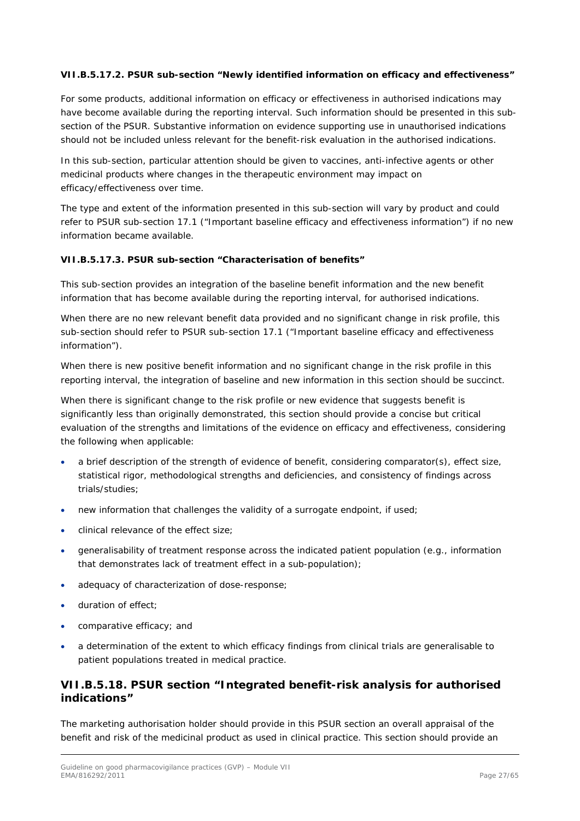### <span id="page-26-0"></span>*VII.B.5.17.2. PSUR sub-section "Newly identified information on efficacy and effectiveness"*

For some products, additional information on efficacy or effectiveness in authorised indications may have become available during the reporting interval. Such information should be presented in this subsection of the PSUR. Substantive information on evidence supporting use in unauthorised indications should not be included unless relevant for the benefit-risk evaluation in the authorised indications.

In this sub-section, particular attention should be given to vaccines, anti-infective agents or other medicinal products where changes in the therapeutic environment may impact on efficacy/effectiveness over time.

The type and extent of the information presented in this sub-section will vary by product and could refer to PSUR sub-section 17.1 ("Important baseline efficacy and effectiveness information") if no new information became available.

#### <span id="page-26-1"></span>*VII.B.5.17.3. PSUR sub-section "Characterisation of benefits"*

This sub-section provides an integration of the baseline benefit information and the new benefit information that has become available during the reporting interval, for authorised indications.

When there are no new relevant benefit data provided and no significant change in risk profile, this sub-section should refer to PSUR sub-section 17.1 ("Important baseline efficacy and effectiveness information").

When there is new positive benefit information and no significant change in the risk profile in this reporting interval, the integration of baseline and new information in this section should be succinct.

When there is significant change to the risk profile or new evidence that suggests benefit is significantly less than originally demonstrated, this section should provide a concise but critical evaluation of the strengths and limitations of the evidence on efficacy and effectiveness, considering the following when applicable:

- a brief description of the strength of evidence of benefit, considering comparator(s), effect size, statistical rigor, methodological strengths and deficiencies, and consistency of findings across trials/studies;
- new information that challenges the validity of a surrogate endpoint, if used;
- clinical relevance of the effect size;
- generalisability of treatment response across the indicated patient population (e.g., information that demonstrates lack of treatment effect in a sub-population);
- adequacy of characterization of dose-response;
- duration of effect;
- comparative efficacy; and
- a determination of the extent to which efficacy findings from clinical trials are generalisable to patient populations treated in medical practice.

## <span id="page-26-2"></span>**VII.B.5.18. PSUR section "Integrated benefit-risk analysis for authorised indications"**

The marketing authorisation holder should provide in this PSUR section an overall appraisal of the benefit and risk of the medicinal product as used in clinical practice. This section should provide an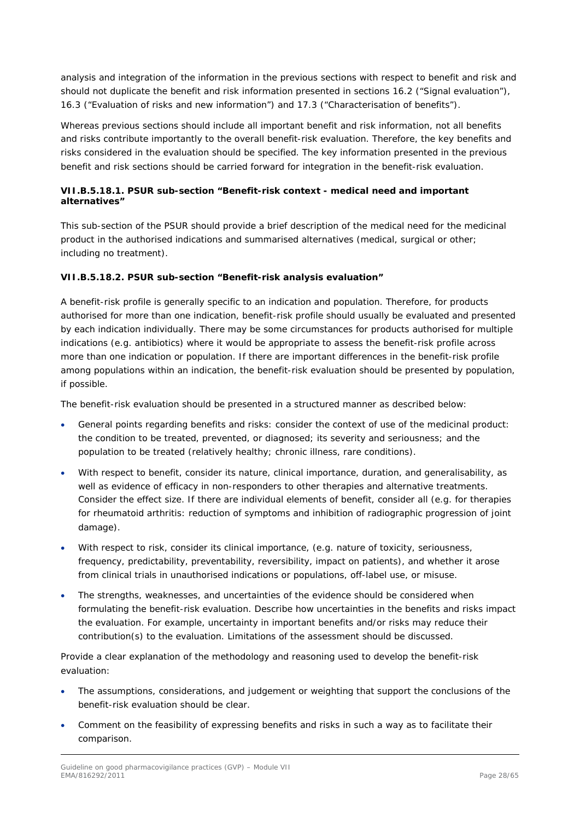analysis and integration of the information in the previous sections with respect to benefit and risk and should not duplicate the benefit and risk information presented in sections 16.2 ("Signal evaluation"), 16.3 ("Evaluation of risks and new information") and 17.3 ("Characterisation of benefits").

Whereas previous sections should include all important benefit and risk information, not all benefits and risks contribute importantly to the overall benefit-risk evaluation. Therefore, the key benefits and risks considered in the evaluation should be specified. The key information presented in the previous benefit and risk sections should be carried forward for integration in the benefit-risk evaluation.

## <span id="page-27-0"></span>*VII.B.5.18.1. PSUR sub-section "Benefit-risk context - medical need and important alternatives"*

This sub-section of the PSUR should provide a brief description of the medical need for the medicinal product in the authorised indications and summarised alternatives (medical, surgical or other; including no treatment).

### <span id="page-27-1"></span>*VII.B.5.18.2. PSUR sub-section "Benefit-risk analysis evaluation"*

A benefit-risk profile is generally specific to an indication and population. Therefore, for products authorised for more than one indication, benefit-risk profile should usually be evaluated and presented by each indication individually. There may be some circumstances for products authorised for multiple indications (e.g. antibiotics) where it would be appropriate to assess the benefit-risk profile across more than one indication or population. If there are important differences in the benefit-risk profile among populations within an indication, the benefit-risk evaluation should be presented by population, if possible.

The benefit-risk evaluation should be presented in a structured manner as described below:

- General points regarding benefits and risks: consider the context of use of the medicinal product: the condition to be treated, prevented, or diagnosed; its severity and seriousness; and the population to be treated (relatively healthy; chronic illness, rare conditions).
- With respect to benefit, consider its nature, clinical importance, duration, and generalisability, as well as evidence of efficacy in non-responders to other therapies and alternative treatments. Consider the effect size. If there are individual elements of benefit, consider all (e.g. for therapies for rheumatoid arthritis: reduction of symptoms and inhibition of radiographic progression of joint damage).
- With respect to risk, consider its clinical importance, (e.g. nature of toxicity, seriousness, frequency, predictability, preventability, reversibility, impact on patients), and whether it arose from clinical trials in unauthorised indications or populations, off-label use, or misuse.
- The strengths, weaknesses, and uncertainties of the evidence should be considered when formulating the benefit-risk evaluation. Describe how uncertainties in the benefits and risks impact the evaluation. For example, uncertainty in important benefits and/or risks may reduce their contribution(s) to the evaluation. Limitations of the assessment should be discussed.

Provide a clear explanation of the methodology and reasoning used to develop the benefit-risk evaluation:

- The assumptions, considerations, and judgement or weighting that support the conclusions of the benefit-risk evaluation should be clear.
- Comment on the feasibility of expressing benefits and risks in such a way as to facilitate their comparison.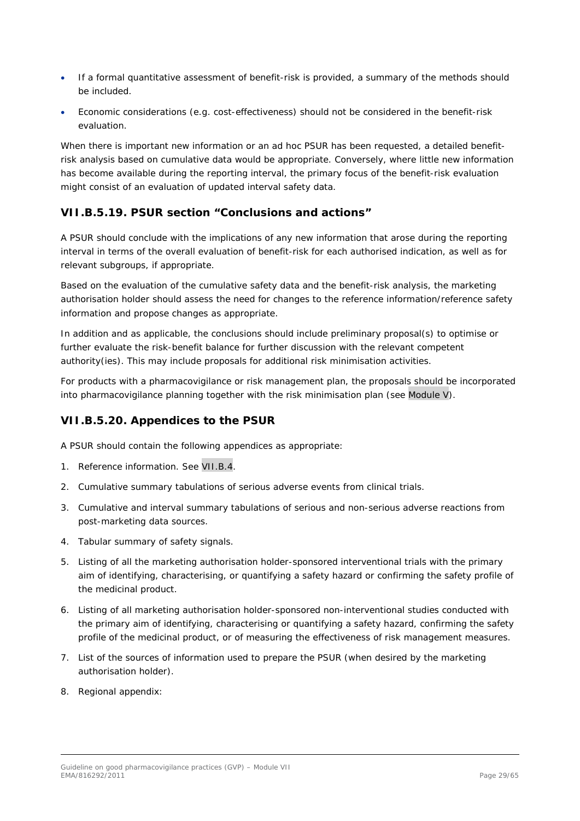- If a formal quantitative assessment of benefit-risk is provided, a summary of the methods should be included.
- Economic considerations (e.g. cost-effectiveness) should not be considered in the benefit-risk evaluation.

When there is important new information or an ad hoc PSUR has been requested, a detailed benefitrisk analysis based on cumulative data would be appropriate. Conversely, where little new information has become available during the reporting interval, the primary focus of the benefit-risk evaluation might consist of an evaluation of updated interval safety data.

## <span id="page-28-0"></span>**VII.B.5.19. PSUR section "Conclusions and actions"**

A PSUR should conclude with the implications of any new information that arose during the reporting interval in terms of the overall evaluation of benefit-risk for each authorised indication, as well as for relevant subgroups, if appropriate.

Based on the evaluation of the cumulative safety data and the benefit-risk analysis, the marketing authorisation holder should assess the need for changes to the reference information/reference safety information and propose changes as appropriate.

In addition and as applicable, the conclusions should include preliminary proposal(s) to optimise or further evaluate the risk-benefit balance for further discussion with the relevant competent authority(ies). This may include proposals for additional risk minimisation activities.

For products with a pharmacovigilance or risk management plan, the proposals should be incorporated into pharmacovigilance planning together with the risk minimisation plan (see Module V).

## <span id="page-28-1"></span>**VII.B.5.20. Appendices to the PSUR**

A PSUR should contain the following appendices as appropriate:

- 1. Reference information. See VII.B.4.
- 2. Cumulative summary tabulations of serious adverse events from clinical trials.
- 3. Cumulative and interval summary tabulations of serious and non-serious adverse reactions from post-marketing data sources.
- 4. Tabular summary of safety signals.
- 5. Listing of all the marketing authorisation holder-sponsored interventional trials with the primary aim of identifying, characterising, or quantifying a safety hazard or confirming the safety profile of the medicinal product.
- 6. Listing of all marketing authorisation holder-sponsored non-interventional studies conducted with the primary aim of identifying, characterising or quantifying a safety hazard, confirming the safety profile of the medicinal product, or of measuring the effectiveness of risk management measures.
- 7. List of the sources of information used to prepare the PSUR (when desired by the marketing authorisation holder).
- 8. Regional appendix: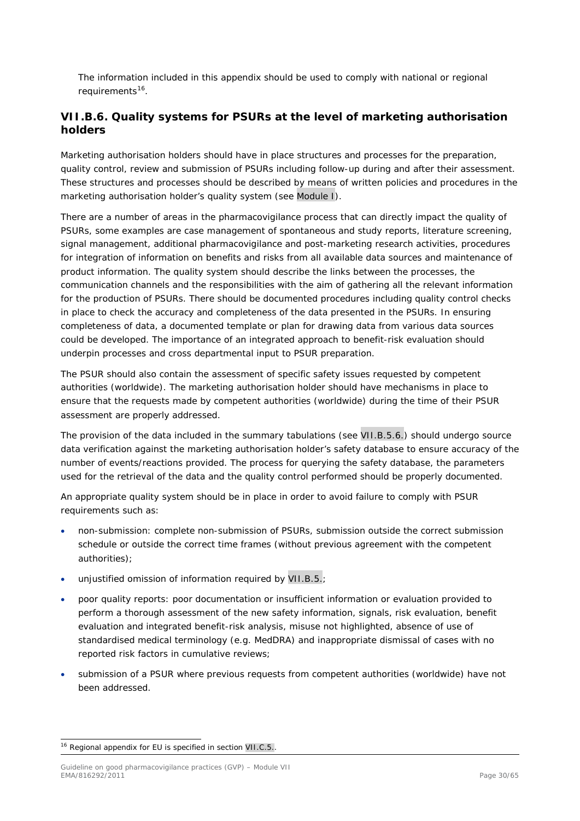The information included in this appendix should be used to comply with national or regional requirements<sup>16</sup>.

# <span id="page-29-0"></span>*VII.B.6. Quality systems for PSURs at the level of marketing authorisation holders*

Marketing authorisation holders should have in place structures and processes for the preparation, quality control, review and submission of PSURs including follow-up during and after their assessment. These structures and processes should be described by means of written policies and procedures in the marketing authorisation holder's quality system (see Module I).

There are a number of areas in the pharmacovigilance process that can directly impact the quality of PSURs, some examples are case management of spontaneous and study reports, literature screening, signal management, additional pharmacovigilance and post-marketing research activities, procedures for integration of information on benefits and risks from all available data sources and maintenance of product information. The quality system should describe the links between the processes, the communication channels and the responsibilities with the aim of gathering all the relevant information for the production of PSURs. There should be documented procedures including quality control checks in place to check the accuracy and completeness of the data presented in the PSURs. In ensuring completeness of data, a documented template or plan for drawing data from various data sources could be developed. The importance of an integrated approach to benefit-risk evaluation should underpin processes and cross departmental input to PSUR preparation.

The PSUR should also contain the assessment of specific safety issues requested by competent authorities (worldwide). The marketing authorisation holder should have mechanisms in place to ensure that the requests made by competent authorities (worldwide) during the time of their PSUR assessment are properly addressed.

The provision of the data included in the summary tabulations (see VII.B.5.6.) should undergo source data verification against the marketing authorisation holder's safety database to ensure accuracy of the number of events/reactions provided. The process for querying the safety database, the parameters used for the retrieval of the data and the quality control performed should be properly documented.

An appropriate quality system should be in place in order to avoid failure to comply with PSUR requirements such as:

- non-submission: complete non-submission of PSURs, submission outside the correct submission schedule or outside the correct time frames (without previous agreement with the competent authorities);
- unjustified omission of information required by VII.B.5.;
- poor quality reports: poor documentation or insufficient information or evaluation provided to perform a thorough assessment of the new safety information, signals, risk evaluation, benefit evaluation and integrated benefit-risk analysis, misuse not highlighted, absence of use of standardised medical terminology (e.g. MedDRA) and inappropriate dismissal of cases with no reported risk factors in cumulative reviews;
- submission of a PSUR where previous requests from competent authorities (worldwide) have not been addressed.

<span id="page-29-1"></span><sup>&</sup>lt;sup>16</sup> Regional appendix for EU is specified in section VII.C.5..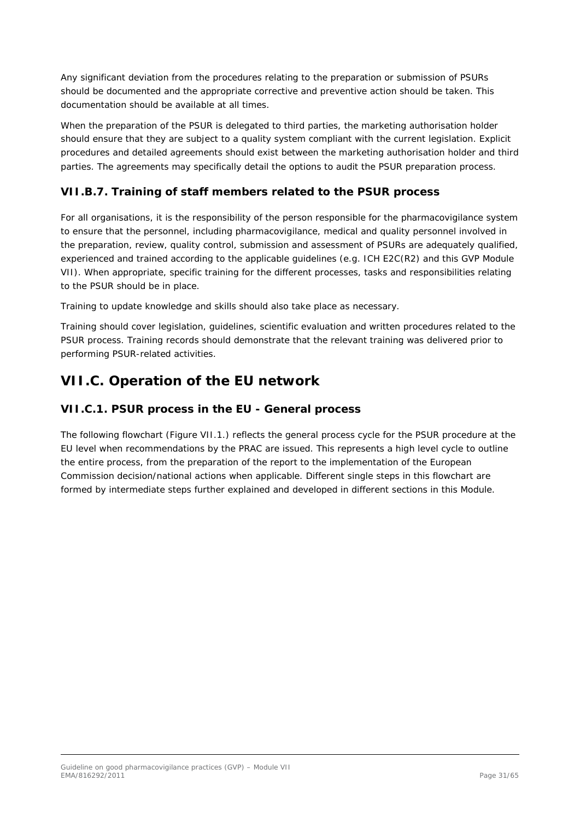Any significant deviation from the procedures relating to the preparation or submission of PSURs should be documented and the appropriate corrective and preventive action should be taken. This documentation should be available at all times.

When the preparation of the PSUR is delegated to third parties, the marketing authorisation holder should ensure that they are subject to a quality system compliant with the current legislation. Explicit procedures and detailed agreements should exist between the marketing authorisation holder and third parties. The agreements may specifically detail the options to audit the PSUR preparation process.

# <span id="page-30-0"></span>*VII.B.7. Training of staff members related to the PSUR process*

For all organisations, it is the responsibility of the person responsible for the pharmacovigilance system to ensure that the personnel, including pharmacovigilance, medical and quality personnel involved in the preparation, review, quality control, submission and assessment of PSURs are adequately qualified, experienced and trained according to the applicable guidelines (e.g. ICH E2C(R2) and this GVP Module VII). When appropriate, specific training for the different processes, tasks and responsibilities relating to the PSUR should be in place.

Training to update knowledge and skills should also take place as necessary.

Training should cover legislation, guidelines, scientific evaluation and written procedures related to the PSUR process. Training records should demonstrate that the relevant training was delivered prior to performing PSUR-related activities.

# <span id="page-30-1"></span>**VII.C. Operation of the EU network**

## <span id="page-30-2"></span>*VII.C.1. PSUR process in the EU - General process*

The following flowchart (Figure VII.1.) reflects the general process cycle for the PSUR procedure at the EU level when recommendations by the PRAC are issued. This represents a high level cycle to outline the entire process, from the preparation of the report to the implementation of the European Commission decision/national actions when applicable. Different single steps in this flowchart are formed by intermediate steps further explained and developed in different sections in this Module.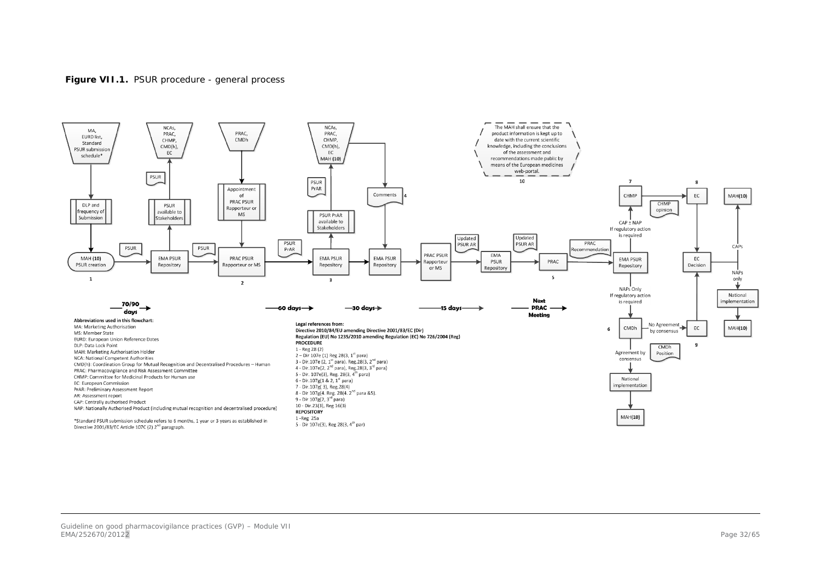

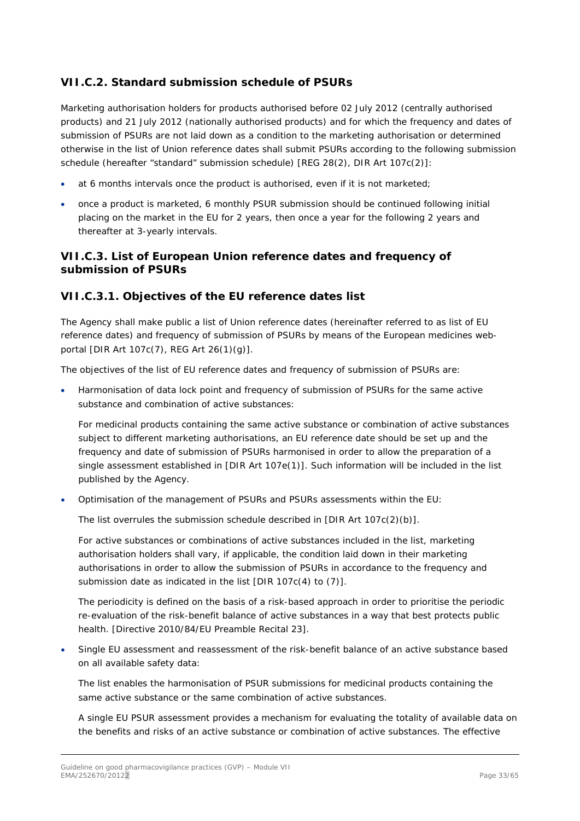# <span id="page-32-0"></span>*VII.C.2. Standard submission schedule of PSURs*

Marketing authorisation holders for products authorised before 02 July 2012 (centrally authorised products) and 21 July 2012 (nationally authorised products) and for which the frequency and dates of submission of PSURs are not laid down as a condition to the marketing authorisation or determined otherwise in the list of Union reference dates shall submit PSURs according to the following submission schedule (hereafter "standard" submission schedule) [REG 28(2), DIR Art 107c(2)]:

- at 6 months intervals once the product is authorised, even if it is not marketed;
- once a product is marketed, 6 monthly PSUR submission should be continued following initial placing on the market in the EU for 2 years, then once a year for the following 2 years and thereafter at 3-yearly intervals.

## <span id="page-32-1"></span>*VII.C.3. List of European Union reference dates and frequency of submission of PSURs*

## <span id="page-32-2"></span>**VII.C.3.1. Objectives of the EU reference dates list**

The Agency shall make public a list of Union reference dates (hereinafter referred to as list of EU reference dates) and frequency of submission of PSURs by means of the European medicines webportal [DIR Art 107c(7), REG Art 26(1)(g)].

The objectives of the list of EU reference dates and frequency of submission of PSURs are:

• Harmonisation of data lock point and frequency of submission of PSURs for the same active substance and combination of active substances:

For medicinal products containing the same active substance or combination of active substances subject to different marketing authorisations, an EU reference date should be set up and the frequency and date of submission of PSURs harmonised in order to allow the preparation of a single assessment established in [DIR Art 107e(1)]. Such information will be included in the list published by the Agency.

• Optimisation of the management of PSURs and PSURs assessments within the EU:

The list overrules the submission schedule described in [DIR Art 107c(2)(b)].

For active substances or combinations of active substances included in the list, marketing authorisation holders shall vary, if applicable, the condition laid down in their marketing authorisations in order to allow the submission of PSURs in accordance to the frequency and submission date as indicated in the list [DIR 107c(4) to (7)].

The periodicity is defined on the basis of a risk-based approach in order to prioritise the periodic re-evaluation of the risk-benefit balance of active substances in a way that best protects public health. [Directive 2010/84/EU Preamble Recital 23].

• Single EU assessment and reassessment of the risk-benefit balance of an active substance based on all available safety data:

The list enables the harmonisation of PSUR submissions for medicinal products containing the same active substance or the same combination of active substances.

A single EU PSUR assessment provides a mechanism for evaluating the totality of available data on the benefits and risks of an active substance or combination of active substances. The effective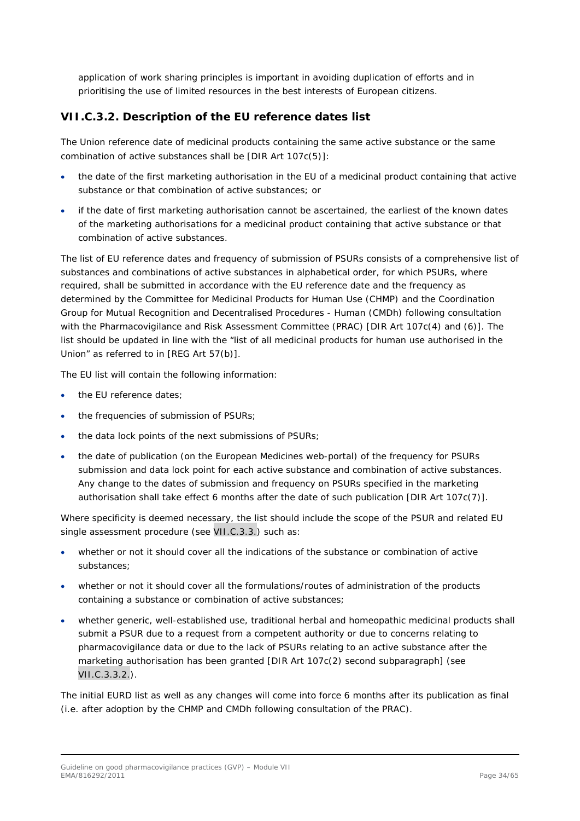application of work sharing principles is important in avoiding duplication of efforts and in prioritising the use of limited resources in the best interests of European citizens.

## <span id="page-33-0"></span>**VII.C.3.2. Description of the EU reference dates list**

The Union reference date of medicinal products containing the same active substance or the same combination of active substances shall be [DIR Art 107c(5)]:

- the date of the first marketing authorisation in the EU of a medicinal product containing that active substance or that combination of active substances; or
- if the date of first marketing authorisation cannot be ascertained, the earliest of the known dates of the marketing authorisations for a medicinal product containing that active substance or that combination of active substances.

The list of EU reference dates and frequency of submission of PSURs consists of a comprehensive list of substances and combinations of active substances in alphabetical order, for which PSURs, where required, shall be submitted in accordance with the EU reference date and the frequency as determined by the Committee for Medicinal Products for Human Use (CHMP) and the Coordination Group for Mutual Recognition and Decentralised Procedures - Human (CMDh) following consultation with the Pharmacovigilance and Risk Assessment Committee (PRAC) [DIR Art 107c(4) and (6)]. The list should be updated in line with the "list of all medicinal products for human use authorised in the Union" as referred to in [REG Art 57(b)].

The EU list will contain the following information:

- the EU reference dates:
- the frequencies of submission of PSURs;
- the data lock points of the next submissions of PSURs;
- the date of publication (on the European Medicines web-portal) of the frequency for PSURs submission and data lock point for each active substance and combination of active substances. Any change to the dates of submission and frequency on PSURs specified in the marketing authorisation shall take effect 6 months after the date of such publication [DIR Art 107c(7)].

Where specificity is deemed necessary, the list should include the scope of the PSUR and related EU single assessment procedure (see VII.C.3.3.) such as:

- whether or not it should cover all the indications of the substance or combination of active substances;
- whether or not it should cover all the formulations/routes of administration of the products containing a substance or combination of active substances;
- whether generic, well-established use, traditional herbal and homeopathic medicinal products shall submit a PSUR due to a request from a competent authority or due to concerns relating to pharmacovigilance data or due to the lack of PSURs relating to an active substance after the marketing authorisation has been granted [DIR Art 107c(2) second subparagraph] (see VII.C.3.3.2.).

The initial EURD list as well as any changes will come into force 6 months after its publication as final (i.e. after adoption by the CHMP and CMDh following consultation of the PRAC).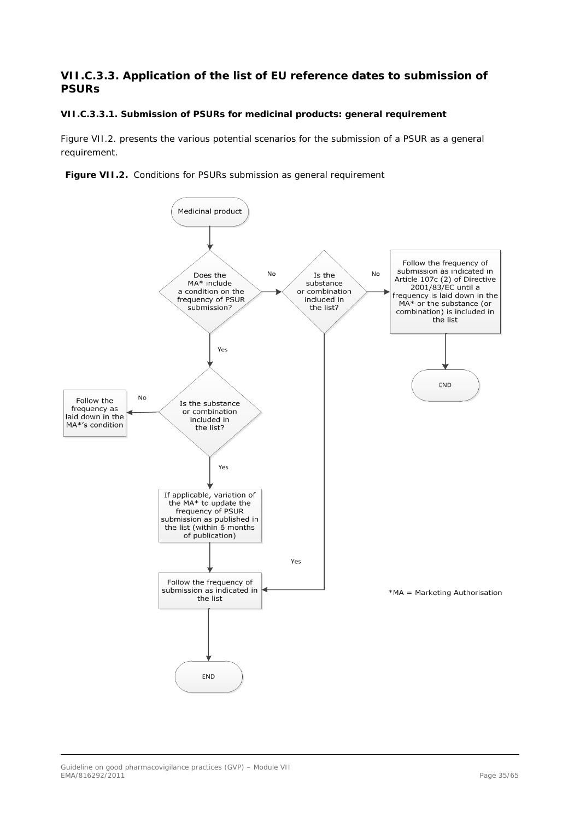# <span id="page-34-0"></span>**VII.C.3.3. Application of the list of EU reference dates to submission of PSURs**

#### <span id="page-34-1"></span>*VII.C.3.3.1. Submission of PSURs for medicinal products: general requirement*

Figure VII.2. presents the various potential scenarios for the submission of a PSUR as a general requirement.



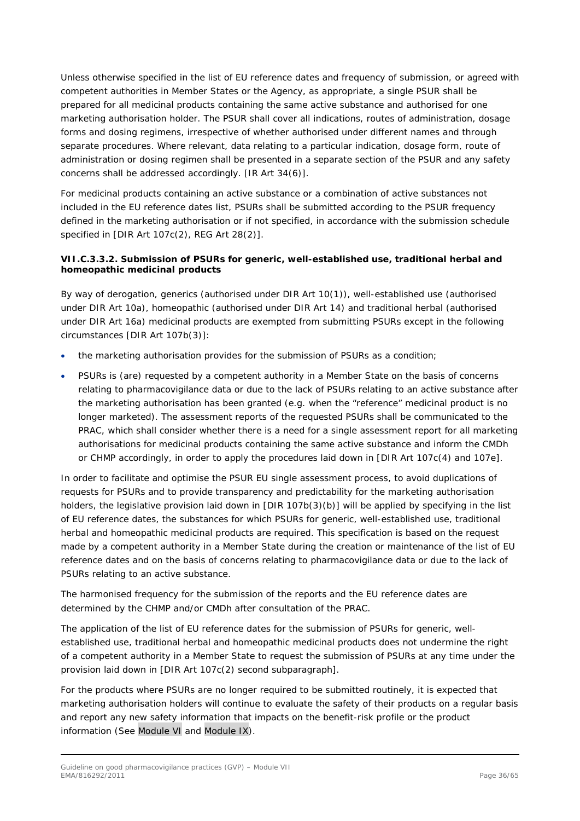Unless otherwise specified in the list of EU reference dates and frequency of submission, or agreed with competent authorities in Member States or the Agency, as appropriate, a single PSUR shall be prepared for all medicinal products containing the same active substance and authorised for one marketing authorisation holder. The PSUR shall cover all indications, routes of administration, dosage forms and dosing regimens, irrespective of whether authorised under different names and through separate procedures. Where relevant, data relating to a particular indication, dosage form, route of administration or dosing regimen shall be presented in a separate section of the PSUR and any safety concerns shall be addressed accordingly. [IR Art 34(6)].

For medicinal products containing an active substance or a combination of active substances not included in the EU reference dates list, PSURs shall be submitted according to the PSUR frequency defined in the marketing authorisation or if not specified, in accordance with the submission schedule specified in [DIR Art 107c(2), REG Art 28(2)].

## <span id="page-35-0"></span>*VII.C.3.3.2. Submission of PSURs for generic, well-established use, traditional herbal and homeopathic medicinal products*

By way of derogation, generics (authorised under DIR Art 10(1)), well-established use (authorised under DIR Art 10a), homeopathic (authorised under DIR Art 14) and traditional herbal (authorised under DIR Art 16a) medicinal products are exempted from submitting PSURs except in the following circumstances [DIR Art 107b(3)]:

- the marketing authorisation provides for the submission of PSURs as a condition;
- PSURs is (are) requested by a competent authority in a Member State on the basis of concerns relating to pharmacovigilance data or due to the lack of PSURs relating to an active substance after the marketing authorisation has been granted (e.g. when the "reference" medicinal product is no longer marketed). The assessment reports of the requested PSURs shall be communicated to the PRAC, which shall consider whether there is a need for a single assessment report for all marketing authorisations for medicinal products containing the same active substance and inform the CMDh or CHMP accordingly, in order to apply the procedures laid down in [DIR Art 107c(4) and 107e].

In order to facilitate and optimise the PSUR EU single assessment process, to avoid duplications of requests for PSURs and to provide transparency and predictability for the marketing authorisation holders, the legislative provision laid down in [DIR 107b(3)(b)] will be applied by specifying in the list of EU reference dates, the substances for which PSURs for generic, well-established use, traditional herbal and homeopathic medicinal products are required. This specification is based on the request made by a competent authority in a Member State during the creation or maintenance of the list of EU reference dates and on the basis of concerns relating to pharmacovigilance data or due to the lack of PSURs relating to an active substance.

The harmonised frequency for the submission of the reports and the EU reference dates are determined by the CHMP and/or CMDh after consultation of the PRAC.

The application of the list of EU reference dates for the submission of PSURs for generic, wellestablished use, traditional herbal and homeopathic medicinal products does not undermine the right of a competent authority in a Member State to request the submission of PSURs at any time under the provision laid down in [DIR Art 107c(2) second subparagraph].

For the products where PSURs are no longer required to be submitted routinely, it is expected that marketing authorisation holders will continue to evaluate the safety of their products on a regular basis and report any new safety information that impacts on the benefit-risk profile or the product information (See Module VI and Module IX).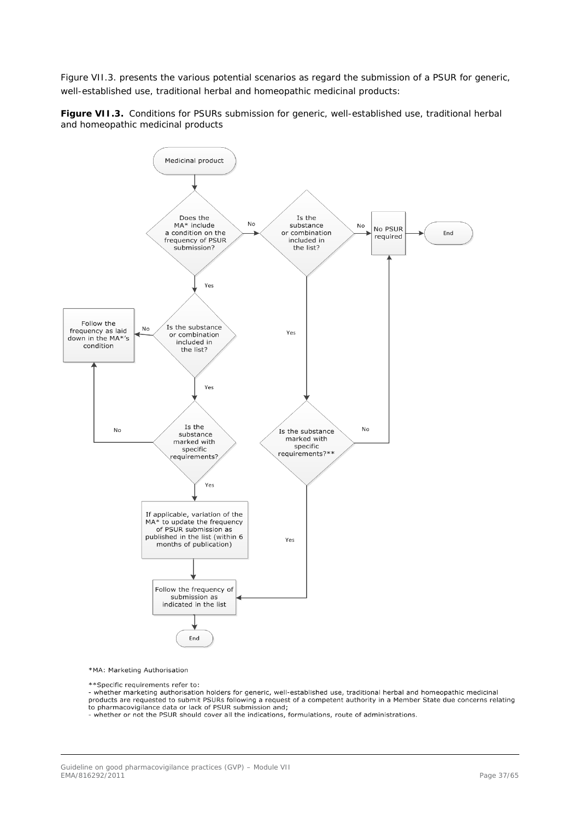Figure VII.3. presents the various potential scenarios as regard the submission of a PSUR for generic, well-established use, traditional herbal and homeopathic medicinal products:

**Figure VII.3.** Conditions for PSURs submission for generic, well-established use, traditional herbal and homeopathic medicinal products



\*MA: Marketing Authorisation

\*\*Specific requirements refer to:

- whether marketing authorisation holders for generic, well-established use, traditional herbal and homeopathic medicinal products are requested to submit PSURs following a request of a competent authority in a Member State due concerns relating<br>to pharmacovigilance data or lack of PSUR submission and;

whether or not the PSUR should cover all the indications, formulations, route of administrations.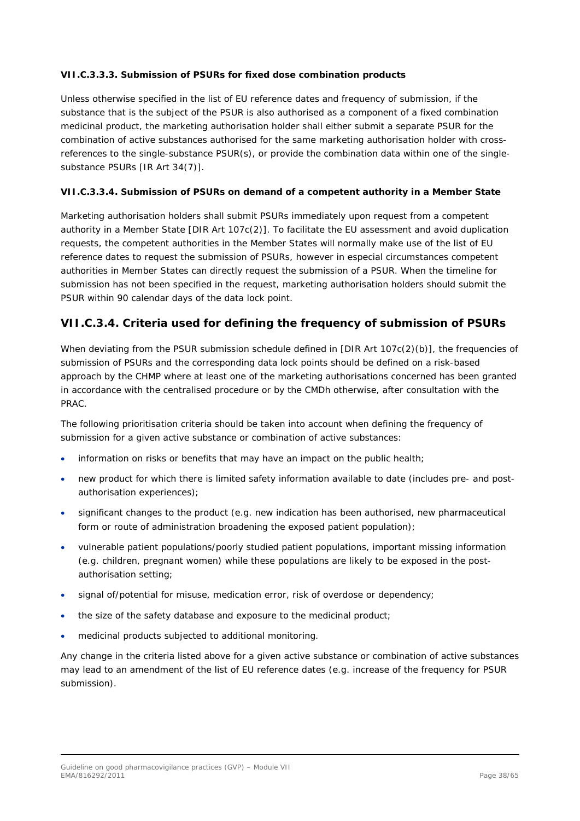## <span id="page-37-0"></span>*VII.C.3.3.3. Submission of PSURs for fixed dose combination products*

Unless otherwise specified in the list of EU reference dates and frequency of submission, if the substance that is the subject of the PSUR is also authorised as a component of a fixed combination medicinal product, the marketing authorisation holder shall either submit a separate PSUR for the combination of active substances authorised for the same marketing authorisation holder with crossreferences to the single-substance PSUR(s), or provide the combination data within one of the singlesubstance PSURs [IR Art 34(7)].

## <span id="page-37-1"></span>*VII.C.3.3.4. Submission of PSURs on demand of a competent authority in a Member State*

Marketing authorisation holders shall submit PSURs immediately upon request from a competent authority in a Member State [DIR Art 107c(2)]. To facilitate the EU assessment and avoid duplication requests, the competent authorities in the Member States will normally make use of the list of EU reference dates to request the submission of PSURs, however in especial circumstances competent authorities in Member States can directly request the submission of a PSUR. When the timeline for submission has not been specified in the request, marketing authorisation holders should submit the PSUR within 90 calendar days of the data lock point.

# <span id="page-37-2"></span>**VII.C.3.4. Criteria used for defining the frequency of submission of PSURs**

When deviating from the PSUR submission schedule defined in [DIR Art 107c(2)(b)], the frequencies of submission of PSURs and the corresponding data lock points should be defined on a risk-based approach by the CHMP where at least one of the marketing authorisations concerned has been granted in accordance with the centralised procedure or by the CMDh otherwise, after consultation with the PRAC.

The following prioritisation criteria should be taken into account when defining the frequency of submission for a given active substance or combination of active substances:

- information on risks or benefits that may have an impact on the public health;
- new product for which there is limited safety information available to date (includes pre- and postauthorisation experiences);
- significant changes to the product (e.g. new indication has been authorised, new pharmaceutical form or route of administration broadening the exposed patient population);
- vulnerable patient populations/poorly studied patient populations, important missing information (e.g. children, pregnant women) while these populations are likely to be exposed in the postauthorisation setting;
- signal of/potential for misuse, medication error, risk of overdose or dependency;
- the size of the safety database and exposure to the medicinal product;
- medicinal products subjected to additional monitoring.

Any change in the criteria listed above for a given active substance or combination of active substances may lead to an amendment of the list of EU reference dates (e.g. increase of the frequency for PSUR submission).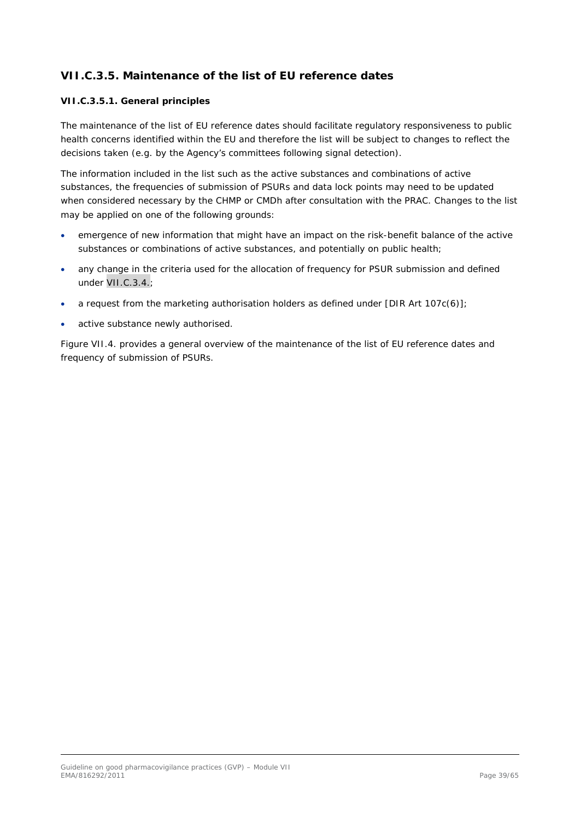# <span id="page-38-0"></span>**VII.C.3.5. Maintenance of the list of EU reference dates**

### <span id="page-38-1"></span>*VII.C.3.5.1. General principles*

The maintenance of the list of EU reference dates should facilitate regulatory responsiveness to public health concerns identified within the EU and therefore the list will be subject to changes to reflect the decisions taken (e.g. by the Agency's committees following signal detection).

The information included in the list such as the active substances and combinations of active substances, the frequencies of submission of PSURs and data lock points may need to be updated when considered necessary by the CHMP or CMDh after consultation with the PRAC. Changes to the list may be applied on one of the following grounds:

- emergence of new information that might have an impact on the risk-benefit balance of the active substances or combinations of active substances, and potentially on public health;
- any change in the criteria used for the allocation of frequency for PSUR submission and defined under VII.C.3.4.;
- a request from the marketing authorisation holders as defined under [DIR Art 107 $c(6)$ ];
- active substance newly authorised.

Figure VII.4. provides a general overview of the maintenance of the list of EU reference dates and frequency of submission of PSURs.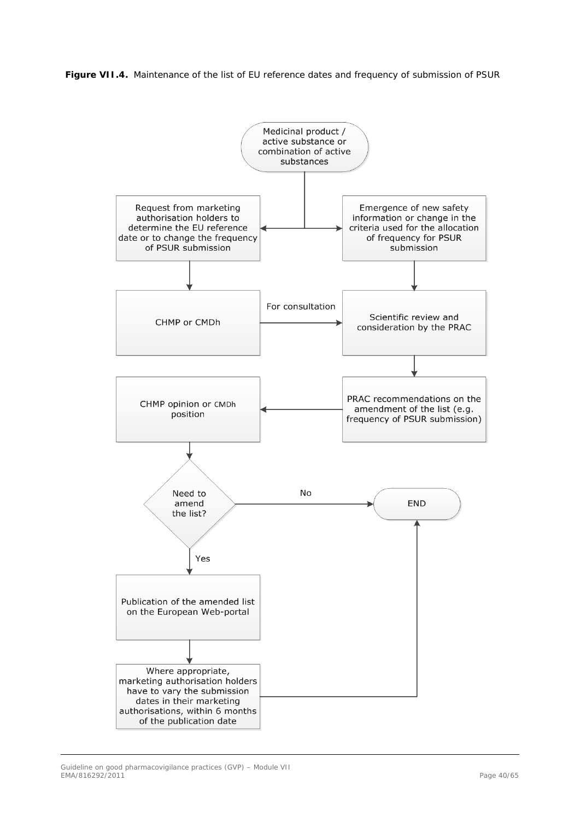**Figure VII.4.** Maintenance of the list of EU reference dates and frequency of submission of PSUR

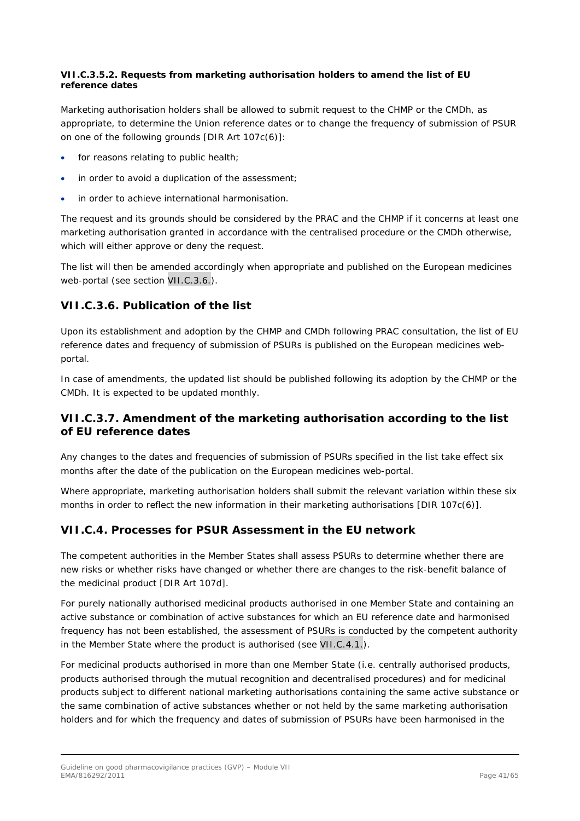#### <span id="page-40-0"></span>*VII.C.3.5.2. Requests from marketing authorisation holders to amend the list of EU reference dates*

Marketing authorisation holders shall be allowed to submit request to the CHMP or the CMDh, as appropriate, to determine the Union reference dates or to change the frequency of submission of PSUR on one of the following grounds [DIR Art 107c(6)]:

- for reasons relating to public health;
- in order to avoid a duplication of the assessment;
- in order to achieve international harmonisation.

The request and its grounds should be considered by the PRAC and the CHMP if it concerns at least one marketing authorisation granted in accordance with the centralised procedure or the CMDh otherwise, which will either approve or deny the request.

The list will then be amended accordingly when appropriate and published on the European medicines web-portal (see section VII.C.3.6.).

# <span id="page-40-1"></span>**VII.C.3.6. Publication of the list**

Upon its establishment and adoption by the CHMP and CMDh following PRAC consultation, the list of EU reference dates and frequency of submission of PSURs is published on the European medicines webportal.

In case of amendments, the updated list should be published following its adoption by the CHMP or the CMDh. It is expected to be updated monthly.

## <span id="page-40-2"></span>**VII.C.3.7. Amendment of the marketing authorisation according to the list of EU reference dates**

Any changes to the dates and frequencies of submission of PSURs specified in the list take effect six months after the date of the publication on the European medicines web-portal.

Where appropriate, marketing authorisation holders shall submit the relevant variation within these six months in order to reflect the new information in their marketing authorisations [DIR 107c(6)].

# <span id="page-40-3"></span>*VII.C.4. Processes for PSUR Assessment in the EU network*

The competent authorities in the Member States shall assess PSURs to determine whether there are new risks or whether risks have changed or whether there are changes to the risk-benefit balance of the medicinal product [DIR Art 107d].

For purely nationally authorised medicinal products authorised in one Member State and containing an active substance or combination of active substances for which an EU reference date and harmonised frequency has not been established, the assessment of PSURs is conducted by the competent authority in the Member State where the product is authorised (see VII.C.4.1.).

For medicinal products authorised in more than one Member State (i.e. centrally authorised products, products authorised through the mutual recognition and decentralised procedures) and for medicinal products subject to different national marketing authorisations containing the same active substance or the same combination of active substances whether or not held by the same marketing authorisation holders and for which the frequency and dates of submission of PSURs have been harmonised in the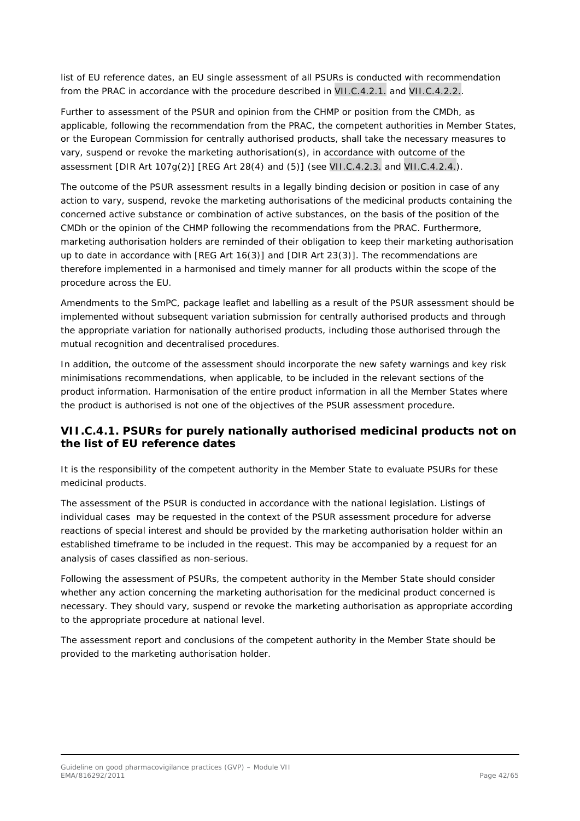list of EU reference dates, an EU single assessment of all PSURs is conducted with recommendation from the PRAC in accordance with the procedure described in VII.C.4.2.1. and VII.C.4.2.2..

Further to assessment of the PSUR and opinion from the CHMP or position from the CMDh, as applicable, following the recommendation from the PRAC, the competent authorities in Member States, or the European Commission for centrally authorised products, shall take the necessary measures to vary, suspend or revoke the marketing authorisation(s), in accordance with outcome of the assessment [DIR Art 107g(2)] [REG Art 28(4) and (5)] (see VII.C.4.2.3. and VII.C.4.2.4.).

The outcome of the PSUR assessment results in a legally binding decision or position in case of any action to vary, suspend, revoke the marketing authorisations of the medicinal products containing the concerned active substance or combination of active substances, on the basis of the position of the CMDh or the opinion of the CHMP following the recommendations from the PRAC. Furthermore, marketing authorisation holders are reminded of their obligation to keep their marketing authorisation up to date in accordance with [REG Art 16(3)] and [DIR Art 23(3)]. The recommendations are therefore implemented in a harmonised and timely manner for all products within the scope of the procedure across the EU.

Amendments to the SmPC, package leaflet and labelling as a result of the PSUR assessment should be implemented without subsequent variation submission for centrally authorised products and through the appropriate variation for nationally authorised products, including those authorised through the mutual recognition and decentralised procedures.

In addition, the outcome of the assessment should incorporate the new safety warnings and key risk minimisations recommendations, when applicable, to be included in the relevant sections of the product information. Harmonisation of the entire product information in all the Member States where the product is authorised is not one of the objectives of the PSUR assessment procedure.

# <span id="page-41-0"></span>**VII.C.4.1. PSURs for purely nationally authorised medicinal products not on the list of EU reference dates**

It is the responsibility of the competent authority in the Member State to evaluate PSURs for these medicinal products.

The assessment of the PSUR is conducted in accordance with the national legislation. Listings of individual cases may be requested in the context of the PSUR assessment procedure for adverse reactions of special interest and should be provided by the marketing authorisation holder within an established timeframe to be included in the request. This may be accompanied by a request for an analysis of cases classified as non-serious.

Following the assessment of PSURs, the competent authority in the Member State should consider whether any action concerning the marketing authorisation for the medicinal product concerned is necessary. They should vary, suspend or revoke the marketing authorisation as appropriate according to the appropriate procedure at national level.

The assessment report and conclusions of the competent authority in the Member State should be provided to the marketing authorisation holder.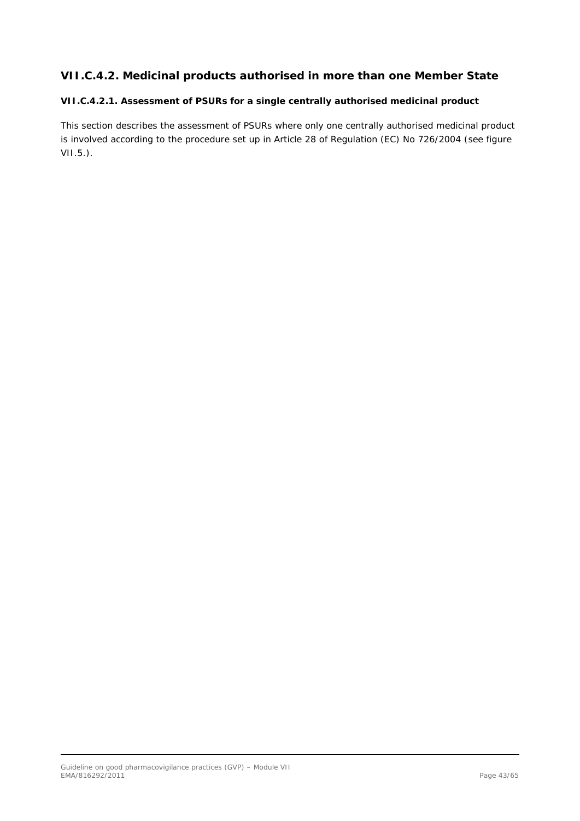# <span id="page-42-0"></span>**VII.C.4.2. Medicinal products authorised in more than one Member State**

## <span id="page-42-1"></span>*VII.C.4.2.1. Assessment of PSURs for a single centrally authorised medicinal product*

This section describes the assessment of PSURs where only one centrally authorised medicinal product is involved according to the procedure set up in Article 28 of Regulation (EC) No 726/2004 (see figure VII.5.).

Guideline on good pharmacovigilance practices (GVP) – Module VII EMA/816292/2011 Page 43/65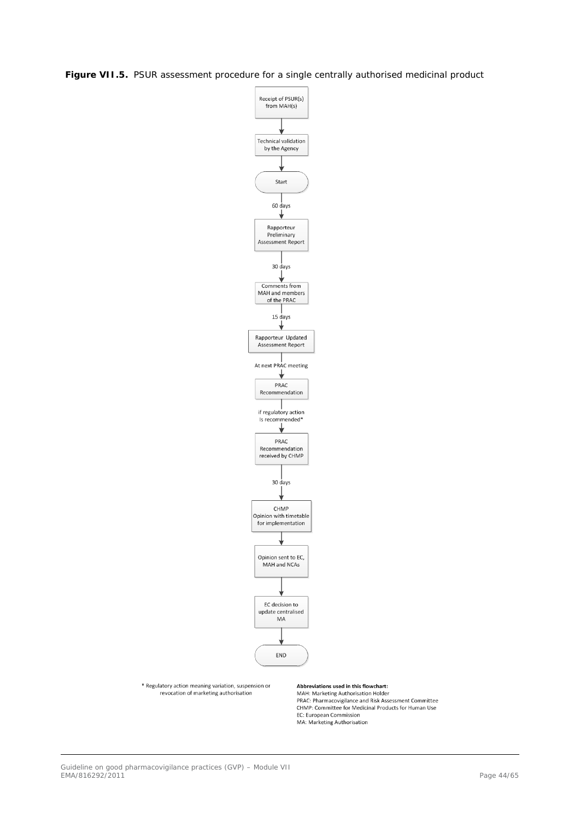**Figure VII.5.** PSUR assessment procedure for a single centrally authorised medicinal product



\* Regulatory action meaning variation, suspension or<br>revocation of marketing authorisation

Abbreviations used in this flowchart:

MAH: Marketing Authorisation Holder<br>PRAC: Pharmacovigilance and Risk Assessment Committee **CHMP:** Committee for Medicinal Products for Human Use<br>EC: European Commission MA: Marketing Authorisation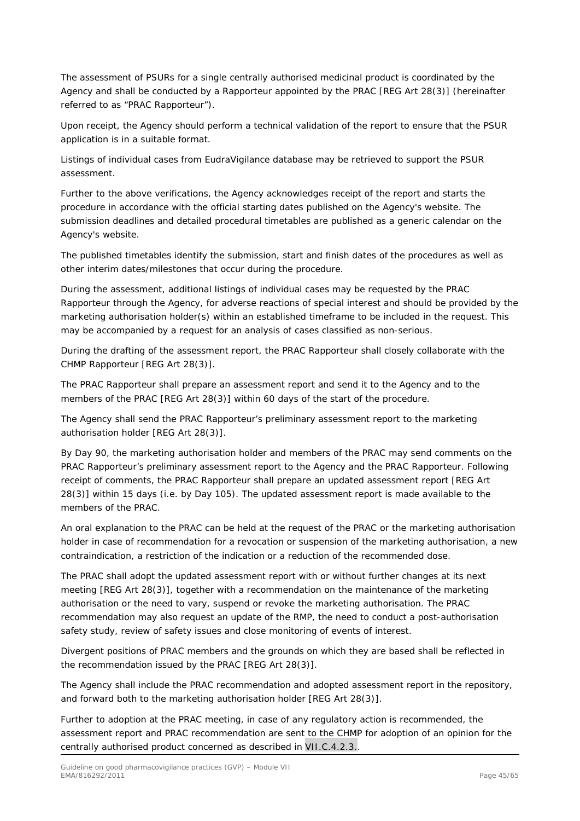The assessment of PSURs for a single centrally authorised medicinal product is coordinated by the Agency and shall be conducted by a Rapporteur appointed by the PRAC [REG Art 28(3)] (hereinafter referred to as "PRAC Rapporteur").

Upon receipt, the Agency should perform a technical validation of the report to ensure that the PSUR application is in a suitable format.

Listings of individual cases from EudraVigilance database may be retrieved to support the PSUR assessment.

Further to the above verifications, the Agency acknowledges receipt of the report and starts the procedure in accordance with the official starting dates published on the Agency's website. The submission deadlines and detailed procedural timetables are published as a generic calendar on the Agency's website.

The published timetables identify the submission, start and finish dates of the procedures as well as other interim dates/milestones that occur during the procedure.

During the assessment, additional listings of individual cases may be requested by the PRAC Rapporteur through the Agency, for adverse reactions of special interest and should be provided by the marketing authorisation holder(s) within an established timeframe to be included in the request. This may be accompanied by a request for an analysis of cases classified as non-serious.

During the drafting of the assessment report, the PRAC Rapporteur shall closely collaborate with the CHMP Rapporteur [REG Art 28(3)].

The PRAC Rapporteur shall prepare an assessment report and send it to the Agency and to the members of the PRAC [REG Art 28(3)] within 60 days of the start of the procedure.

The Agency shall send the PRAC Rapporteur's preliminary assessment report to the marketing authorisation holder [REG Art 28(3)].

By Day 90, the marketing authorisation holder and members of the PRAC may send comments on the PRAC Rapporteur's preliminary assessment report to the Agency and the PRAC Rapporteur. Following receipt of comments, the PRAC Rapporteur shall prepare an updated assessment report [REG Art 28(3)] within 15 days (i.e. by Day 105). The updated assessment report is made available to the members of the PRAC.

An oral explanation to the PRAC can be held at the request of the PRAC or the marketing authorisation holder in case of recommendation for a revocation or suspension of the marketing authorisation, a new contraindication, a restriction of the indication or a reduction of the recommended dose.

The PRAC shall adopt the updated assessment report with or without further changes at its next meeting [REG Art 28(3)], together with a recommendation on the maintenance of the marketing authorisation or the need to vary, suspend or revoke the marketing authorisation. The PRAC recommendation may also request an update of the RMP, the need to conduct a post-authorisation safety study, review of safety issues and close monitoring of events of interest.

Divergent positions of PRAC members and the grounds on which they are based shall be reflected in the recommendation issued by the PRAC [REG Art 28(3)].

The Agency shall include the PRAC recommendation and adopted assessment report in the repository, and forward both to the marketing authorisation holder [REG Art 28(3)].

Further to adoption at the PRAC meeting, in case of any regulatory action is recommended, the assessment report and PRAC recommendation are sent to the CHMP for adoption of an opinion for the centrally authorised product concerned as described in VII.C.4.2.3..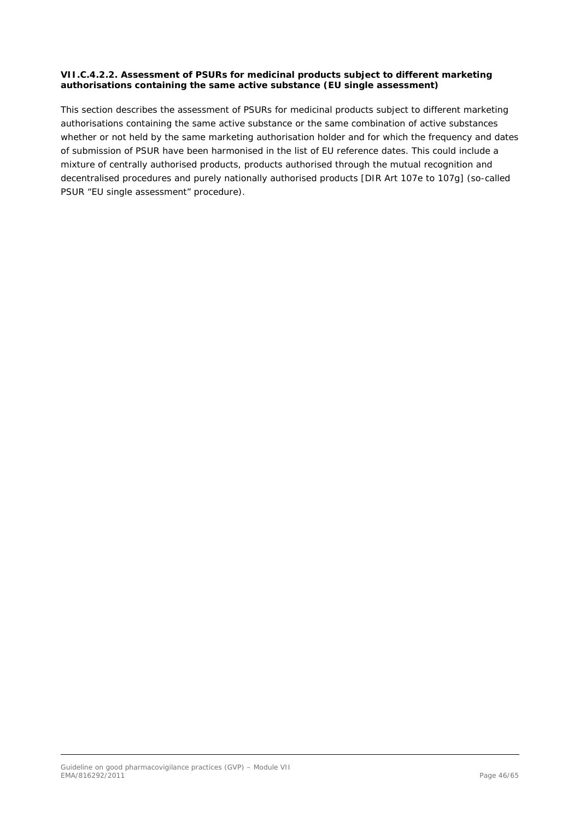#### <span id="page-45-0"></span>*VII.C.4.2.2. Assessment of PSURs for medicinal products subject to different marketing authorisations containing the same active substance (EU single assessment)*

This section describes the assessment of PSURs for medicinal products subject to different marketing authorisations containing the same active substance or the same combination of active substances whether or not held by the same marketing authorisation holder and for which the frequency and dates of submission of PSUR have been harmonised in the list of EU reference dates. This could include a mixture of centrally authorised products, products authorised through the mutual recognition and decentralised procedures and purely nationally authorised products [DIR Art 107e to 107g] (so-called PSUR "EU single assessment" procedure).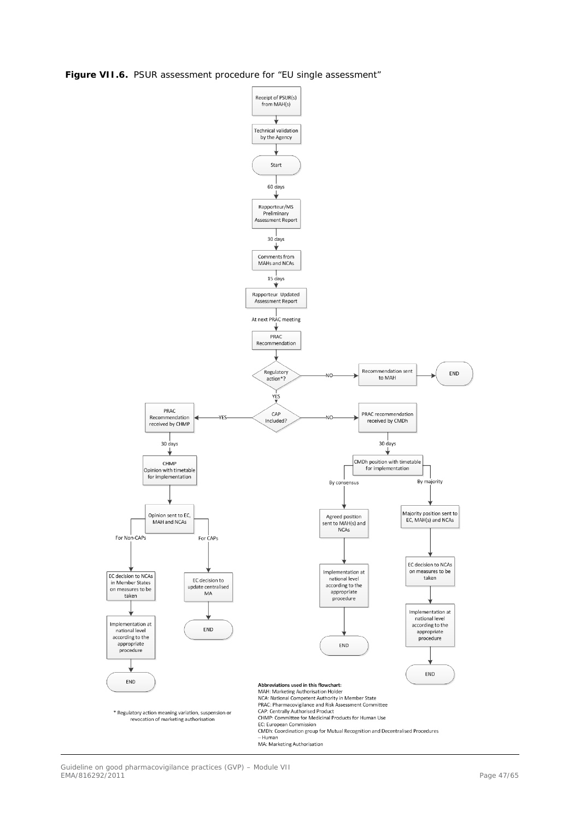**Figure VII.6.** PSUR assessment procedure for "EU single assessment"

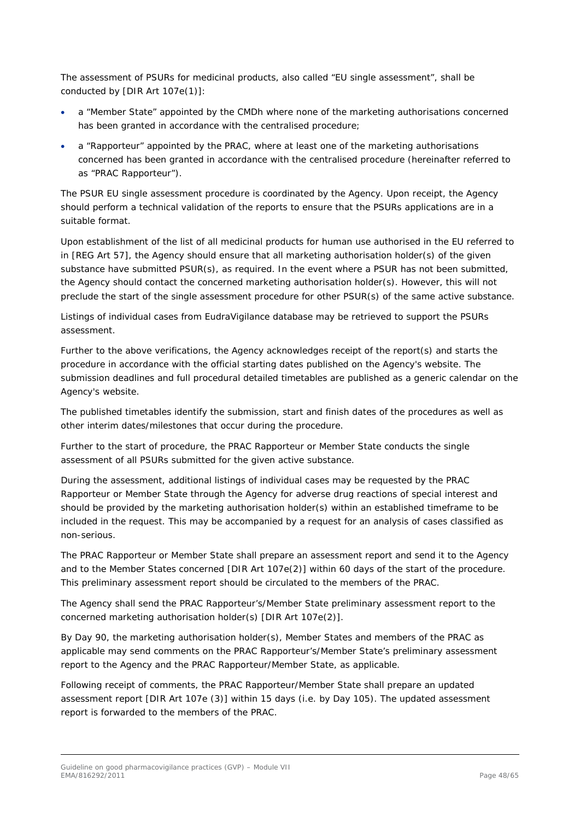The assessment of PSURs for medicinal products, also called "EU single assessment", shall be conducted by [DIR Art 107e(1)]:

- a "Member State" appointed by the CMDh where none of the marketing authorisations concerned has been granted in accordance with the centralised procedure;
- a "Rapporteur" appointed by the PRAC, where at least one of the marketing authorisations concerned has been granted in accordance with the centralised procedure (hereinafter referred to as "PRAC Rapporteur").

The PSUR EU single assessment procedure is coordinated by the Agency. Upon receipt, the Agency should perform a technical validation of the reports to ensure that the PSURs applications are in a suitable format.

Upon establishment of the list of all medicinal products for human use authorised in the EU referred to in [REG Art 57], the Agency should ensure that all marketing authorisation holder(s) of the given substance have submitted PSUR(s), as required. In the event where a PSUR has not been submitted, the Agency should contact the concerned marketing authorisation holder(s). However, this will not preclude the start of the single assessment procedure for other PSUR(s) of the same active substance.

Listings of individual cases from EudraVigilance database may be retrieved to support the PSURs assessment.

Further to the above verifications, the Agency acknowledges receipt of the report(s) and starts the procedure in accordance with the official starting dates published on the Agency's website. The submission deadlines and full procedural detailed timetables are published as a generic calendar on the Agency's website.

The published timetables identify the submission, start and finish dates of the procedures as well as other interim dates/milestones that occur during the procedure.

Further to the start of procedure, the PRAC Rapporteur or Member State conducts the single assessment of all PSURs submitted for the given active substance.

During the assessment, additional listings of individual cases may be requested by the PRAC Rapporteur or Member State through the Agency for adverse drug reactions of special interest and should be provided by the marketing authorisation holder(s) within an established timeframe to be included in the request. This may be accompanied by a request for an analysis of cases classified as non-serious.

The PRAC Rapporteur or Member State shall prepare an assessment report and send it to the Agency and to the Member States concerned [DIR Art 107e(2)] within 60 days of the start of the procedure. This preliminary assessment report should be circulated to the members of the PRAC.

The Agency shall send the PRAC Rapporteur's/Member State preliminary assessment report to the concerned marketing authorisation holder(s) [DIR Art 107e(2)].

By Day 90, the marketing authorisation holder(s), Member States and members of the PRAC as applicable may send comments on the PRAC Rapporteur's/Member State's preliminary assessment report to the Agency and the PRAC Rapporteur/Member State, as applicable.

Following receipt of comments, the PRAC Rapporteur/Member State shall prepare an updated assessment report [DIR Art 107e (3)] within 15 days (i.e. by Day 105). The updated assessment report is forwarded to the members of the PRAC.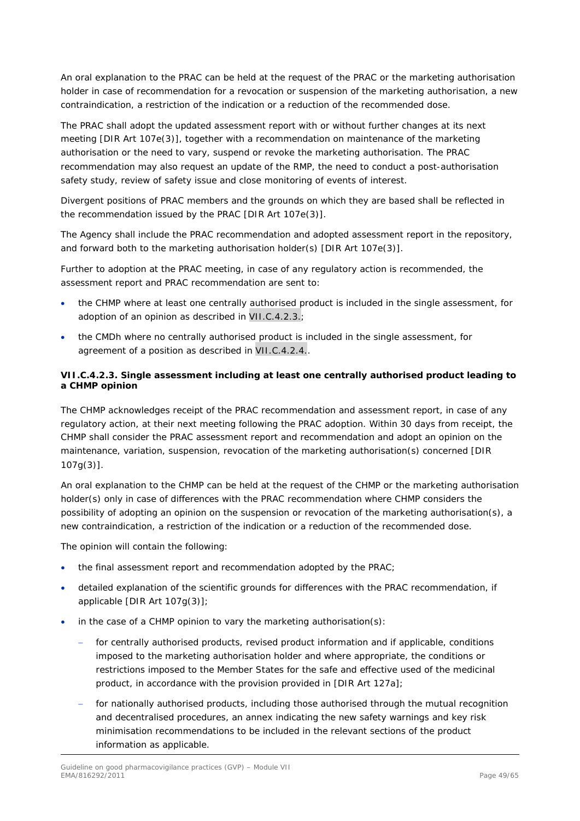An oral explanation to the PRAC can be held at the request of the PRAC or the marketing authorisation holder in case of recommendation for a revocation or suspension of the marketing authorisation, a new contraindication, a restriction of the indication or a reduction of the recommended dose.

The PRAC shall adopt the updated assessment report with or without further changes at its next meeting [DIR Art 107e(3)], together with a recommendation on maintenance of the marketing authorisation or the need to vary, suspend or revoke the marketing authorisation. The PRAC recommendation may also request an update of the RMP, the need to conduct a post-authorisation safety study, review of safety issue and close monitoring of events of interest.

Divergent positions of PRAC members and the grounds on which they are based shall be reflected in the recommendation issued by the PRAC [DIR Art 107e(3)].

The Agency shall include the PRAC recommendation and adopted assessment report in the repository, and forward both to the marketing authorisation holder(s) [DIR Art 107e(3)].

Further to adoption at the PRAC meeting, in case of any regulatory action is recommended, the assessment report and PRAC recommendation are sent to:

- the CHMP where at least one centrally authorised product is included in the single assessment, for adoption of an opinion as described in VII.C.4.2.3.;
- the CMDh where no centrally authorised product is included in the single assessment, for agreement of a position as described in VII.C.4.2.4..

## <span id="page-48-0"></span>*VII.C.4.2.3. Single assessment including at least one centrally authorised product leading to a CHMP opinion*

The CHMP acknowledges receipt of the PRAC recommendation and assessment report, in case of any regulatory action, at their next meeting following the PRAC adoption. Within 30 days from receipt, the CHMP shall consider the PRAC assessment report and recommendation and adopt an opinion on the maintenance, variation, suspension, revocation of the marketing authorisation(s) concerned [DIR 107g(3)].

An oral explanation to the CHMP can be held at the request of the CHMP or the marketing authorisation holder(s) only in case of differences with the PRAC recommendation where CHMP considers the possibility of adopting an opinion on the suspension or revocation of the marketing authorisation(s), a new contraindication, a restriction of the indication or a reduction of the recommended dose.

The opinion will contain the following:

- the final assessment report and recommendation adopted by the PRAC;
- detailed explanation of the scientific grounds for differences with the PRAC recommendation, if applicable [DIR Art 107g(3)];
- in the case of a CHMP opinion to vary the marketing authorisation(s):
	- for centrally authorised products, revised product information and if applicable, conditions imposed to the marketing authorisation holder and where appropriate, the conditions or restrictions imposed to the Member States for the safe and effective used of the medicinal product, in accordance with the provision provided in [DIR Art 127a];
	- for nationally authorised products, including those authorised through the mutual recognition and decentralised procedures, an annex indicating the new safety warnings and key risk minimisation recommendations to be included in the relevant sections of the product information as applicable.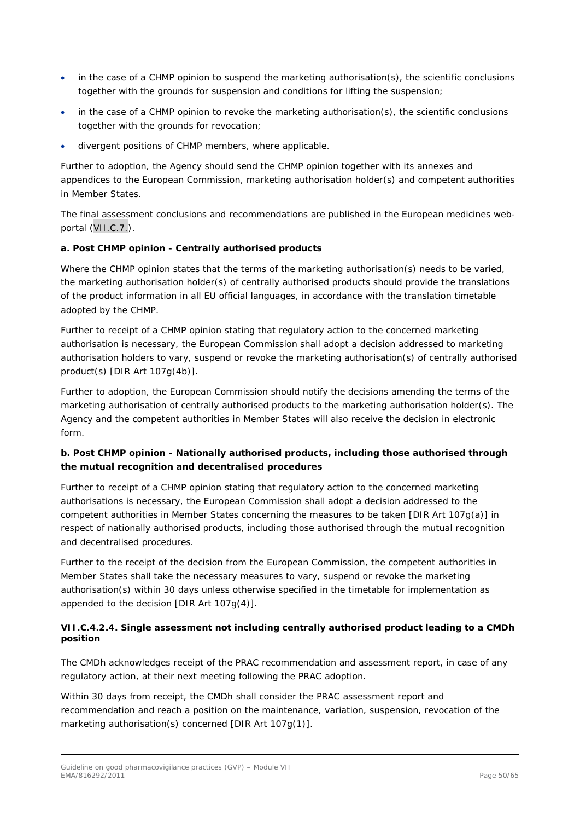- in the case of a CHMP opinion to suspend the marketing authorisation(s), the scientific conclusions together with the grounds for suspension and conditions for lifting the suspension;
- in the case of a CHMP opinion to revoke the marketing authorisation(s), the scientific conclusions together with the grounds for revocation;
- divergent positions of CHMP members, where applicable.

Further to adoption, the Agency should send the CHMP opinion together with its annexes and appendices to the European Commission, marketing authorisation holder(s) and competent authorities in Member States.

The final assessment conclusions and recommendations are published in the European medicines webportal (VII.C.7.).

## *a. Post CHMP opinion - Centrally authorised products*

Where the CHMP opinion states that the terms of the marketing authorisation(s) needs to be varied, the marketing authorisation holder(s) of centrally authorised products should provide the translations of the product information in all EU official languages, in accordance with the translation timetable adopted by the CHMP.

Further to receipt of a CHMP opinion stating that regulatory action to the concerned marketing authorisation is necessary, the European Commission shall adopt a decision addressed to marketing authorisation holders to vary, suspend or revoke the marketing authorisation(s) of centrally authorised product(s) [DIR Art 107g(4b)].

Further to adoption, the European Commission should notify the decisions amending the terms of the marketing authorisation of centrally authorised products to the marketing authorisation holder(s). The Agency and the competent authorities in Member States will also receive the decision in electronic form.

## *b. Post CHMP opinion - Nationally authorised products, including those authorised through the mutual recognition and decentralised procedures*

Further to receipt of a CHMP opinion stating that regulatory action to the concerned marketing authorisations is necessary, the European Commission shall adopt a decision addressed to the competent authorities in Member States concerning the measures to be taken [DIR Art 107g(a)] in respect of nationally authorised products, including those authorised through the mutual recognition and decentralised procedures.

Further to the receipt of the decision from the European Commission, the competent authorities in Member States shall take the necessary measures to vary, suspend or revoke the marketing authorisation(s) within 30 days unless otherwise specified in the timetable for implementation as appended to the decision [DIR Art 107g(4)].

## <span id="page-49-0"></span>*VII.C.4.2.4. Single assessment not including centrally authorised product leading to a CMDh position*

The CMDh acknowledges receipt of the PRAC recommendation and assessment report, in case of any regulatory action, at their next meeting following the PRAC adoption.

Within 30 days from receipt, the CMDh shall consider the PRAC assessment report and recommendation and reach a position on the maintenance, variation, suspension, revocation of the marketing authorisation(s) concerned [DIR Art 107g(1)].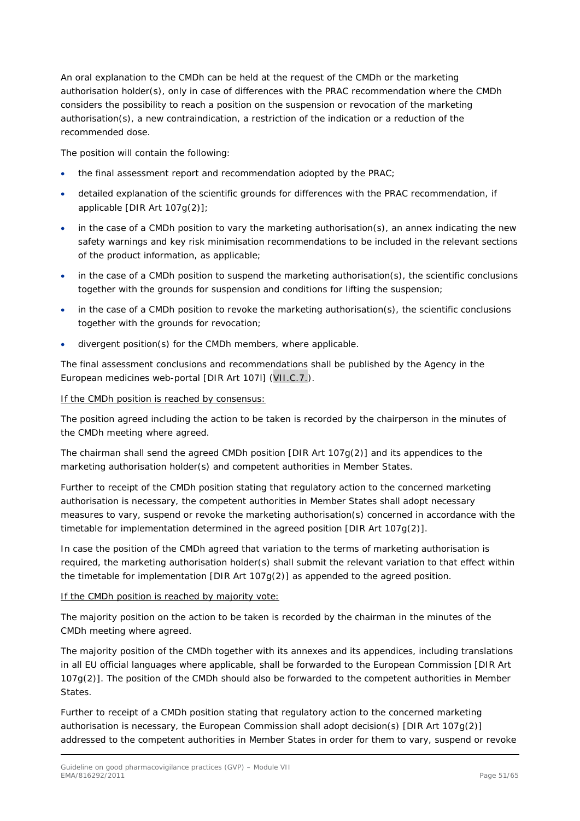An oral explanation to the CMDh can be held at the request of the CMDh or the marketing authorisation holder(s), only in case of differences with the PRAC recommendation where the CMDh considers the possibility to reach a position on the suspension or revocation of the marketing authorisation(s), a new contraindication, a restriction of the indication or a reduction of the recommended dose.

The position will contain the following:

- the final assessment report and recommendation adopted by the PRAC;
- detailed explanation of the scientific grounds for differences with the PRAC recommendation, if applicable [DIR Art 107g(2)];
- in the case of a CMDh position to vary the marketing authorisation(s), an annex indicating the new safety warnings and key risk minimisation recommendations to be included in the relevant sections of the product information, as applicable;
- in the case of a CMDh position to suspend the marketing authorisation(s), the scientific conclusions together with the grounds for suspension and conditions for lifting the suspension;
- in the case of a CMDh position to revoke the marketing authorisation(s), the scientific conclusions together with the grounds for revocation;
- divergent position(s) for the CMDh members, where applicable.

The final assessment conclusions and recommendations shall be published by the Agency in the European medicines web-portal [DIR Art 107l] (VII.C.7.).

#### If the CMDh position is reached by consensus:

The position agreed including the action to be taken is recorded by the chairperson in the minutes of the CMDh meeting where agreed.

The chairman shall send the agreed CMDh position [DIR Art 107g(2)] and its appendices to the marketing authorisation holder(s) and competent authorities in Member States.

Further to receipt of the CMDh position stating that regulatory action to the concerned marketing authorisation is necessary, the competent authorities in Member States shall adopt necessary measures to vary, suspend or revoke the marketing authorisation(s) concerned in accordance with the timetable for implementation determined in the agreed position [DIR Art 107g(2)].

In case the position of the CMDh agreed that variation to the terms of marketing authorisation is required, the marketing authorisation holder(s) shall submit the relevant variation to that effect within the timetable for implementation [DIR Art 107g(2)] as appended to the agreed position.

### If the CMDh position is reached by majority vote:

The majority position on the action to be taken is recorded by the chairman in the minutes of the CMDh meeting where agreed.

The majority position of the CMDh together with its annexes and its appendices, including translations in all EU official languages where applicable, shall be forwarded to the European Commission [DIR Art 107g(2)]. The position of the CMDh should also be forwarded to the competent authorities in Member States.

Further to receipt of a CMDh position stating that regulatory action to the concerned marketing authorisation is necessary, the European Commission shall adopt decision(s) [DIR Art 107g(2)] addressed to the competent authorities in Member States in order for them to vary, suspend or revoke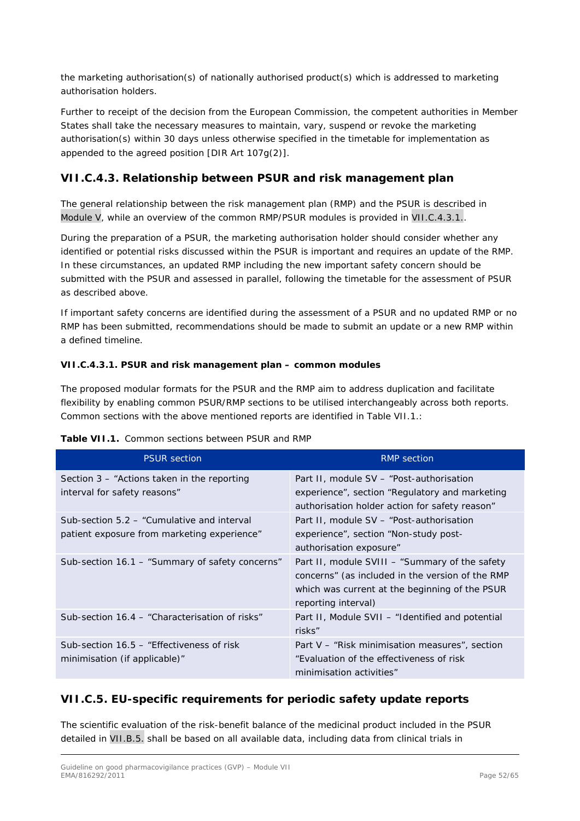the marketing authorisation(s) of nationally authorised product(s) which is addressed to marketing authorisation holders.

Further to receipt of the decision from the European Commission, the competent authorities in Member States shall take the necessary measures to maintain, vary, suspend or revoke the marketing authorisation(s) within 30 days unless otherwise specified in the timetable for implementation as appended to the agreed position [DIR Art 107g(2)].

# <span id="page-51-0"></span>**VII.C.4.3. Relationship between PSUR and risk management plan**

The general relationship between the risk management plan (RMP) and the PSUR is described in Module V, while an overview of the common RMP/PSUR modules is provided in VII.C.4.3.1..

During the preparation of a PSUR, the marketing authorisation holder should consider whether any identified or potential risks discussed within the PSUR is important and requires an update of the RMP. In these circumstances, an updated RMP including the new important safety concern should be submitted with the PSUR and assessed in parallel, following the timetable for the assessment of PSUR as described above.

If important safety concerns are identified during the assessment of a PSUR and no updated RMP or no RMP has been submitted, recommendations should be made to submit an update or a new RMP within a defined timeline.

### <span id="page-51-1"></span>*VII.C.4.3.1. PSUR and risk management plan – common modules*

The proposed modular formats for the PSUR and the RMP aim to address duplication and facilitate flexibility by enabling common PSUR/RMP sections to be utilised interchangeably across both reports. Common sections with the above mentioned reports are identified in Table VII.1.:

| <b>PSUR section</b>                                                                       | <b>RMP</b> section                                                                                                                                                          |
|-------------------------------------------------------------------------------------------|-----------------------------------------------------------------------------------------------------------------------------------------------------------------------------|
| Section $3$ – "Actions taken in the reporting<br>interval for safety reasons"             | Part II, module SV - "Post-authorisation"<br>experience", section "Regulatory and marketing<br>authorisation holder action for safety reason"                               |
| Sub-section 5.2 – "Cumulative and interval<br>patient exposure from marketing experience" | Part II, module SV - "Post-authorisation"<br>experience", section "Non-study post-<br>authorisation exposure"                                                               |
| Sub-section 16.1 - "Summary of safety concerns"                                           | Part II, module SVIII – "Summary of the safety<br>concerns" (as included in the version of the RMP<br>which was current at the beginning of the PSUR<br>reporting interval) |
| Sub-section 16.4 - "Characterisation of risks"                                            | Part II, Module SVII – "Identified and potential<br>risks"                                                                                                                  |
| Sub-section 16.5 – "Effectiveness of risk"<br>minimisation (if applicable)"               | Part V – "Risk minimisation measures", section<br>"Evaluation of the effectiveness of risk<br>minimisation activities"                                                      |

### **Table VII.1.** Common sections between PSUR and RMP

# <span id="page-51-2"></span>*VII.C.5. EU-specific requirements for periodic safety update reports*

The scientific evaluation of the risk-benefit balance of the medicinal product included in the PSUR detailed in VII.B.5. shall be based on all available data, including data from clinical trials in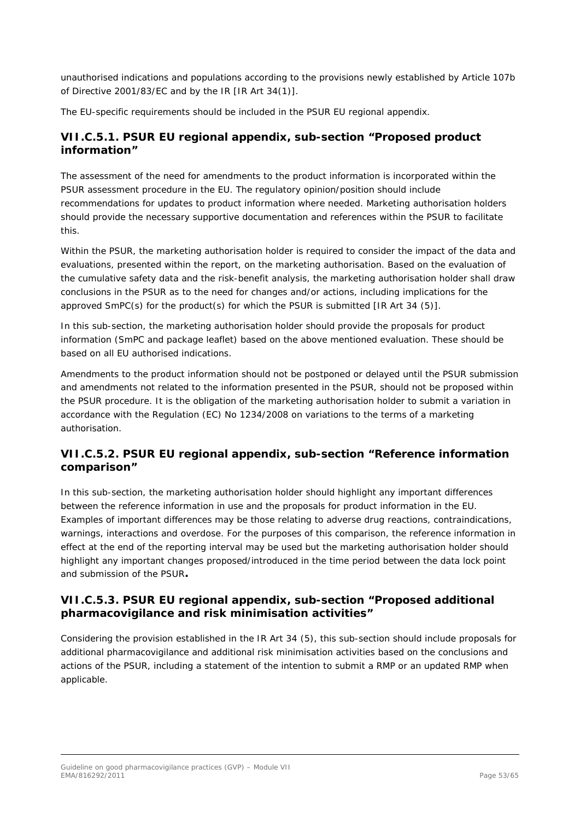unauthorised indications and populations according to the provisions newly established by Article 107b of Directive 2001/83/EC and by the IR [IR Art 34(1)].

The EU-specific requirements should be included in the PSUR EU regional appendix.

## <span id="page-52-0"></span>**VII.C.5.1. PSUR EU regional appendix, sub-section "Proposed product information"**

The assessment of the need for amendments to the product information is incorporated within the PSUR assessment procedure in the EU. The regulatory opinion/position should include recommendations for updates to product information where needed. Marketing authorisation holders should provide the necessary supportive documentation and references within the PSUR to facilitate this.

Within the PSUR, the marketing authorisation holder is required to consider the impact of the data and evaluations, presented within the report, on the marketing authorisation. Based on the evaluation of the cumulative safety data and the risk-benefit analysis, the marketing authorisation holder shall draw conclusions in the PSUR as to the need for changes and/or actions, including implications for the approved SmPC(s) for the product(s) for which the PSUR is submitted [IR Art 34 (5)].

In this sub-section, the marketing authorisation holder should provide the proposals for product information (SmPC and package leaflet) based on the above mentioned evaluation. These should be based on all EU authorised indications.

Amendments to the product information should not be postponed or delayed until the PSUR submission and amendments not related to the information presented in the PSUR, should not be proposed within the PSUR procedure. It is the obligation of the marketing authorisation holder to submit a variation in accordance with the Regulation (EC) No 1234/2008 on variations to the terms of a marketing authorisation.

# <span id="page-52-1"></span>**VII.C.5.2. PSUR EU regional appendix, sub-section "Reference information comparison"**

In this sub-section, the marketing authorisation holder should highlight any important differences between the reference information in use and the proposals for product information in the EU. Examples of important differences may be those relating to adverse drug reactions, contraindications, warnings, interactions and overdose. For the purposes of this comparison, the reference information in effect at the end of the reporting interval may be used but the marketing authorisation holder should highlight any important changes proposed/introduced in the time period between the data lock point and submission of the PSUR**.**

## <span id="page-52-2"></span>**VII.C.5.3. PSUR EU regional appendix, sub-section "Proposed additional pharmacovigilance and risk minimisation activities"**

Considering the provision established in the IR Art 34 (5), this sub-section should include proposals for additional pharmacovigilance and additional risk minimisation activities based on the conclusions and actions of the PSUR, including a statement of the intention to submit a RMP or an updated RMP when applicable.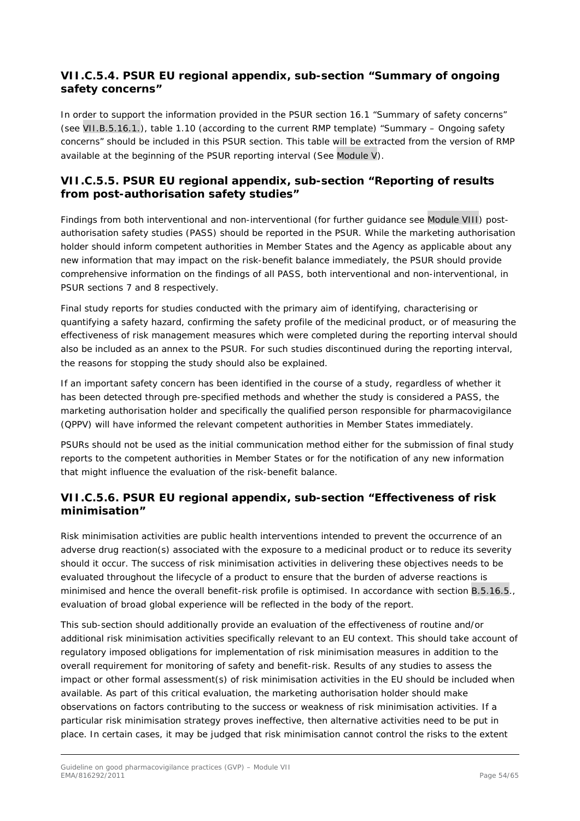# <span id="page-53-0"></span>**VII.C.5.4. PSUR EU regional appendix, sub-section "Summary of ongoing safety concerns"**

In order to support the information provided in the PSUR section 16.1 "Summary of safety concerns" (see VII.B.5.16.1.), table 1.10 (according to the current RMP template) "Summary – Ongoing safety concerns" should be included in this PSUR section. This table will be extracted from the version of RMP available at the beginning of the PSUR reporting interval (See Module V).

## <span id="page-53-1"></span>**VII.C.5.5. PSUR EU regional appendix, sub-section "Reporting of results from post-authorisation safety studies"**

Findings from both interventional and non-interventional (for further guidance see Module VIII) postauthorisation safety studies (PASS) should be reported in the PSUR. While the marketing authorisation holder should inform competent authorities in Member States and the Agency as applicable about any new information that may impact on the risk-benefit balance immediately, the PSUR should provide comprehensive information on the findings of all PASS, both interventional and non-interventional, in PSUR sections 7 and 8 respectively.

Final study reports for studies conducted with the primary aim of identifying, characterising or quantifying a safety hazard, confirming the safety profile of the medicinal product, or of measuring the effectiveness of risk management measures which were completed during the reporting interval should also be included as an annex to the PSUR. For such studies discontinued during the reporting interval, the reasons for stopping the study should also be explained.

If an important safety concern has been identified in the course of a study, regardless of whether it has been detected through pre-specified methods and whether the study is considered a PASS, the marketing authorisation holder and specifically the qualified person responsible for pharmacovigilance (QPPV) will have informed the relevant competent authorities in Member States immediately.

PSURs should not be used as the initial communication method either for the submission of final study reports to the competent authorities in Member States or for the notification of any new information that might influence the evaluation of the risk-benefit balance.

# <span id="page-53-2"></span>**VII.C.5.6. PSUR EU regional appendix, sub-section "Effectiveness of risk minimisation"**

Risk minimisation activities are public health interventions intended to prevent the occurrence of an adverse drug reaction(s) associated with the exposure to a medicinal product or to reduce its severity should it occur. The success of risk minimisation activities in delivering these objectives needs to be evaluated throughout the lifecycle of a product to ensure that the burden of adverse reactions is minimised and hence the overall benefit-risk profile is optimised. In accordance with section B.5.16.5., evaluation of broad global experience will be reflected in the body of the report.

This sub-section should additionally provide an evaluation of the effectiveness of routine and/or additional risk minimisation activities specifically relevant to an EU context. This should take account of regulatory imposed obligations for implementation of risk minimisation measures in addition to the overall requirement for monitoring of safety and benefit-risk. Results of any studies to assess the impact or other formal assessment(s) of risk minimisation activities in the EU should be included when available. As part of this critical evaluation, the marketing authorisation holder should make observations on factors contributing to the success or weakness of risk minimisation activities. If a particular risk minimisation strategy proves ineffective, then alternative activities need to be put in place. In certain cases, it may be judged that risk minimisation cannot control the risks to the extent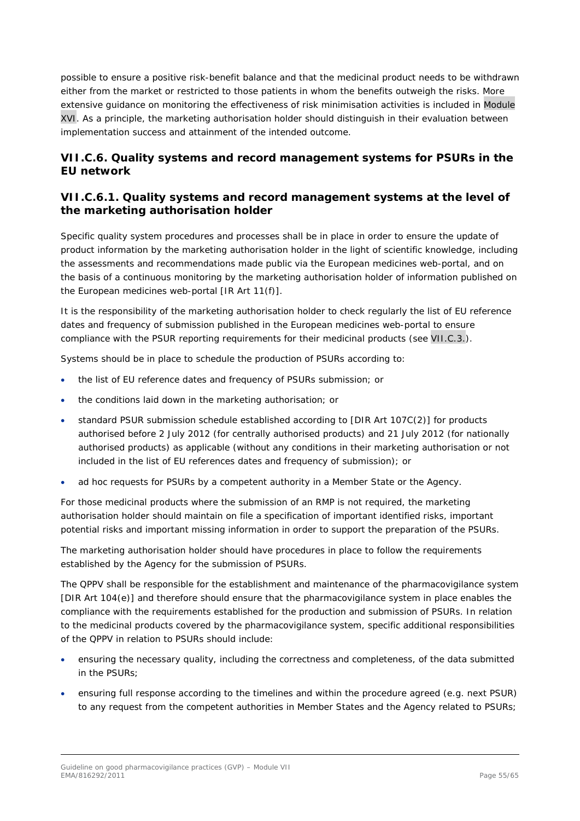possible to ensure a positive risk-benefit balance and that the medicinal product needs to be withdrawn either from the market or restricted to those patients in whom the benefits outweigh the risks. More extensive guidance on monitoring the effectiveness of risk minimisation activities is included in Module XVI. As a principle, the marketing authorisation holder should distinguish in their evaluation between implementation success and attainment of the intended outcome.

# <span id="page-54-0"></span>*VII.C.6. Quality systems and record management systems for PSURs in the EU network*

## <span id="page-54-1"></span>**VII.C.6.1. Quality systems and record management systems at the level of the marketing authorisation holder**

Specific quality system procedures and processes shall be in place in order to ensure the update of product information by the marketing authorisation holder in the light of scientific knowledge, including the assessments and recommendations made public via the European medicines web-portal, and on the basis of a continuous monitoring by the marketing authorisation holder of information published on the European medicines web-portal [IR Art 11(f)].

It is the responsibility of the marketing authorisation holder to check regularly the list of EU reference dates and frequency of submission published in the European medicines web-portal to ensure compliance with the PSUR reporting requirements for their medicinal products (see VII.C.3.).

Systems should be in place to schedule the production of PSURs according to:

- the list of EU reference dates and frequency of PSURs submission; or
- the conditions laid down in the marketing authorisation; or
- standard PSUR submission schedule established according to [DIR Art 107C(2)] for products authorised before 2 July 2012 (for centrally authorised products) and 21 July 2012 (for nationally authorised products) as applicable (without any conditions in their marketing authorisation or not included in the list of EU references dates and frequency of submission); or
- ad hoc requests for PSURs by a competent authority in a Member State or the Agency.

For those medicinal products where the submission of an RMP is not required, the marketing authorisation holder should maintain on file a specification of important identified risks, important potential risks and important missing information in order to support the preparation of the PSURs.

The marketing authorisation holder should have procedures in place to follow the requirements established by the Agency for the submission of PSURs.

The QPPV shall be responsible for the establishment and maintenance of the pharmacovigilance system [DIR Art 104(e)] and therefore should ensure that the pharmacovigilance system in place enables the compliance with the requirements established for the production and submission of PSURs. In relation to the medicinal products covered by the pharmacovigilance system, specific additional responsibilities of the QPPV in relation to PSURs should include:

- ensuring the necessary quality, including the correctness and completeness, of the data submitted in the PSURs;
- ensuring full response according to the timelines and within the procedure agreed (e.g. next PSUR) to any request from the competent authorities in Member States and the Agency related to PSURs;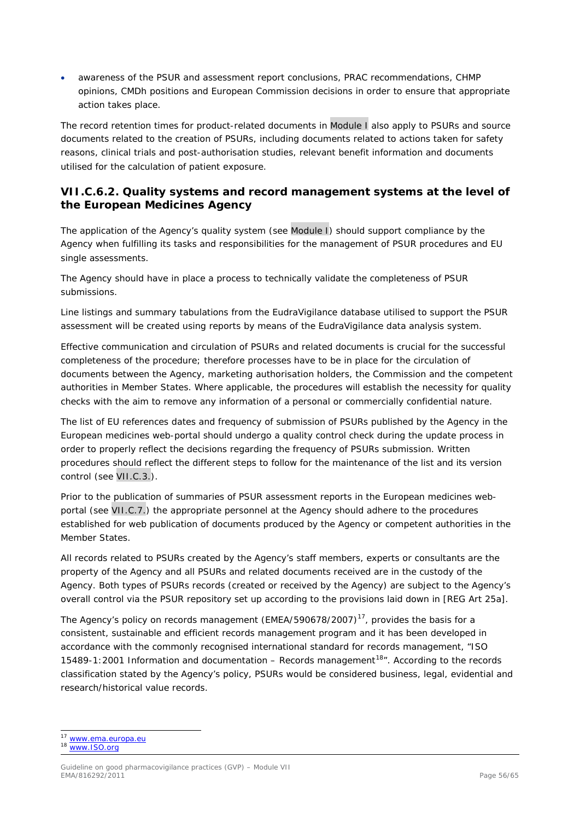• awareness of the PSUR and assessment report conclusions, PRAC recommendations, CHMP opinions, CMDh positions and European Commission decisions in order to ensure that appropriate action takes place.

The record retention times for product-related documents in Module I also apply to PSURs and source documents related to the creation of PSURs, including documents related to actions taken for safety reasons, clinical trials and post-authorisation studies, relevant benefit information and documents utilised for the calculation of patient exposure.

## <span id="page-55-0"></span>**VII.C.6.2. Quality systems and record management systems at the level of the European Medicines Agency**

The application of the Agency's quality system (see Module I) should support compliance by the Agency when fulfilling its tasks and responsibilities for the management of PSUR procedures and EU single assessments.

The Agency should have in place a process to technically validate the completeness of PSUR submissions.

Line listings and summary tabulations from the EudraVigilance database utilised to support the PSUR assessment will be created using reports by means of the EudraVigilance data analysis system.

Effective communication and circulation of PSURs and related documents is crucial for the successful completeness of the procedure; therefore processes have to be in place for the circulation of documents between the Agency, marketing authorisation holders, the Commission and the competent authorities in Member States. Where applicable, the procedures will establish the necessity for quality checks with the aim to remove any information of a personal or commercially confidential nature.

The list of EU references dates and frequency of submission of PSURs published by the Agency in the European medicines web-portal should undergo a quality control check during the update process in order to properly reflect the decisions regarding the frequency of PSURs submission. Written procedures should reflect the different steps to follow for the maintenance of the list and its version control (see VII.C.3.).

Prior to the publication of summaries of PSUR assessment reports in the European medicines webportal (see VII.C.7.) the appropriate personnel at the Agency should adhere to the procedures established for web publication of documents produced by the Agency or competent authorities in the Member States.

All records related to PSURs created by the Agency's staff members, experts or consultants are the property of the Agency and all PSURs and related documents received are in the custody of the Agency. Both types of PSURs records (created or received by the Agency) are subject to the Agency's overall control via the PSUR repository set up according to the provisions laid down in [REG Art 25a].

The Agency's policy on records management (EMEA/590678/2007)<sup>[17](#page-55-1)</sup>, provides the basis for a consistent, sustainable and efficient records management program and it has been developed in accordance with the commonly recognised international standard for records management, "ISO 15489-1:2001 Information and documentation – Records management<sup>18</sup><sup>n</sup>. According to the records classification stated by the Agency's policy, PSURs would be considered business, legal, evidential and research/historical value records.

<sup>17</sup> [www.ema.europa.eu](http://www.ema.europa.eu/)

<span id="page-55-2"></span><span id="page-55-1"></span><sup>18</sup> [www.ISO.org](http://www.iso.org/)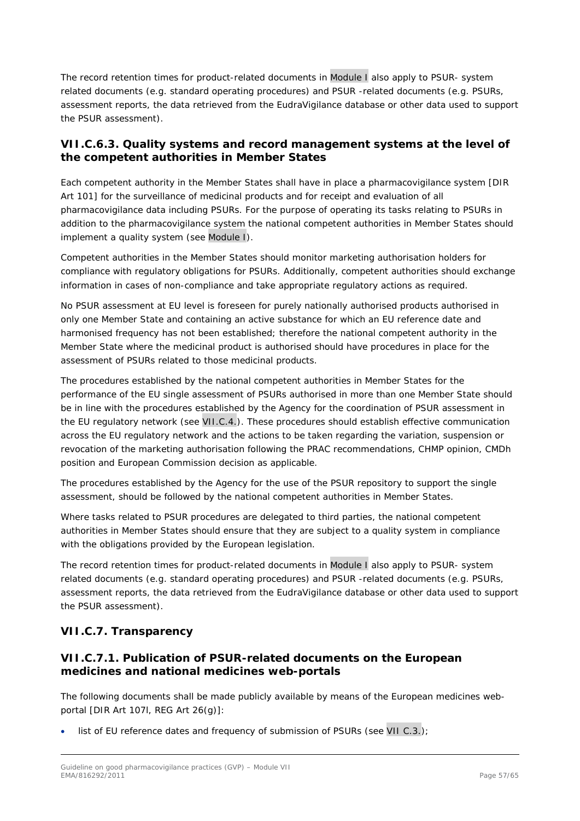The record retention times for product-related documents in Module I also apply to PSUR- system related documents (e.g. standard operating procedures) and PSUR -related documents (e.g. PSURs, assessment reports, the data retrieved from the EudraVigilance database or other data used to support the PSUR assessment).

## <span id="page-56-0"></span>**VII.C.6.3. Quality systems and record management systems at the level of the competent authorities in Member States**

Each competent authority in the Member States shall have in place a pharmacovigilance system [DIR Art 101] for the surveillance of medicinal products and for receipt and evaluation of all pharmacovigilance data including PSURs. For the purpose of operating its tasks relating to PSURs in addition to the pharmacovigilance system the national competent authorities in Member States should implement a quality system (see Module I).

Competent authorities in the Member States should monitor marketing authorisation holders for compliance with regulatory obligations for PSURs. Additionally, competent authorities should exchange information in cases of non-compliance and take appropriate regulatory actions as required.

No PSUR assessment at EU level is foreseen for purely nationally authorised products authorised in only one Member State and containing an active substance for which an EU reference date and harmonised frequency has not been established; therefore the national competent authority in the Member State where the medicinal product is authorised should have procedures in place for the assessment of PSURs related to those medicinal products.

The procedures established by the national competent authorities in Member States for the performance of the EU single assessment of PSURs authorised in more than one Member State should be in line with the procedures established by the Agency for the coordination of PSUR assessment in the EU regulatory network (see VII.C.4.). These procedures should establish effective communication across the EU regulatory network and the actions to be taken regarding the variation, suspension or revocation of the marketing authorisation following the PRAC recommendations, CHMP opinion, CMDh position and European Commission decision as applicable.

The procedures established by the Agency for the use of the PSUR repository to support the single assessment, should be followed by the national competent authorities in Member States.

Where tasks related to PSUR procedures are delegated to third parties, the national competent authorities in Member States should ensure that they are subject to a quality system in compliance with the obligations provided by the European legislation.

The record retention times for product-related documents in Module I also apply to PSUR- system related documents (e.g. standard operating procedures) and PSUR -related documents (e.g. PSURs, assessment reports, the data retrieved from the EudraVigilance database or other data used to support the PSUR assessment).

# <span id="page-56-1"></span>*VII.C.7. Transparency*

# <span id="page-56-2"></span>**VII.C.7.1. Publication of PSUR-related documents on the European medicines and national medicines web-portals**

The following documents shall be made publicly available by means of the European medicines webportal [DIR Art 107l, REG Art 26(g)]:

list of EU reference dates and frequency of submission of PSURs (see VII C.3.);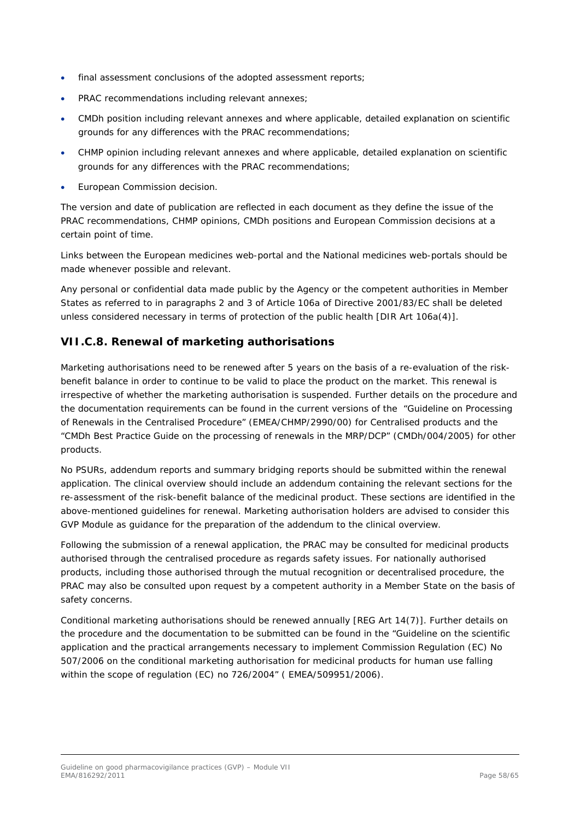- final assessment conclusions of the adopted assessment reports;
- PRAC recommendations including relevant annexes;
- CMDh position including relevant annexes and where applicable, detailed explanation on scientific grounds for any differences with the PRAC recommendations;
- CHMP opinion including relevant annexes and where applicable, detailed explanation on scientific grounds for any differences with the PRAC recommendations;
- European Commission decision.

The version and date of publication are reflected in each document as they define the issue of the PRAC recommendations, CHMP opinions, CMDh positions and European Commission decisions at a certain point of time.

Links between the European medicines web-portal and the National medicines web-portals should be made whenever possible and relevant.

Any personal or confidential data made public by the Agency or the competent authorities in Member States as referred to in paragraphs 2 and 3 of Article 106a of Directive 2001/83/EC shall be deleted unless considered necessary in terms of protection of the public health [DIR Art 106a(4)].

# <span id="page-57-0"></span>*VII.C.8. Renewal of marketing authorisations*

Marketing authorisations need to be renewed after 5 years on the basis of a re-evaluation of the riskbenefit balance in order to continue to be valid to place the product on the market. This renewal is irrespective of whether the marketing authorisation is suspended. Further details on the procedure and the documentation requirements can be found in the current versions of the "Guideline on Processing of Renewals in the Centralised Procedure" (EMEA/CHMP/2990/00) for Centralised products and the "CMDh Best Practice Guide on the processing of renewals in the MRP/DCP" (CMDh/004/2005) for other products.

No PSURs, addendum reports and summary bridging reports should be submitted within the renewal application. The clinical overview should include an addendum containing the relevant sections for the re-assessment of the risk-benefit balance of the medicinal product. These sections are identified in the above-mentioned guidelines for renewal. Marketing authorisation holders are advised to consider this GVP Module as guidance for the preparation of the addendum to the clinical overview.

Following the submission of a renewal application, the PRAC may be consulted for medicinal products authorised through the centralised procedure as regards safety issues. For nationally authorised products, including those authorised through the mutual recognition or decentralised procedure, the PRAC may also be consulted upon request by a competent authority in a Member State on the basis of safety concerns.

Conditional marketing authorisations should be renewed annually [REG Art 14(7)]. Further details on the procedure and the documentation to be submitted can be found in the "Guideline on the scientific application and the practical arrangements necessary to implement Commission Regulation (EC) No 507/2006 on the conditional marketing authorisation for medicinal products for human use falling within the scope of regulation (EC) no 726/2004" ( EMEA/509951/2006).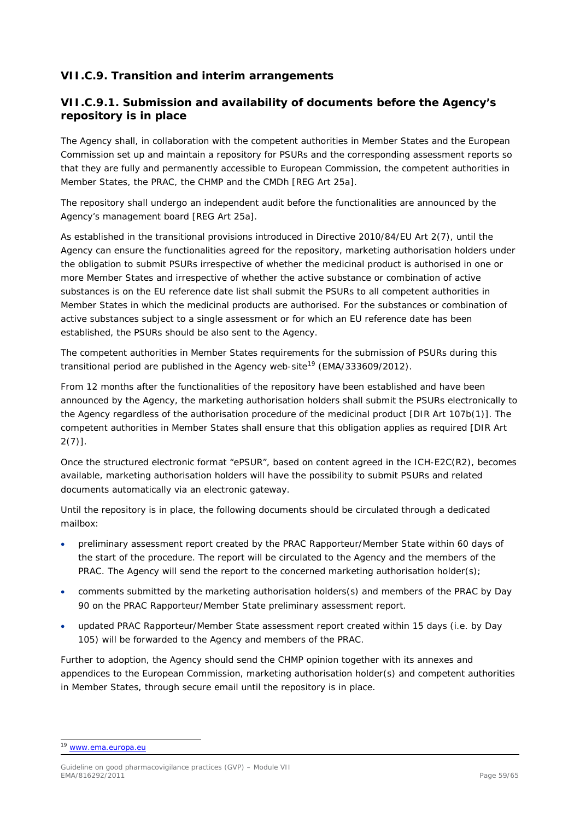# <span id="page-58-0"></span>*VII.C.9. Transition and interim arrangements*

## <span id="page-58-1"></span>**VII.C.9.1. Submission and availability of documents before the Agency's repository is in place**

The Agency shall, in collaboration with the competent authorities in Member States and the European Commission set up and maintain a repository for PSURs and the corresponding assessment reports so that they are fully and permanently accessible to European Commission, the competent authorities in Member States, the PRAC, the CHMP and the CMDh [REG Art 25a].

The repository shall undergo an independent audit before the functionalities are announced by the Agency's management board [REG Art 25a].

As established in the transitional provisions introduced in Directive 2010/84/EU Art 2(7), until the Agency can ensure the functionalities agreed for the repository, marketing authorisation holders under the obligation to submit PSURs irrespective of whether the medicinal product is authorised in one or more Member States and irrespective of whether the active substance or combination of active substances is on the EU reference date list shall submit the PSURs to all competent authorities in Member States in which the medicinal products are authorised. For the substances or combination of active substances subject to a single assessment or for which an EU reference date has been established, the PSURs should be also sent to the Agency.

The competent authorities in Member States requirements for the submission of PSURs during this transitional period are published in the Agency web-site<sup>[19](#page-58-2)</sup> (EMA/333609/2012).

From 12 months after the functionalities of the repository have been established and have been announced by the Agency, the marketing authorisation holders shall submit the PSURs electronically to the Agency regardless of the authorisation procedure of the medicinal product [DIR Art 107b(1)]. The competent authorities in Member States shall ensure that this obligation applies as required [DIR Art  $2(7)$ ].

Once the structured electronic format "ePSUR", based on content agreed in the ICH-E2C(R2), becomes available, marketing authorisation holders will have the possibility to submit PSURs and related documents automatically via an electronic gateway.

Until the repository is in place, the following documents should be circulated through a dedicated mailbox:

- preliminary assessment report created by the PRAC Rapporteur/Member State within 60 days of the start of the procedure. The report will be circulated to the Agency and the members of the PRAC. The Agency will send the report to the concerned marketing authorisation holder(s);
- comments submitted by the marketing authorisation holders(s) and members of the PRAC by Day 90 on the PRAC Rapporteur/Member State preliminary assessment report.
- updated PRAC Rapporteur/Member State assessment report created within 15 days (i.e. by Day 105) will be forwarded to the Agency and members of the PRAC.

Further to adoption, the Agency should send the CHMP opinion together with its annexes and appendices to the European Commission, marketing authorisation holder(s) and competent authorities in Member States, through secure email until the repository is in place.

<span id="page-58-2"></span><sup>19</sup> [www.ema.europa.eu](http://www.ema.europa.eu/)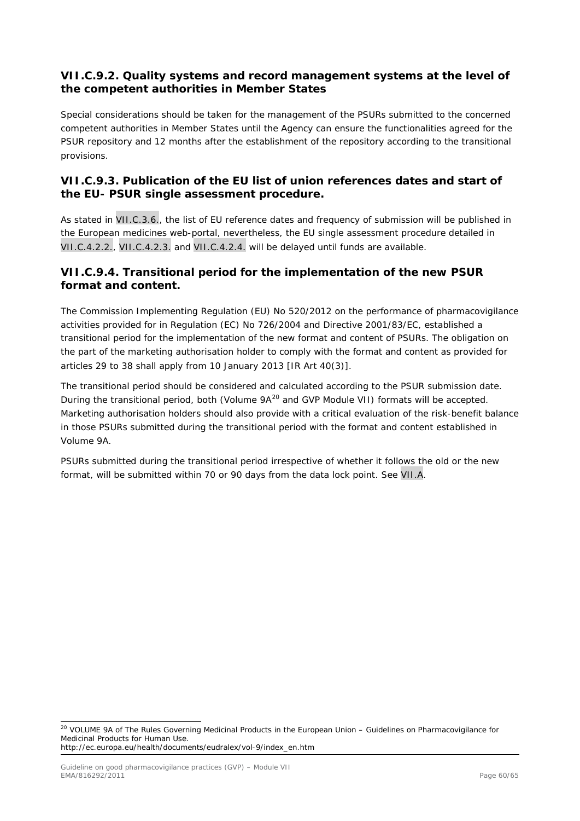## <span id="page-59-0"></span>**VII.C.9.2. Quality systems and record management systems at the level of the competent authorities in Member States**

Special considerations should be taken for the management of the PSURs submitted to the concerned competent authorities in Member States until the Agency can ensure the functionalities agreed for the PSUR repository and 12 months after the establishment of the repository according to the transitional provisions.

# <span id="page-59-1"></span>**VII.C.9.3. Publication of the EU list of union references dates and start of the EU- PSUR single assessment procedure.**

As stated in VII.C.3.6., the list of EU reference dates and frequency of submission will be published in the European medicines web-portal, nevertheless, the EU single assessment procedure detailed in VII.C.4.2.2., VII.C.4.2.3. and VII.C.4.2.4. will be delayed until funds are available.

## <span id="page-59-2"></span>**VII.C.9.4. Transitional period for the implementation of the new PSUR format and content.**

The Commission Implementing Regulation (EU) No 520/2012 on the performance of pharmacovigilance activities provided for in Regulation (EC) No 726/2004 and Directive 2001/83/EC, established a transitional period for the implementation of the new format and content of PSURs. The obligation on the part of the marketing authorisation holder to comply with the format and content as provided for articles 29 to 38 shall apply from 10 January 2013 [IR Art 40(3)].

The transitional period should be considered and calculated according to the PSUR submission date. During the transitional period, both (Volume 9A<sup>[20](#page-59-3)</sup> and GVP Module VII) formats will be accepted. Marketing authorisation holders should also provide with a critical evaluation of the risk-benefit balance in those PSURs submitted during the transitional period with the format and content established in Volume 9A.

PSURs submitted during the transitional period irrespective of whether it follows the old or the new format, will be submitted within 70 or 90 days from the data lock point. See VII.A.

<span id="page-59-3"></span><sup>&</sup>lt;sup>20</sup> VOLUME 9A of The Rules Governing Medicinal Products in the European Union – Guidelines on Pharmacovigilance for Medicinal Products for Human Use. http://ec.europa.eu/health/documents/eudralex/vol-9/index\_en.htm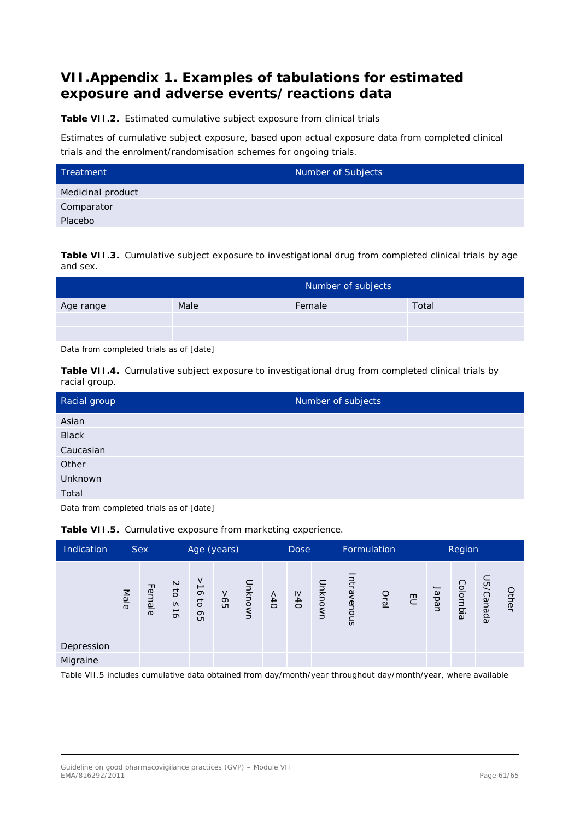# <span id="page-60-0"></span>**VII.Appendix 1. Examples of tabulations for estimated exposure and adverse events/reactions data**

**Table VII.2.** Estimated cumulative subject exposure from clinical trials

Estimates of cumulative subject exposure, based upon actual exposure data from completed clinical trials and the enrolment/randomisation schemes for ongoing trials.

| Treatment         | Number of Subjects |
|-------------------|--------------------|
| Medicinal product |                    |
| Comparator        |                    |
| Placebo           |                    |

**Table VII.3.** Cumulative subject exposure to investigational drug from completed clinical trials by age and sex.

|           | Number of subjects |        |       |  |  |  |  |  |  |  |  |
|-----------|--------------------|--------|-------|--|--|--|--|--|--|--|--|
| Age range | Male               | Female | Total |  |  |  |  |  |  |  |  |
|           |                    |        |       |  |  |  |  |  |  |  |  |
|           |                    |        |       |  |  |  |  |  |  |  |  |

Data from completed trials as of [date]

**Table VII.4.** Cumulative subject exposure to investigational drug from completed clinical trials by racial group.

| Racial group | Number of subjects |
|--------------|--------------------|
| Asian        |                    |
| <b>Black</b> |                    |
| Caucasian    |                    |
| Other        |                    |
| Unknown      |                    |
| Total        |                    |

Data from completed trials as of [date]

| Indication |      | Sex    | Age (years)        |                                              |        |         | Formulation<br><b>Dose</b> |     |                      | Region     |      |                |  |                            |           |       |
|------------|------|--------|--------------------|----------------------------------------------|--------|---------|----------------------------|-----|----------------------|------------|------|----------------|--|----------------------------|-----------|-------|
|            | Male | Female | $\sim$<br>ਰ<br>S15 | $\vec{\circ}$<br>$\vec{o}$<br>G <sub>O</sub> | $-565$ | Unknown | ~10                        | 540 | Unknown              | ntravenous | Oral | $\overline{c}$ |  | Colombia<br>Japan<br>Japan | US/Canada | Other |
| Depression |      |        |                    |                                              |        |         |                            |     |                      |            |      |                |  |                            |           |       |
| Migraine   |      |        |                    |                                              |        |         |                            |     |                      |            |      |                |  |                            |           |       |
| _ _        |      |        | .                  | .                                            |        | . .     | .                          | .   | $\sim$ $\sim$ $\sim$ |            | .    |                |  | $\sim$                     |           |       |

**Table VII.5.** Cumulative exposure from marketing experience.

Table VII.5 includes cumulative data obtained from day/month/year throughout day/month/year, where available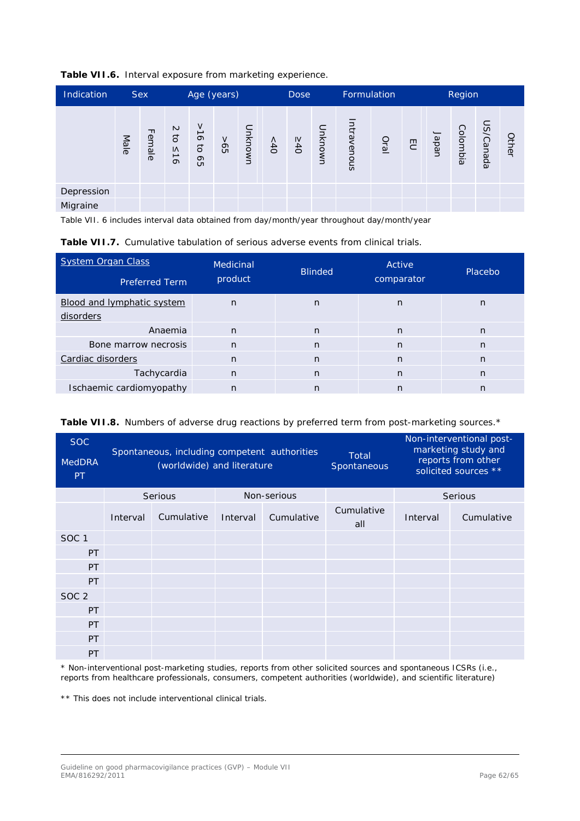| Table VII.6. Interval exposure from marketing experience. |  |  |  |  |  |
|-----------------------------------------------------------|--|--|--|--|--|
|-----------------------------------------------------------|--|--|--|--|--|

| Indication |      | <b>Sex</b> | Age (years)               |                                                                   |    |         | Formulation<br><b>Dose</b> |               |         | Region     |      |   |       |                 |           |       |
|------------|------|------------|---------------------------|-------------------------------------------------------------------|----|---------|----------------------------|---------------|---------|------------|------|---|-------|-----------------|-----------|-------|
|            | Male | Female     | $\sim$<br>$\sigma$<br>515 | V<br>$\rightharpoonup$<br>$\infty$<br>$\vec{o}$<br>G <sub>O</sub> | 9< | Unknown | > 40                       | $\frac{1}{6}$ | Unknown | ntravenous | Dral | 但 | Japan | <b>Colombia</b> | US/Canada | Other |
| Depression |      |            |                           |                                                                   |    |         |                            |               |         |            |      |   |       |                 |           |       |
| Migraine   |      |            |                           |                                                                   |    |         |                            |               |         |            |      |   |       |                 |           |       |

Table VII. 6 includes interval data obtained from day/month/year throughout day/month/year

| <b>System Organ Class</b>  | Medicinal    | <b>Blinded</b> | Active     | Placebo |  |
|----------------------------|--------------|----------------|------------|---------|--|
| <b>Preferred Term</b>      | product      |                | comparator |         |  |
| Blood and lymphatic system | n            | n              | n          | n       |  |
| disorders                  |              |                |            |         |  |
| Anaemia                    | $\mathsf{n}$ | n              | n          | n       |  |
| Bone marrow necrosis       | $\mathsf{n}$ | n              | n          | n       |  |
| Cardiac disorders          | n            | n              | n          | n       |  |
| Tachycardia                | $\mathsf{n}$ | n              | n          | n       |  |
| Ischaemic cardiomyopathy   | $\mathsf{n}$ | n              | n          | n       |  |

|  |  |  |  |  |  | Table VII.8. Numbers of adverse drug reactions by preferred term from post-marketing sources.* |  |
|--|--|--|--|--|--|------------------------------------------------------------------------------------------------|--|
|--|--|--|--|--|--|------------------------------------------------------------------------------------------------|--|

| <b>SOC</b><br><b>MedDRA</b><br>PT. | Spontaneous, including competent authorities<br>(worldwide) and literature |            |          | Total<br>Spontaneous |                   | Non-interventional post-<br>marketing study and<br>reports from other<br>solicited sources ** |            |
|------------------------------------|----------------------------------------------------------------------------|------------|----------|----------------------|-------------------|-----------------------------------------------------------------------------------------------|------------|
|                                    | Non-serious<br><b>Serious</b>                                              |            |          | <b>Serious</b>       |                   |                                                                                               |            |
|                                    | Interval                                                                   | Cumulative | Interval | Cumulative           | Cumulative<br>all | Interval                                                                                      | Cumulative |
| SOC <sub>1</sub>                   |                                                                            |            |          |                      |                   |                                                                                               |            |
| PT                                 |                                                                            |            |          |                      |                   |                                                                                               |            |
| PT                                 |                                                                            |            |          |                      |                   |                                                                                               |            |
| PT                                 |                                                                            |            |          |                      |                   |                                                                                               |            |
| SOC <sub>2</sub>                   |                                                                            |            |          |                      |                   |                                                                                               |            |
| PT                                 |                                                                            |            |          |                      |                   |                                                                                               |            |
| PT                                 |                                                                            |            |          |                      |                   |                                                                                               |            |
| PT                                 |                                                                            |            |          |                      |                   |                                                                                               |            |
| PT                                 |                                                                            |            |          |                      |                   |                                                                                               |            |

\* Non-interventional post-marketing studies, reports from other solicited sources and spontaneous ICSRs (i.e., reports from healthcare professionals, consumers, competent authorities (worldwide), and scientific literature)

\*\* This does not include interventional clinical trials.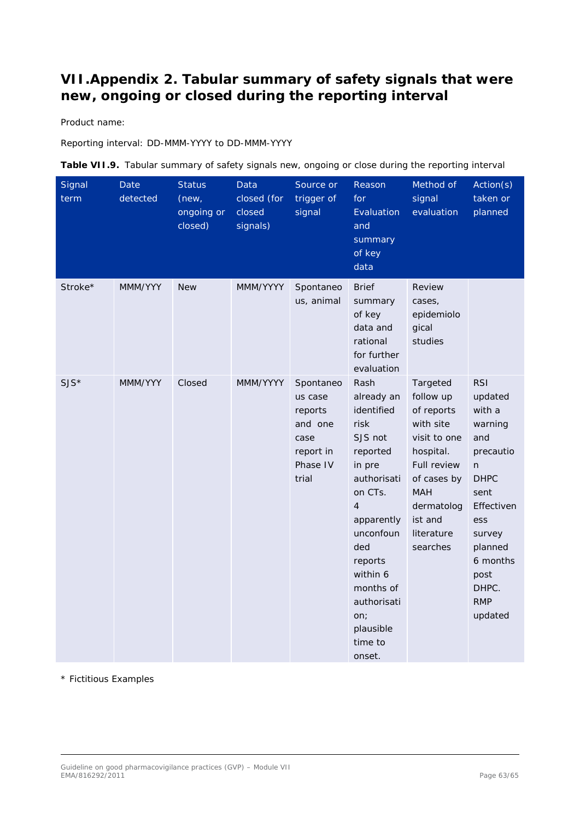# <span id="page-62-0"></span>**VII.Appendix 2. Tabular summary of safety signals that were new, ongoing or closed during the reporting interval**

Product name:

Reporting interval: DD-MMM-YYYY to DD-MMM-YYYY

| Table VII.9. Tabular summary of safety signals new, ongoing or close during the reporting interval |  |
|----------------------------------------------------------------------------------------------------|--|
|----------------------------------------------------------------------------------------------------|--|

| Signal<br>term | Date<br>detected | <b>Status</b><br>(new,<br>ongoing or<br>closed) | Data<br>closed (for<br>closed<br>signals) | Source or<br>trigger of<br>signal                                                    | Reason<br>for<br>Evaluation<br>and<br>summary<br>of key<br>data                                                                                                                                                                                     | Method of<br>signal<br>evaluation                                                                                                                                            | Action(s)<br>taken or<br>planned                                                                                                                                                            |
|----------------|------------------|-------------------------------------------------|-------------------------------------------|--------------------------------------------------------------------------------------|-----------------------------------------------------------------------------------------------------------------------------------------------------------------------------------------------------------------------------------------------------|------------------------------------------------------------------------------------------------------------------------------------------------------------------------------|---------------------------------------------------------------------------------------------------------------------------------------------------------------------------------------------|
| Stroke*        | MMM/YYY          | <b>New</b>                                      | MMM/YYYY                                  | Spontaneo<br>us, animal                                                              | <b>Brief</b><br>summary<br>of key<br>data and<br>rational<br>for further<br>evaluation                                                                                                                                                              | Review<br>cases,<br>epidemiolo<br>gical<br>studies                                                                                                                           |                                                                                                                                                                                             |
| $SJS*$         | MMM/YYY          | Closed                                          | MMM/YYYY                                  | Spontaneo<br>us case<br>reports<br>and one<br>case<br>report in<br>Phase IV<br>trial | Rash<br>already an<br>identified<br>risk<br>SJS not<br>reported<br>in pre<br>authorisati<br>on CTs.<br>$\overline{4}$<br>apparently<br>unconfoun<br>ded<br>reports<br>within 6<br>months of<br>authorisati<br>on;<br>plausible<br>time to<br>onset. | Targeted<br>follow up<br>of reports<br>with site<br>visit to one<br>hospital.<br>Full review<br>of cases by<br><b>MAH</b><br>dermatolog<br>ist and<br>literature<br>searches | <b>RSI</b><br>updated<br>with a<br>warning<br>and<br>precautio<br>n.<br><b>DHPC</b><br>sent<br>Effectiven<br>ess<br>survey<br>planned<br>6 months<br>post<br>DHPC.<br><b>RMP</b><br>updated |

\* Fictitious Examples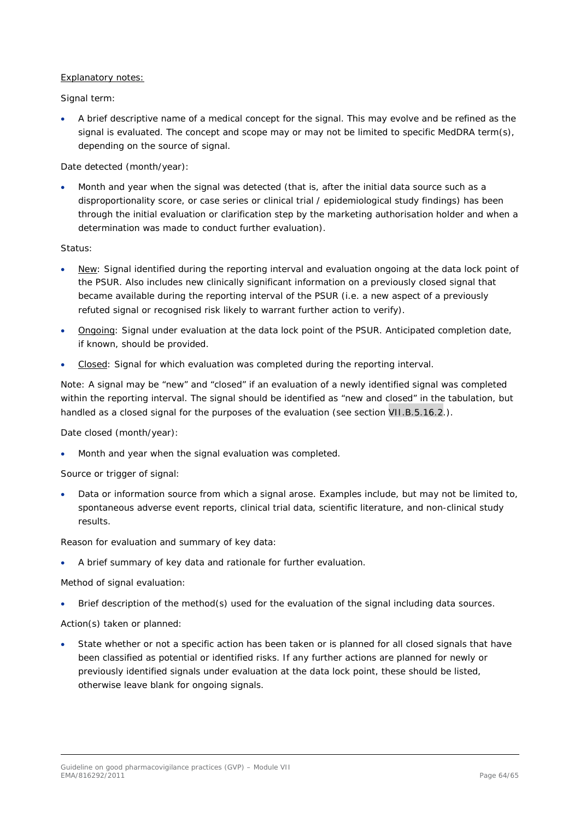#### Explanatory notes:

Signal term:

• A brief descriptive name of a medical concept for the signal. This may evolve and be refined as the signal is evaluated. The concept and scope may or may not be limited to specific MedDRA term(s), depending on the source of signal.

Date detected (month/year):

• Month and year when the signal was detected (that is, after the initial data source such as a disproportionality score, or case series or clinical trial / epidemiological study findings) has been through the initial evaluation or clarification step by the marketing authorisation holder and when a determination was made to conduct further evaluation).

Status:

- New: Signal identified during the reporting interval and evaluation ongoing at the data lock point of the PSUR. Also includes new clinically significant information on a previously closed signal that became available during the reporting interval of the PSUR (i.e. a new aspect of a previously refuted signal or recognised risk likely to warrant further action to verify).
- Ongoing: Signal under evaluation at the data lock point of the PSUR. Anticipated completion date, if known, should be provided.
- Closed: Signal for which evaluation was completed during the reporting interval.

Note: A signal may be "new" and "closed" if an evaluation of a newly identified signal was completed within the reporting interval. The signal should be identified as "new and closed" in the tabulation, but handled as a closed signal for the purposes of the evaluation (see section VII.B.5.16.2.).

Date closed (month/year):

• Month and year when the signal evaluation was completed.

Source or trigger of signal:

• Data or information source from which a signal arose. Examples include, but may not be limited to, spontaneous adverse event reports, clinical trial data, scientific literature, and non-clinical study results.

Reason for evaluation and summary of key data:

• A brief summary of key data and rationale for further evaluation.

Method of signal evaluation:

• Brief description of the method(s) used for the evaluation of the signal including data sources.

Action(s) taken or planned:

State whether or not a specific action has been taken or is planned for all closed signals that have been classified as potential or identified risks. If any further actions are planned for newly or previously identified signals under evaluation at the data lock point, these should be listed, otherwise leave blank for ongoing signals.